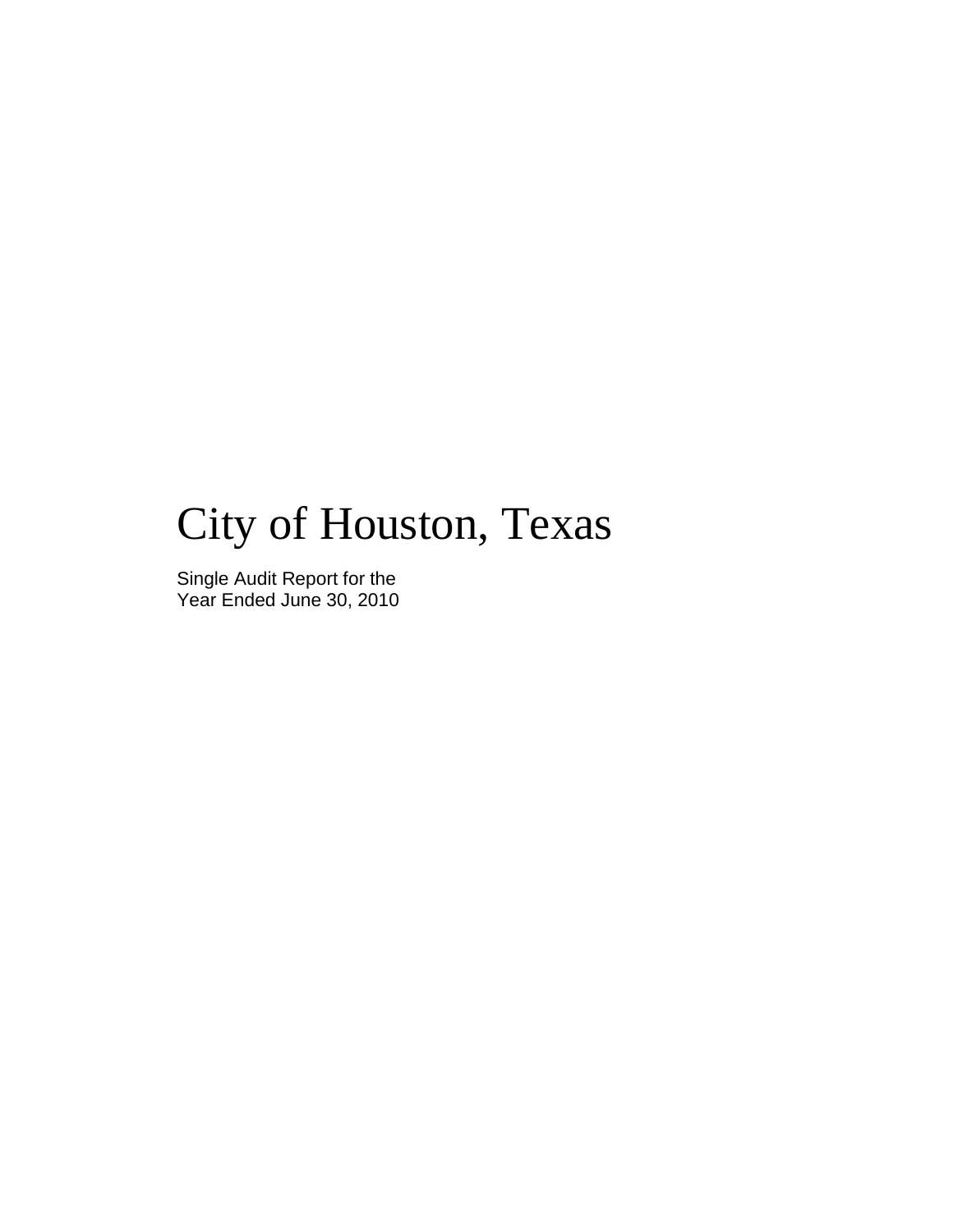# City of Houston, Texas

Single Audit Report for the Year Ended June 30, 2010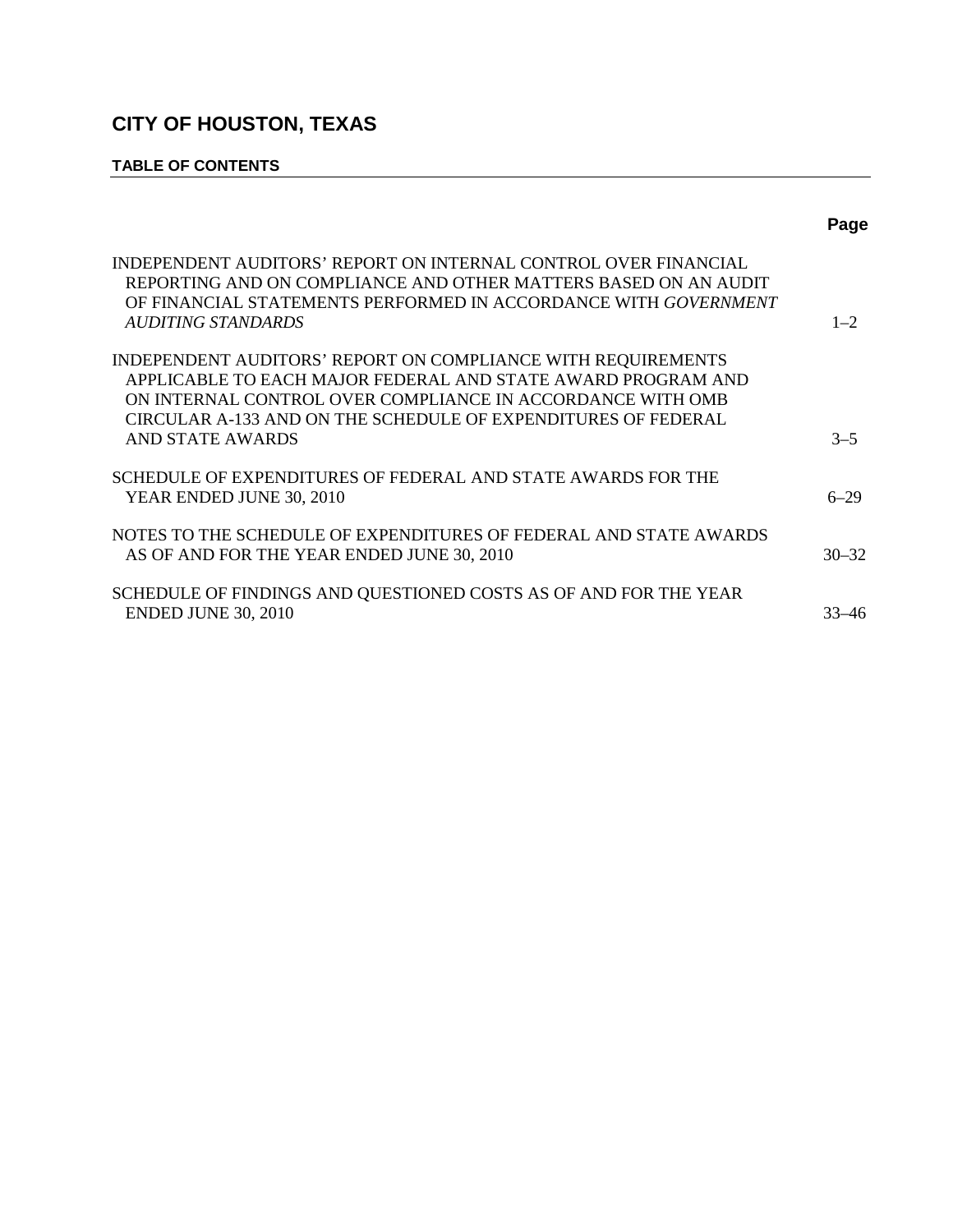# **TABLE OF CONTENTS**

|                                                                                                                                                                                                                                                                                        | Page      |
|----------------------------------------------------------------------------------------------------------------------------------------------------------------------------------------------------------------------------------------------------------------------------------------|-----------|
| INDEPENDENT AUDITORS' REPORT ON INTERNAL CONTROL OVER FINANCIAL<br>REPORTING AND ON COMPLIANCE AND OTHER MATTERS BASED ON AN AUDIT<br>OF FINANCIAL STATEMENTS PERFORMED IN ACCORDANCE WITH GOVERNMENT<br>AUDITING STANDARDS                                                            | $1 - 2$   |
| INDEPENDENT AUDITORS' REPORT ON COMPLIANCE WITH REQUIREMENTS<br>APPLICABLE TO EACH MAJOR FEDERAL AND STATE AWARD PROGRAM AND<br>ON INTERNAL CONTROL OVER COMPLIANCE IN ACCORDANCE WITH OMB<br>CIRCULAR A-133 AND ON THE SCHEDULE OF EXPENDITURES OF FEDERAL<br><b>AND STATE AWARDS</b> | $3 - 5$   |
| SCHEDULE OF EXPENDITURES OF FEDERAL AND STATE AWARDS FOR THE<br>YEAR ENDED JUNE 30, 2010                                                                                                                                                                                               | $6 - 29$  |
| NOTES TO THE SCHEDULE OF EXPENDITURES OF FEDERAL AND STATE AWARDS<br>AS OF AND FOR THE YEAR ENDED JUNE 30, 2010                                                                                                                                                                        | $30 - 32$ |
| SCHEDULE OF FINDINGS AND QUESTIONED COSTS AS OF AND FOR THE YEAR<br><b>ENDED JUNE 30, 2010</b>                                                                                                                                                                                         | 33–46     |
|                                                                                                                                                                                                                                                                                        |           |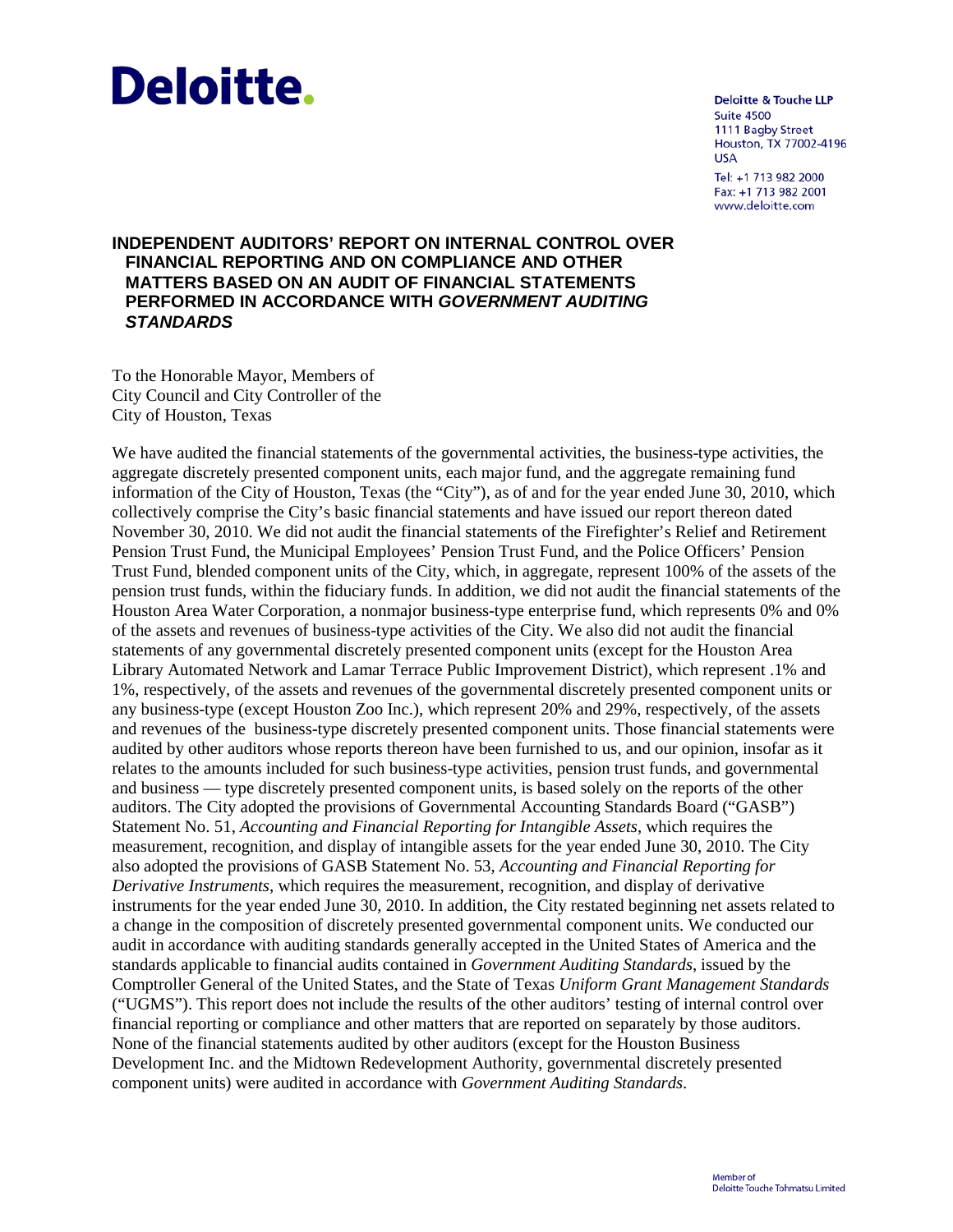# **Deloitte.**

**Deloitte & Touche LLP** Suite 4500 1111 Bagby Street Houston, TX 77002-4196 **USA** Tel: +1 713 982 2000 Fax: +1 713 982 2001 www.deloitte.com

# **INDEPENDENT AUDITORS' REPORT ON INTERNAL CONTROL OVER FINANCIAL REPORTING AND ON COMPLIANCE AND OTHER MATTERS BASED ON AN AUDIT OF FINANCIAL STATEMENTS PERFORMED IN ACCORDANCE WITH** *GOVERNMENT AUDITING STANDARDS*

To the Honorable Mayor, Members of City Council and City Controller of the City of Houston, Texas

We have audited the financial statements of the governmental activities, the business-type activities, the aggregate discretely presented component units, each major fund, and the aggregate remaining fund information of the City of Houston, Texas (the "City"), as of and for the year ended June 30, 2010, which collectively comprise the City's basic financial statements and have issued our report thereon dated November 30, 2010. We did not audit the financial statements of the Firefighter's Relief and Retirement Pension Trust Fund, the Municipal Employees' Pension Trust Fund, and the Police Officers' Pension Trust Fund, blended component units of the City, which, in aggregate, represent 100% of the assets of the pension trust funds, within the fiduciary funds. In addition, we did not audit the financial statements of the Houston Area Water Corporation, a nonmajor business-type enterprise fund, which represents 0% and 0% of the assets and revenues of business-type activities of the City. We also did not audit the financial statements of any governmental discretely presented component units (except for the Houston Area Library Automated Network and Lamar Terrace Public Improvement District), which represent .1% and 1%, respectively, of the assets and revenues of the governmental discretely presented component units or any business-type (except Houston Zoo Inc.), which represent 20% and 29%, respectively, of the assets and revenues of the business-type discretely presented component units. Those financial statements were audited by other auditors whose reports thereon have been furnished to us, and our opinion, insofar as it relates to the amounts included for such business-type activities, pension trust funds, and governmental and business — type discretely presented component units, is based solely on the reports of the other auditors. The City adopted the provisions of Governmental Accounting Standards Board ("GASB") Statement No. 51, *Accounting and Financial Reporting for Intangible Assets*, which requires the measurement, recognition, and display of intangible assets for the year ended June 30, 2010. The City also adopted the provisions of GASB Statement No. 53, *Accounting and Financial Reporting for Derivative Instruments*, which requires the measurement, recognition, and display of derivative instruments for the year ended June 30, 2010. In addition, the City restated beginning net assets related to a change in the composition of discretely presented governmental component units. We conducted our audit in accordance with auditing standards generally accepted in the United States of America and the standards applicable to financial audits contained in *Government Auditing Standards*, issued by the Comptroller General of the United States, and the State of Texas *Uniform Grant Management Standards* ("UGMS"). This report does not include the results of the other auditors' testing of internal control over financial reporting or compliance and other matters that are reported on separately by those auditors. None of the financial statements audited by other auditors (except for the Houston Business Development Inc. and the Midtown Redevelopment Authority, governmental discretely presented component units) were audited in accordance with *Government Auditing Standards*.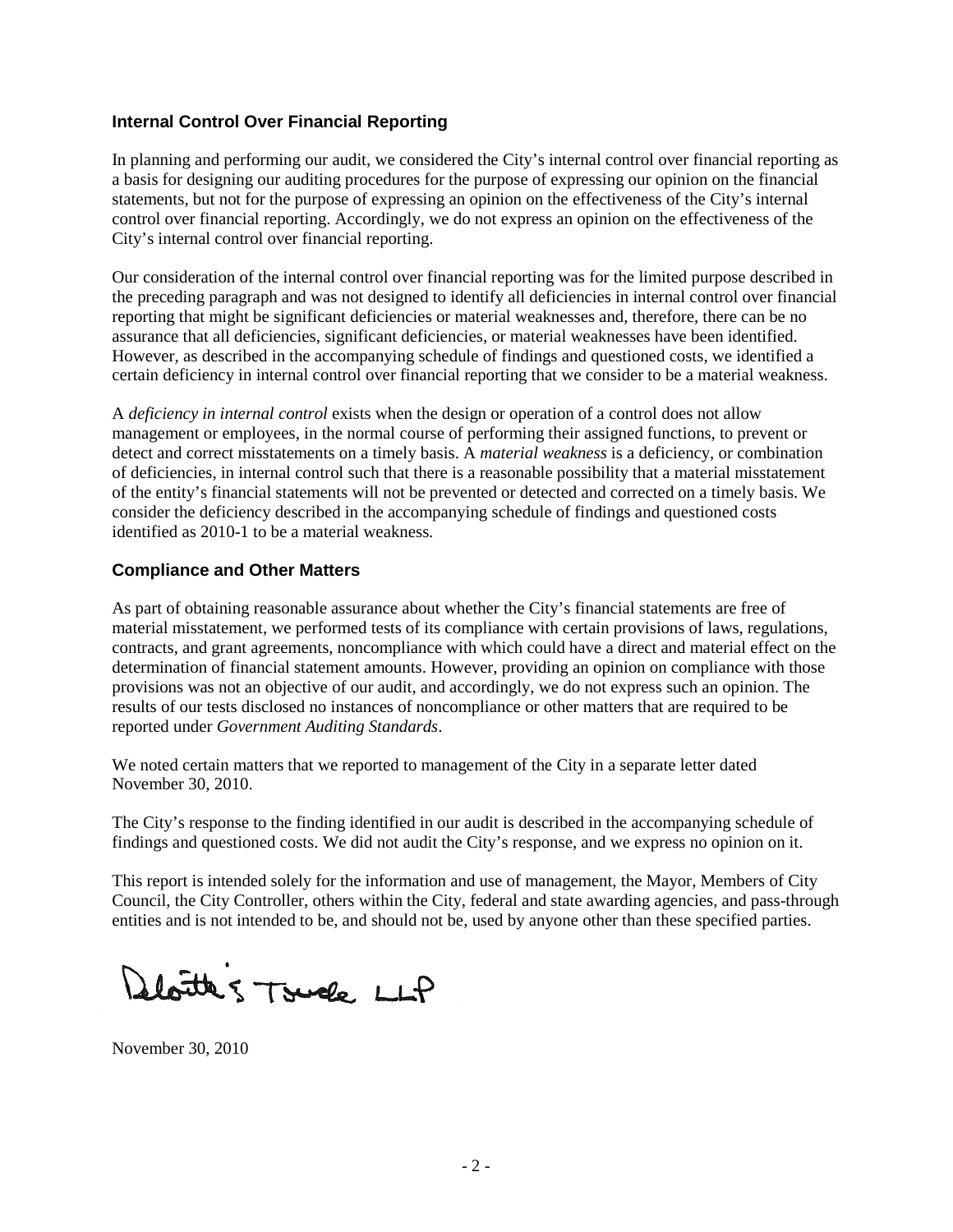# **Internal Control Over Financial Reporting**

In planning and performing our audit, we considered the City's internal control over financial reporting as a basis for designing our auditing procedures for the purpose of expressing our opinion on the financial statements, but not for the purpose of expressing an opinion on the effectiveness of the City's internal control over financial reporting. Accordingly, we do not express an opinion on the effectiveness of the City's internal control over financial reporting.

Our consideration of the internal control over financial reporting was for the limited purpose described in the preceding paragraph and was not designed to identify all deficiencies in internal control over financial reporting that might be significant deficiencies or material weaknesses and, therefore, there can be no assurance that all deficiencies, significant deficiencies, or material weaknesses have been identified. However, as described in the accompanying schedule of findings and questioned costs, we identified a certain deficiency in internal control over financial reporting that we consider to be a material weakness.

A *deficiency in internal control* exists when the design or operation of a control does not allow management or employees, in the normal course of performing their assigned functions, to prevent or detect and correct misstatements on a timely basis. A *material weakness* is a deficiency, or combination of deficiencies, in internal control such that there is a reasonable possibility that a material misstatement of the entity's financial statements will not be prevented or detected and corrected on a timely basis. We consider the deficiency described in the accompanying schedule of findings and questioned costs identified as 2010-1 to be a material weakness.

# **Compliance and Other Matters**

As part of obtaining reasonable assurance about whether the City's financial statements are free of material misstatement, we performed tests of its compliance with certain provisions of laws, regulations, contracts, and grant agreements, noncompliance with which could have a direct and material effect on the determination of financial statement amounts. However, providing an opinion on compliance with those provisions was not an objective of our audit, and accordingly, we do not express such an opinion. The results of our tests disclosed no instances of noncompliance or other matters that are required to be reported under *Government Auditing Standards*.

We noted certain matters that we reported to management of the City in a separate letter dated November 30, 2010.

The City's response to the finding identified in our audit is described in the accompanying schedule of findings and questioned costs. We did not audit the City's response, and we express no opinion on it.

This report is intended solely for the information and use of management, the Mayor, Members of City Council, the City Controller, others within the City, federal and state awarding agencies, and pass-through entities and is not intended to be, and should not be, used by anyone other than these specified parties.

doutes Touch LLP

November 30, 2010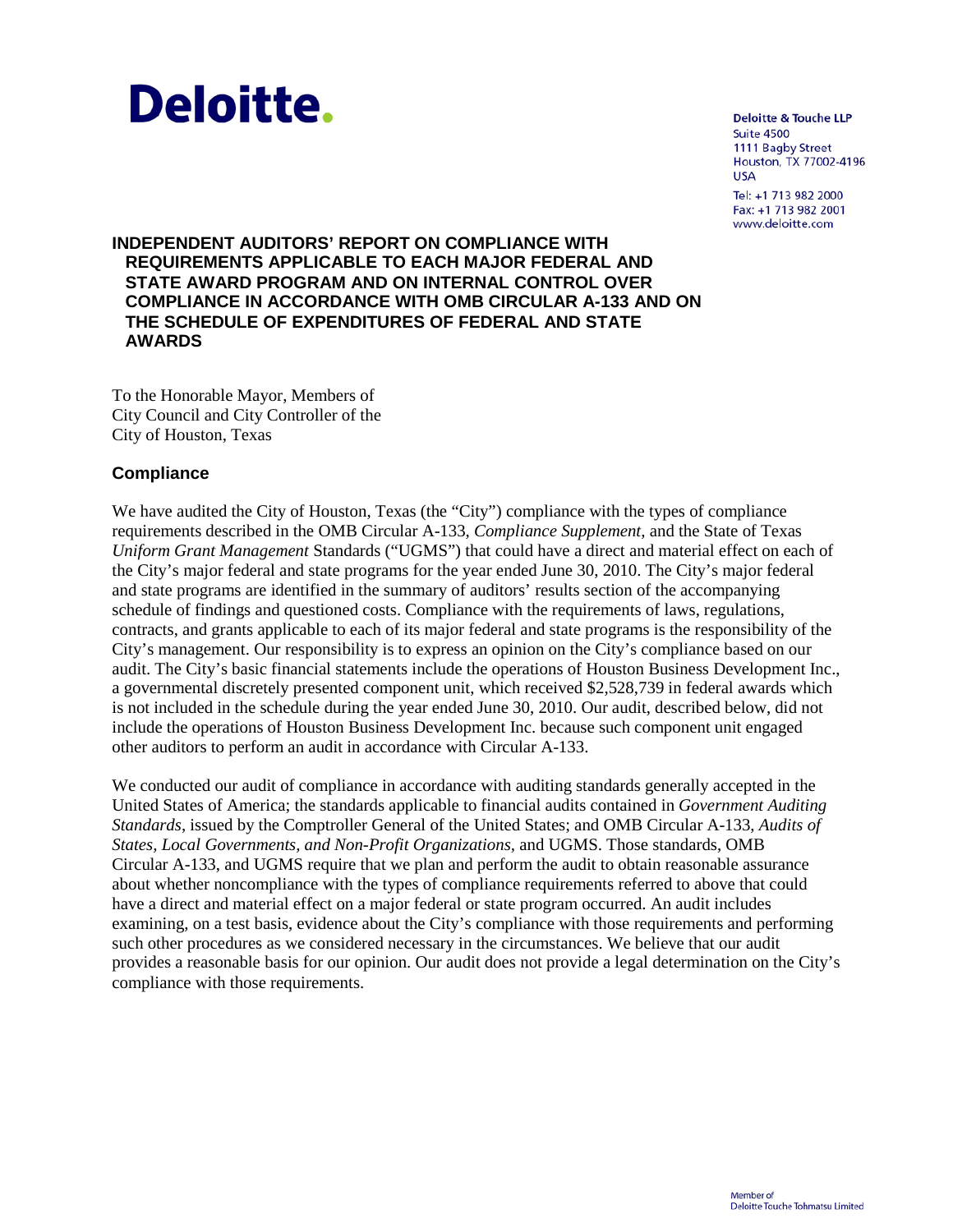

**Deloitte & Touche LLP Suite 4500** 1111 Bagby Street Houston, TX 77002-4196 **USA** 

Tel: +1 713 982 2000 Fax: +1 713 982 2001 www.deloitte.com

# **INDEPENDENT AUDITORS' REPORT ON COMPLIANCE WITH REQUIREMENTS APPLICABLE TO EACH MAJOR FEDERAL AND STATE AWARD PROGRAM AND ON INTERNAL CONTROL OVER COMPLIANCE IN ACCORDANCE WITH OMB CIRCULAR A-133 AND ON THE SCHEDULE OF EXPENDITURES OF FEDERAL AND STATE AWARDS**

To the Honorable Mayor, Members of City Council and City Controller of the City of Houston, Texas

# **Compliance**

We have audited the City of Houston, Texas (the "City") compliance with the types of compliance requirements described in the OMB Circular A-133, *Compliance Supplement,* and the State of Texas *Uniform Grant Management* Standards ("UGMS") that could have a direct and material effect on each of the City's major federal and state programs for the year ended June 30, 2010. The City's major federal and state programs are identified in the summary of auditors' results section of the accompanying schedule of findings and questioned costs. Compliance with the requirements of laws, regulations, contracts, and grants applicable to each of its major federal and state programs is the responsibility of the City's management. Our responsibility is to express an opinion on the City's compliance based on our audit. The City's basic financial statements include the operations of Houston Business Development Inc., a governmental discretely presented component unit, which received \$2,528,739 in federal awards which is not included in the schedule during the year ended June 30, 2010. Our audit, described below, did not include the operations of Houston Business Development Inc. because such component unit engaged other auditors to perform an audit in accordance with Circular A-133.

We conducted our audit of compliance in accordance with auditing standards generally accepted in the United States of America; the standards applicable to financial audits contained in *Government Auditing Standards*, issued by the Comptroller General of the United States; and OMB Circular A-133, *Audits of States, Local Governments, and Non-Profit Organizations,* and UGMS. Those standards, OMB Circular A-133, and UGMS require that we plan and perform the audit to obtain reasonable assurance about whether noncompliance with the types of compliance requirements referred to above that could have a direct and material effect on a major federal or state program occurred. An audit includes examining, on a test basis, evidence about the City's compliance with those requirements and performing such other procedures as we considered necessary in the circumstances. We believe that our audit provides a reasonable basis for our opinion. Our audit does not provide a legal determination on the City's compliance with those requirements.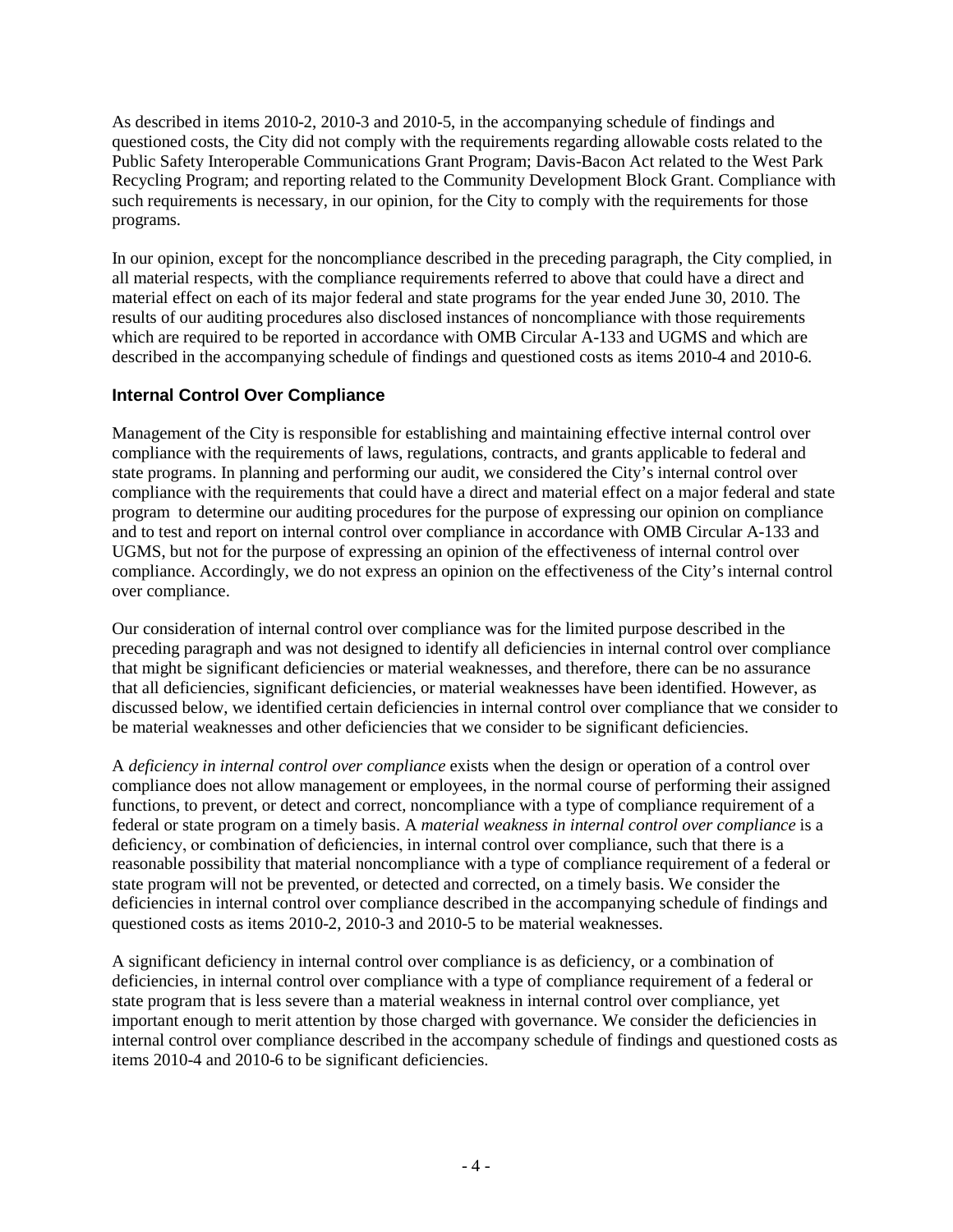As described in items 2010-2, 2010-3 and 2010-5, in the accompanying schedule of findings and questioned costs, the City did not comply with the requirements regarding allowable costs related to the Public Safety Interoperable Communications Grant Program; Davis-Bacon Act related to the West Park Recycling Program; and reporting related to the Community Development Block Grant. Compliance with such requirements is necessary, in our opinion, for the City to comply with the requirements for those programs.

In our opinion, except for the noncompliance described in the preceding paragraph, the City complied, in all material respects, with the compliance requirements referred to above that could have a direct and material effect on each of its major federal and state programs for the year ended June 30, 2010. The results of our auditing procedures also disclosed instances of noncompliance with those requirements which are required to be reported in accordance with OMB Circular  $A-133$  and UGMS and which are described in the accompanying schedule of findings and questioned costs as items 2010-4 and 2010-6.

# **Internal Control Over Compliance**

Management of the City is responsible for establishing and maintaining effective internal control over compliance with the requirements of laws, regulations, contracts, and grants applicable to federal and state programs. In planning and performing our audit, we considered the City's internal control over compliance with the requirements that could have a direct and material effect on a major federal and state program to determine our auditing procedures for the purpose of expressing our opinion on compliance and to test and report on internal control over compliance in accordance with OMB Circular A-133 and UGMS, but not for the purpose of expressing an opinion of the effectiveness of internal control over compliance. Accordingly, we do not express an opinion on the effectiveness of the City's internal control over compliance.

Our consideration of internal control over compliance was for the limited purpose described in the preceding paragraph and was not designed to identify all deficiencies in internal control over compliance that might be significant deficiencies or material weaknesses, and therefore, there can be no assurance that all deficiencies, significant deficiencies, or material weaknesses have been identified. However, as discussed below, we identified certain deficiencies in internal control over compliance that we consider to be material weaknesses and other deficiencies that we consider to be significant deficiencies.

A *deficiency in internal control over compliance* exists when the design or operation of a control over compliance does not allow management or employees, in the normal course of performing their assigned functions, to prevent, or detect and correct, noncompliance with a type of compliance requirement of a federal or state program on a timely basis. A *material weakness in internal control over compliance* is a deficiency, or combination of deficiencies, in internal control over compliance, such that there is a reasonable possibility that material noncompliance with a type of compliance requirement of a federal or state program will not be prevented, or detected and corrected, on a timely basis. We consider the deficiencies in internal control over compliance described in the accompanying schedule of findings and questioned costs as items 2010-2, 2010-3 and 2010-5 to be material weaknesses.

A significant deficiency in internal control over compliance is as deficiency, or a combination of deficiencies, in internal control over compliance with a type of compliance requirement of a federal or state program that is less severe than a material weakness in internal control over compliance, yet important enough to merit attention by those charged with governance. We consider the deficiencies in internal control over compliance described in the accompany schedule of findings and questioned costs as items 2010-4 and 2010-6 to be significant deficiencies.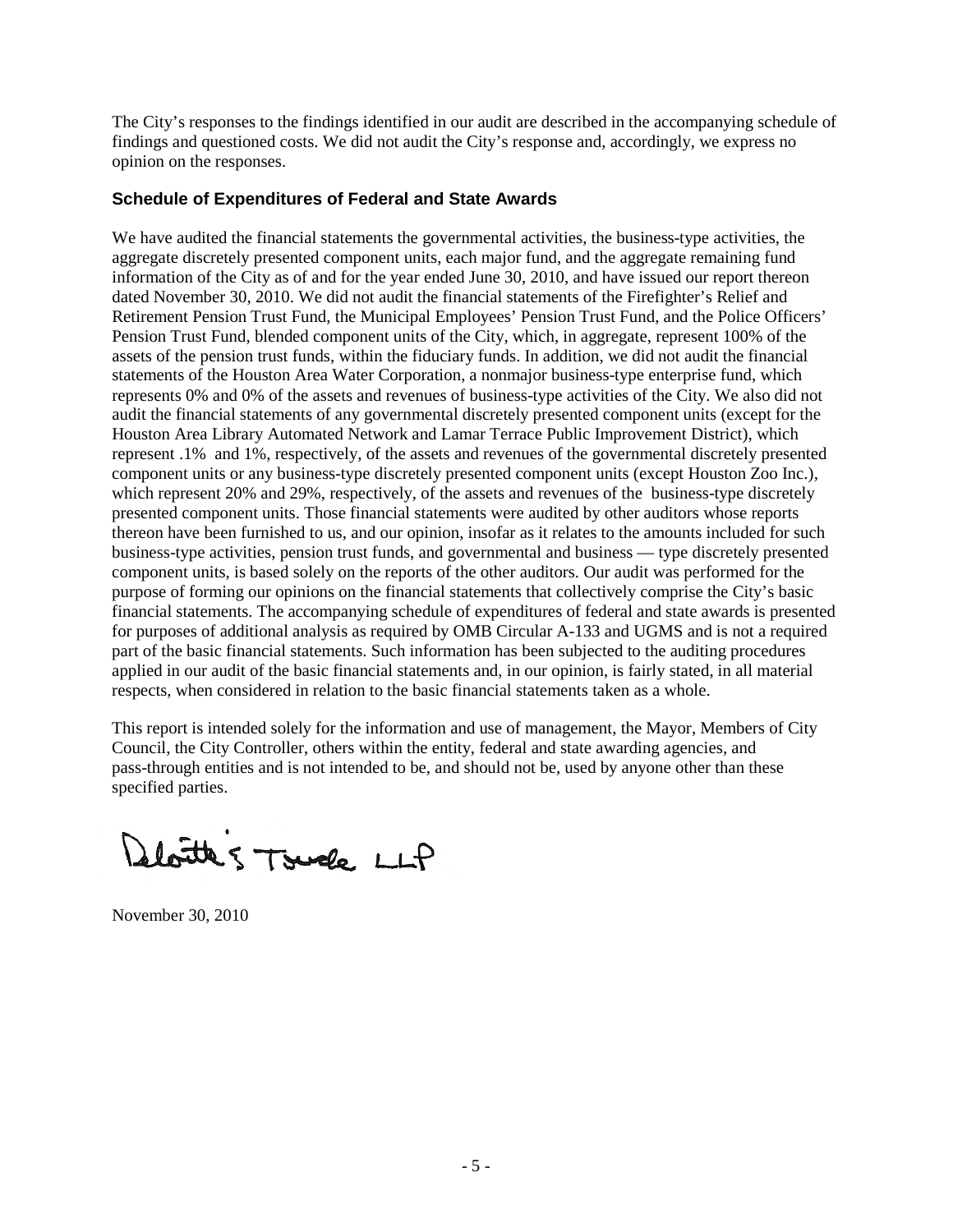The City's responses to the findings identified in our audit are described in the accompanying schedule of findings and questioned costs. We did not audit the City's response and, accordingly, we express no opinion on the responses.

# **Schedule of Expenditures of Federal and State Awards**

We have audited the financial statements the governmental activities, the business-type activities, the aggregate discretely presented component units, each major fund, and the aggregate remaining fund information of the City as of and for the year ended June 30, 2010, and have issued our report thereon dated November 30, 2010. We did not audit the financial statements of the Firefighter's Relief and Retirement Pension Trust Fund, the Municipal Employees' Pension Trust Fund, and the Police Officers' Pension Trust Fund, blended component units of the City, which, in aggregate, represent 100% of the assets of the pension trust funds, within the fiduciary funds. In addition, we did not audit the financial statements of the Houston Area Water Corporation, a nonmajor business-type enterprise fund, which represents 0% and 0% of the assets and revenues of business-type activities of the City. We also did not audit the financial statements of any governmental discretely presented component units (except for the Houston Area Library Automated Network and Lamar Terrace Public Improvement District), which represent .1% and 1%, respectively, of the assets and revenues of the governmental discretely presented component units or any business-type discretely presented component units (except Houston Zoo Inc.), which represent 20% and 29%, respectively, of the assets and revenues of the business-type discretely presented component units. Those financial statements were audited by other auditors whose reports thereon have been furnished to us, and our opinion, insofar as it relates to the amounts included for such business-type activities, pension trust funds, and governmental and business — type discretely presented component units, is based solely on the reports of the other auditors. Our audit was performed for the purpose of forming our opinions on the financial statements that collectively comprise the City's basic financial statements. The accompanying schedule of expenditures of federal and state awards is presented for purposes of additional analysis as required by OMB Circular A-133 and UGMS and is not a required part of the basic financial statements. Such information has been subjected to the auditing procedures applied in our audit of the basic financial statements and, in our opinion, is fairly stated, in all material respects, when considered in relation to the basic financial statements taken as a whole.

This report is intended solely for the information and use of management, the Mayor, Members of City Council, the City Controller, others within the entity, federal and state awarding agencies, and pass-through entities and is not intended to be, and should not be, used by anyone other than these specified parties.

Deloitte 5 Touche LLP

November 30, 2010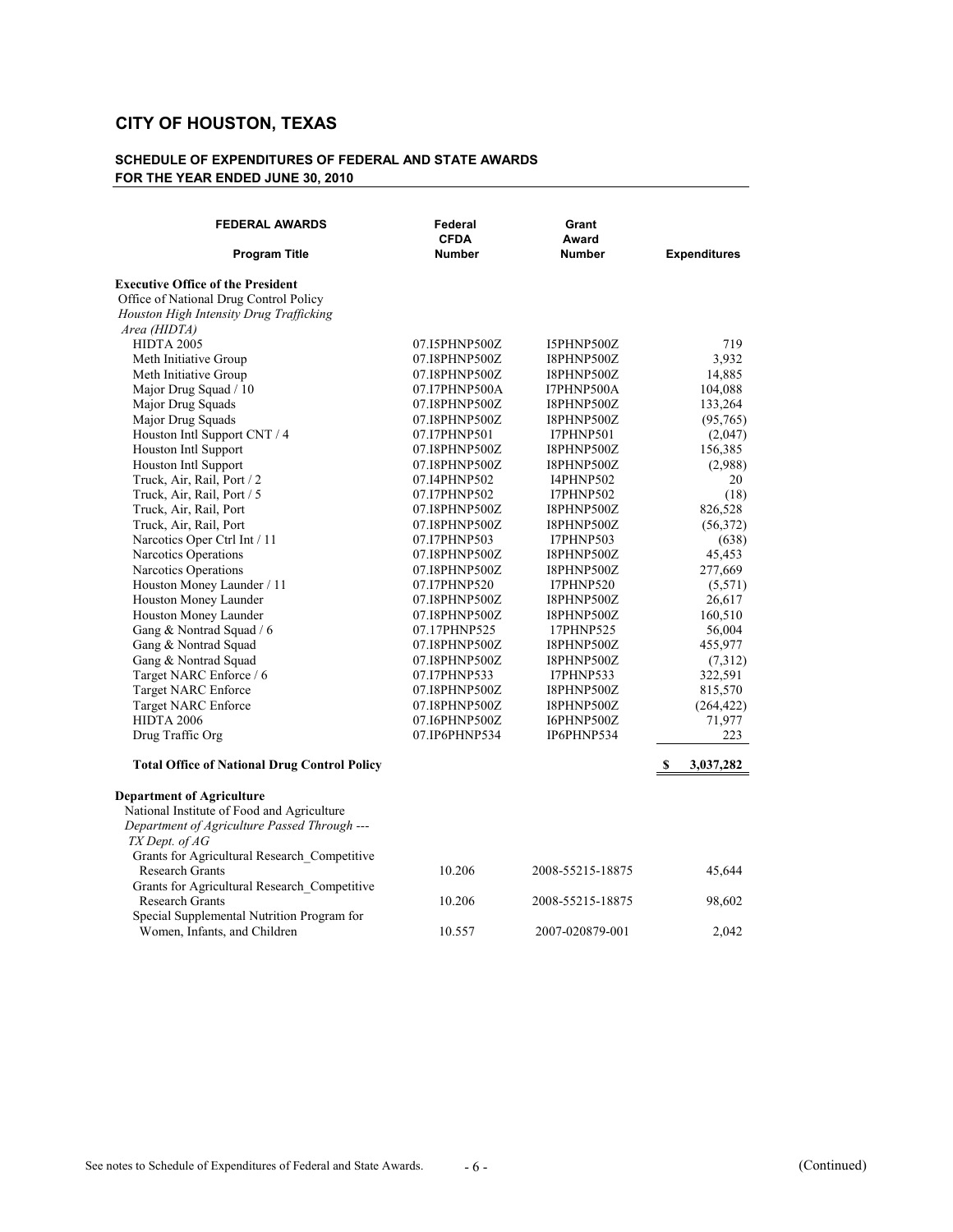| <b>Expenditures</b><br>Office of National Drug Control Policy<br>Houston High Intensity Drug Trafficking<br>Area (HIDTA)<br><b>HIDTA 2005</b><br>07.I5PHNP500Z<br>I5PHNP500Z<br>719<br>3,932<br>Meth Initiative Group<br>I8PHNP500Z<br>07.I8PHNP500Z<br>Meth Initiative Group<br>14,885<br>07.I8PHNP500Z<br>I8PHNP500Z<br>104,088<br>Major Drug Squad / 10<br>07.I7PHNP500A<br>I7PHNP500A<br>Major Drug Squads<br>133,264<br>07.I8PHNP500Z<br>I8PHNP500Z<br>Major Drug Squads<br>(95, 765)<br>07.I8PHNP500Z<br>I8PHNP500Z<br>Houston Intl Support CNT / 4<br>07.I7PHNP501<br><b>I7PHNP501</b><br>(2,047)<br>Houston Intl Support<br>156,385<br>07.I8PHNP500Z<br>I8PHNP500Z<br>Houston Intl Support<br>07.I8PHNP500Z<br>(2,988)<br>I8PHNP500Z<br>Truck, Air, Rail, Port / 2<br><b>I4PHNP502</b><br>20<br>07.I4PHNP502<br>Truck, Air, Rail, Port / 5<br>07.I7PHNP502<br><b>I7PHNP502</b><br>(18)<br>Truck, Air, Rail, Port<br>07.I8PHNP500Z<br>I8PHNP500Z<br>826,528<br>Truck, Air, Rail, Port<br>(56,372)<br>07.I8PHNP500Z<br>I8PHNP500Z<br>Narcotics Oper Ctrl Int / 11<br>07.I7PHNP503<br><b>I7PHNP503</b><br>(638)<br>Narcotics Operations<br>45,453<br>07.I8PHNP500Z<br>I8PHNP500Z<br>Narcotics Operations<br>277,669<br>07.I8PHNP500Z<br>I8PHNP500Z<br>Houston Money Launder / 11<br>(5,571)<br>07.I7PHNP520<br><b>I7PHNP520</b><br>Houston Money Launder<br>26,617<br>07.I8PHNP500Z<br>I8PHNP500Z<br>Houston Money Launder<br>07.I8PHNP500Z<br>I8PHNP500Z<br>160,510<br>Gang & Nontrad Squad / 6<br>07.17PHNP525<br>56,004<br>17PHNP525<br>Gang & Nontrad Squad<br>455,977<br>07.I8PHNP500Z<br>I8PHNP500Z<br>Gang & Nontrad Squad<br>07.I8PHNP500Z<br>I8PHNP500Z<br>(7,312)<br>Target NARC Enforce / 6<br>322,591<br>07.I7PHNP533<br>I7PHNP533<br><b>Target NARC Enforce</b><br>07.I8PHNP500Z<br>I8PHNP500Z<br>815,570<br>Target NARC Enforce<br>07.I8PHNP500Z<br>I8PHNP500Z<br>(264, 422)<br><b>HIDTA 2006</b><br>71,977<br>07.I6PHNP500Z<br>I6PHNP500Z<br>Drug Traffic Org<br>223<br>07.IP6PHNP534<br>IP6PHNP534<br><b>Total Office of National Drug Control Policy</b><br>3,037,282<br>S<br><b>Department of Agriculture</b><br>National Institute of Food and Agriculture<br>Department of Agriculture Passed Through ---<br>TX Dept. of AG<br>Grants for Agricultural Research_Competitive<br><b>Research Grants</b><br>10.206<br>45,644<br>2008-55215-18875<br>Grants for Agricultural Research Competitive<br><b>Research Grants</b><br>10.206<br>2008-55215-18875<br>98,602<br>Special Supplemental Nutrition Program for | <b>FEDERAL AWARDS</b><br><b>Program Title</b> | Federal<br><b>CFDA</b><br><b>Number</b> | Grant<br>Award<br><b>Number</b> |       |
|----------------------------------------------------------------------------------------------------------------------------------------------------------------------------------------------------------------------------------------------------------------------------------------------------------------------------------------------------------------------------------------------------------------------------------------------------------------------------------------------------------------------------------------------------------------------------------------------------------------------------------------------------------------------------------------------------------------------------------------------------------------------------------------------------------------------------------------------------------------------------------------------------------------------------------------------------------------------------------------------------------------------------------------------------------------------------------------------------------------------------------------------------------------------------------------------------------------------------------------------------------------------------------------------------------------------------------------------------------------------------------------------------------------------------------------------------------------------------------------------------------------------------------------------------------------------------------------------------------------------------------------------------------------------------------------------------------------------------------------------------------------------------------------------------------------------------------------------------------------------------------------------------------------------------------------------------------------------------------------------------------------------------------------------------------------------------------------------------------------------------------------------------------------------------------------------------------------------------------------------------------------------------------------------------------------------------------------------------------------------------------------------------------------------------------------------------------------------------------------------------------------------------------------|-----------------------------------------------|-----------------------------------------|---------------------------------|-------|
|                                                                                                                                                                                                                                                                                                                                                                                                                                                                                                                                                                                                                                                                                                                                                                                                                                                                                                                                                                                                                                                                                                                                                                                                                                                                                                                                                                                                                                                                                                                                                                                                                                                                                                                                                                                                                                                                                                                                                                                                                                                                                                                                                                                                                                                                                                                                                                                                                                                                                                                                        |                                               |                                         |                                 |       |
|                                                                                                                                                                                                                                                                                                                                                                                                                                                                                                                                                                                                                                                                                                                                                                                                                                                                                                                                                                                                                                                                                                                                                                                                                                                                                                                                                                                                                                                                                                                                                                                                                                                                                                                                                                                                                                                                                                                                                                                                                                                                                                                                                                                                                                                                                                                                                                                                                                                                                                                                        | <b>Executive Office of the President</b>      |                                         |                                 |       |
|                                                                                                                                                                                                                                                                                                                                                                                                                                                                                                                                                                                                                                                                                                                                                                                                                                                                                                                                                                                                                                                                                                                                                                                                                                                                                                                                                                                                                                                                                                                                                                                                                                                                                                                                                                                                                                                                                                                                                                                                                                                                                                                                                                                                                                                                                                                                                                                                                                                                                                                                        |                                               |                                         |                                 |       |
|                                                                                                                                                                                                                                                                                                                                                                                                                                                                                                                                                                                                                                                                                                                                                                                                                                                                                                                                                                                                                                                                                                                                                                                                                                                                                                                                                                                                                                                                                                                                                                                                                                                                                                                                                                                                                                                                                                                                                                                                                                                                                                                                                                                                                                                                                                                                                                                                                                                                                                                                        |                                               |                                         |                                 |       |
|                                                                                                                                                                                                                                                                                                                                                                                                                                                                                                                                                                                                                                                                                                                                                                                                                                                                                                                                                                                                                                                                                                                                                                                                                                                                                                                                                                                                                                                                                                                                                                                                                                                                                                                                                                                                                                                                                                                                                                                                                                                                                                                                                                                                                                                                                                                                                                                                                                                                                                                                        |                                               |                                         |                                 |       |
|                                                                                                                                                                                                                                                                                                                                                                                                                                                                                                                                                                                                                                                                                                                                                                                                                                                                                                                                                                                                                                                                                                                                                                                                                                                                                                                                                                                                                                                                                                                                                                                                                                                                                                                                                                                                                                                                                                                                                                                                                                                                                                                                                                                                                                                                                                                                                                                                                                                                                                                                        |                                               |                                         |                                 |       |
|                                                                                                                                                                                                                                                                                                                                                                                                                                                                                                                                                                                                                                                                                                                                                                                                                                                                                                                                                                                                                                                                                                                                                                                                                                                                                                                                                                                                                                                                                                                                                                                                                                                                                                                                                                                                                                                                                                                                                                                                                                                                                                                                                                                                                                                                                                                                                                                                                                                                                                                                        |                                               |                                         |                                 |       |
|                                                                                                                                                                                                                                                                                                                                                                                                                                                                                                                                                                                                                                                                                                                                                                                                                                                                                                                                                                                                                                                                                                                                                                                                                                                                                                                                                                                                                                                                                                                                                                                                                                                                                                                                                                                                                                                                                                                                                                                                                                                                                                                                                                                                                                                                                                                                                                                                                                                                                                                                        |                                               |                                         |                                 |       |
|                                                                                                                                                                                                                                                                                                                                                                                                                                                                                                                                                                                                                                                                                                                                                                                                                                                                                                                                                                                                                                                                                                                                                                                                                                                                                                                                                                                                                                                                                                                                                                                                                                                                                                                                                                                                                                                                                                                                                                                                                                                                                                                                                                                                                                                                                                                                                                                                                                                                                                                                        |                                               |                                         |                                 |       |
|                                                                                                                                                                                                                                                                                                                                                                                                                                                                                                                                                                                                                                                                                                                                                                                                                                                                                                                                                                                                                                                                                                                                                                                                                                                                                                                                                                                                                                                                                                                                                                                                                                                                                                                                                                                                                                                                                                                                                                                                                                                                                                                                                                                                                                                                                                                                                                                                                                                                                                                                        |                                               |                                         |                                 |       |
|                                                                                                                                                                                                                                                                                                                                                                                                                                                                                                                                                                                                                                                                                                                                                                                                                                                                                                                                                                                                                                                                                                                                                                                                                                                                                                                                                                                                                                                                                                                                                                                                                                                                                                                                                                                                                                                                                                                                                                                                                                                                                                                                                                                                                                                                                                                                                                                                                                                                                                                                        |                                               |                                         |                                 |       |
|                                                                                                                                                                                                                                                                                                                                                                                                                                                                                                                                                                                                                                                                                                                                                                                                                                                                                                                                                                                                                                                                                                                                                                                                                                                                                                                                                                                                                                                                                                                                                                                                                                                                                                                                                                                                                                                                                                                                                                                                                                                                                                                                                                                                                                                                                                                                                                                                                                                                                                                                        |                                               |                                         |                                 |       |
|                                                                                                                                                                                                                                                                                                                                                                                                                                                                                                                                                                                                                                                                                                                                                                                                                                                                                                                                                                                                                                                                                                                                                                                                                                                                                                                                                                                                                                                                                                                                                                                                                                                                                                                                                                                                                                                                                                                                                                                                                                                                                                                                                                                                                                                                                                                                                                                                                                                                                                                                        |                                               |                                         |                                 |       |
|                                                                                                                                                                                                                                                                                                                                                                                                                                                                                                                                                                                                                                                                                                                                                                                                                                                                                                                                                                                                                                                                                                                                                                                                                                                                                                                                                                                                                                                                                                                                                                                                                                                                                                                                                                                                                                                                                                                                                                                                                                                                                                                                                                                                                                                                                                                                                                                                                                                                                                                                        |                                               |                                         |                                 |       |
|                                                                                                                                                                                                                                                                                                                                                                                                                                                                                                                                                                                                                                                                                                                                                                                                                                                                                                                                                                                                                                                                                                                                                                                                                                                                                                                                                                                                                                                                                                                                                                                                                                                                                                                                                                                                                                                                                                                                                                                                                                                                                                                                                                                                                                                                                                                                                                                                                                                                                                                                        |                                               |                                         |                                 |       |
|                                                                                                                                                                                                                                                                                                                                                                                                                                                                                                                                                                                                                                                                                                                                                                                                                                                                                                                                                                                                                                                                                                                                                                                                                                                                                                                                                                                                                                                                                                                                                                                                                                                                                                                                                                                                                                                                                                                                                                                                                                                                                                                                                                                                                                                                                                                                                                                                                                                                                                                                        |                                               |                                         |                                 |       |
|                                                                                                                                                                                                                                                                                                                                                                                                                                                                                                                                                                                                                                                                                                                                                                                                                                                                                                                                                                                                                                                                                                                                                                                                                                                                                                                                                                                                                                                                                                                                                                                                                                                                                                                                                                                                                                                                                                                                                                                                                                                                                                                                                                                                                                                                                                                                                                                                                                                                                                                                        |                                               |                                         |                                 |       |
|                                                                                                                                                                                                                                                                                                                                                                                                                                                                                                                                                                                                                                                                                                                                                                                                                                                                                                                                                                                                                                                                                                                                                                                                                                                                                                                                                                                                                                                                                                                                                                                                                                                                                                                                                                                                                                                                                                                                                                                                                                                                                                                                                                                                                                                                                                                                                                                                                                                                                                                                        |                                               |                                         |                                 |       |
|                                                                                                                                                                                                                                                                                                                                                                                                                                                                                                                                                                                                                                                                                                                                                                                                                                                                                                                                                                                                                                                                                                                                                                                                                                                                                                                                                                                                                                                                                                                                                                                                                                                                                                                                                                                                                                                                                                                                                                                                                                                                                                                                                                                                                                                                                                                                                                                                                                                                                                                                        |                                               |                                         |                                 |       |
|                                                                                                                                                                                                                                                                                                                                                                                                                                                                                                                                                                                                                                                                                                                                                                                                                                                                                                                                                                                                                                                                                                                                                                                                                                                                                                                                                                                                                                                                                                                                                                                                                                                                                                                                                                                                                                                                                                                                                                                                                                                                                                                                                                                                                                                                                                                                                                                                                                                                                                                                        |                                               |                                         |                                 |       |
|                                                                                                                                                                                                                                                                                                                                                                                                                                                                                                                                                                                                                                                                                                                                                                                                                                                                                                                                                                                                                                                                                                                                                                                                                                                                                                                                                                                                                                                                                                                                                                                                                                                                                                                                                                                                                                                                                                                                                                                                                                                                                                                                                                                                                                                                                                                                                                                                                                                                                                                                        |                                               |                                         |                                 |       |
|                                                                                                                                                                                                                                                                                                                                                                                                                                                                                                                                                                                                                                                                                                                                                                                                                                                                                                                                                                                                                                                                                                                                                                                                                                                                                                                                                                                                                                                                                                                                                                                                                                                                                                                                                                                                                                                                                                                                                                                                                                                                                                                                                                                                                                                                                                                                                                                                                                                                                                                                        |                                               |                                         |                                 |       |
|                                                                                                                                                                                                                                                                                                                                                                                                                                                                                                                                                                                                                                                                                                                                                                                                                                                                                                                                                                                                                                                                                                                                                                                                                                                                                                                                                                                                                                                                                                                                                                                                                                                                                                                                                                                                                                                                                                                                                                                                                                                                                                                                                                                                                                                                                                                                                                                                                                                                                                                                        |                                               |                                         |                                 |       |
|                                                                                                                                                                                                                                                                                                                                                                                                                                                                                                                                                                                                                                                                                                                                                                                                                                                                                                                                                                                                                                                                                                                                                                                                                                                                                                                                                                                                                                                                                                                                                                                                                                                                                                                                                                                                                                                                                                                                                                                                                                                                                                                                                                                                                                                                                                                                                                                                                                                                                                                                        |                                               |                                         |                                 |       |
|                                                                                                                                                                                                                                                                                                                                                                                                                                                                                                                                                                                                                                                                                                                                                                                                                                                                                                                                                                                                                                                                                                                                                                                                                                                                                                                                                                                                                                                                                                                                                                                                                                                                                                                                                                                                                                                                                                                                                                                                                                                                                                                                                                                                                                                                                                                                                                                                                                                                                                                                        |                                               |                                         |                                 |       |
|                                                                                                                                                                                                                                                                                                                                                                                                                                                                                                                                                                                                                                                                                                                                                                                                                                                                                                                                                                                                                                                                                                                                                                                                                                                                                                                                                                                                                                                                                                                                                                                                                                                                                                                                                                                                                                                                                                                                                                                                                                                                                                                                                                                                                                                                                                                                                                                                                                                                                                                                        |                                               |                                         |                                 |       |
|                                                                                                                                                                                                                                                                                                                                                                                                                                                                                                                                                                                                                                                                                                                                                                                                                                                                                                                                                                                                                                                                                                                                                                                                                                                                                                                                                                                                                                                                                                                                                                                                                                                                                                                                                                                                                                                                                                                                                                                                                                                                                                                                                                                                                                                                                                                                                                                                                                                                                                                                        |                                               |                                         |                                 |       |
|                                                                                                                                                                                                                                                                                                                                                                                                                                                                                                                                                                                                                                                                                                                                                                                                                                                                                                                                                                                                                                                                                                                                                                                                                                                                                                                                                                                                                                                                                                                                                                                                                                                                                                                                                                                                                                                                                                                                                                                                                                                                                                                                                                                                                                                                                                                                                                                                                                                                                                                                        |                                               |                                         |                                 |       |
|                                                                                                                                                                                                                                                                                                                                                                                                                                                                                                                                                                                                                                                                                                                                                                                                                                                                                                                                                                                                                                                                                                                                                                                                                                                                                                                                                                                                                                                                                                                                                                                                                                                                                                                                                                                                                                                                                                                                                                                                                                                                                                                                                                                                                                                                                                                                                                                                                                                                                                                                        |                                               |                                         |                                 |       |
|                                                                                                                                                                                                                                                                                                                                                                                                                                                                                                                                                                                                                                                                                                                                                                                                                                                                                                                                                                                                                                                                                                                                                                                                                                                                                                                                                                                                                                                                                                                                                                                                                                                                                                                                                                                                                                                                                                                                                                                                                                                                                                                                                                                                                                                                                                                                                                                                                                                                                                                                        |                                               |                                         |                                 |       |
|                                                                                                                                                                                                                                                                                                                                                                                                                                                                                                                                                                                                                                                                                                                                                                                                                                                                                                                                                                                                                                                                                                                                                                                                                                                                                                                                                                                                                                                                                                                                                                                                                                                                                                                                                                                                                                                                                                                                                                                                                                                                                                                                                                                                                                                                                                                                                                                                                                                                                                                                        |                                               |                                         |                                 |       |
|                                                                                                                                                                                                                                                                                                                                                                                                                                                                                                                                                                                                                                                                                                                                                                                                                                                                                                                                                                                                                                                                                                                                                                                                                                                                                                                                                                                                                                                                                                                                                                                                                                                                                                                                                                                                                                                                                                                                                                                                                                                                                                                                                                                                                                                                                                                                                                                                                                                                                                                                        |                                               |                                         |                                 |       |
|                                                                                                                                                                                                                                                                                                                                                                                                                                                                                                                                                                                                                                                                                                                                                                                                                                                                                                                                                                                                                                                                                                                                                                                                                                                                                                                                                                                                                                                                                                                                                                                                                                                                                                                                                                                                                                                                                                                                                                                                                                                                                                                                                                                                                                                                                                                                                                                                                                                                                                                                        |                                               |                                         |                                 |       |
|                                                                                                                                                                                                                                                                                                                                                                                                                                                                                                                                                                                                                                                                                                                                                                                                                                                                                                                                                                                                                                                                                                                                                                                                                                                                                                                                                                                                                                                                                                                                                                                                                                                                                                                                                                                                                                                                                                                                                                                                                                                                                                                                                                                                                                                                                                                                                                                                                                                                                                                                        |                                               |                                         |                                 |       |
|                                                                                                                                                                                                                                                                                                                                                                                                                                                                                                                                                                                                                                                                                                                                                                                                                                                                                                                                                                                                                                                                                                                                                                                                                                                                                                                                                                                                                                                                                                                                                                                                                                                                                                                                                                                                                                                                                                                                                                                                                                                                                                                                                                                                                                                                                                                                                                                                                                                                                                                                        |                                               |                                         |                                 |       |
|                                                                                                                                                                                                                                                                                                                                                                                                                                                                                                                                                                                                                                                                                                                                                                                                                                                                                                                                                                                                                                                                                                                                                                                                                                                                                                                                                                                                                                                                                                                                                                                                                                                                                                                                                                                                                                                                                                                                                                                                                                                                                                                                                                                                                                                                                                                                                                                                                                                                                                                                        |                                               |                                         |                                 |       |
|                                                                                                                                                                                                                                                                                                                                                                                                                                                                                                                                                                                                                                                                                                                                                                                                                                                                                                                                                                                                                                                                                                                                                                                                                                                                                                                                                                                                                                                                                                                                                                                                                                                                                                                                                                                                                                                                                                                                                                                                                                                                                                                                                                                                                                                                                                                                                                                                                                                                                                                                        |                                               |                                         |                                 |       |
|                                                                                                                                                                                                                                                                                                                                                                                                                                                                                                                                                                                                                                                                                                                                                                                                                                                                                                                                                                                                                                                                                                                                                                                                                                                                                                                                                                                                                                                                                                                                                                                                                                                                                                                                                                                                                                                                                                                                                                                                                                                                                                                                                                                                                                                                                                                                                                                                                                                                                                                                        |                                               |                                         |                                 |       |
|                                                                                                                                                                                                                                                                                                                                                                                                                                                                                                                                                                                                                                                                                                                                                                                                                                                                                                                                                                                                                                                                                                                                                                                                                                                                                                                                                                                                                                                                                                                                                                                                                                                                                                                                                                                                                                                                                                                                                                                                                                                                                                                                                                                                                                                                                                                                                                                                                                                                                                                                        |                                               |                                         |                                 |       |
|                                                                                                                                                                                                                                                                                                                                                                                                                                                                                                                                                                                                                                                                                                                                                                                                                                                                                                                                                                                                                                                                                                                                                                                                                                                                                                                                                                                                                                                                                                                                                                                                                                                                                                                                                                                                                                                                                                                                                                                                                                                                                                                                                                                                                                                                                                                                                                                                                                                                                                                                        |                                               |                                         |                                 |       |
|                                                                                                                                                                                                                                                                                                                                                                                                                                                                                                                                                                                                                                                                                                                                                                                                                                                                                                                                                                                                                                                                                                                                                                                                                                                                                                                                                                                                                                                                                                                                                                                                                                                                                                                                                                                                                                                                                                                                                                                                                                                                                                                                                                                                                                                                                                                                                                                                                                                                                                                                        |                                               |                                         |                                 |       |
|                                                                                                                                                                                                                                                                                                                                                                                                                                                                                                                                                                                                                                                                                                                                                                                                                                                                                                                                                                                                                                                                                                                                                                                                                                                                                                                                                                                                                                                                                                                                                                                                                                                                                                                                                                                                                                                                                                                                                                                                                                                                                                                                                                                                                                                                                                                                                                                                                                                                                                                                        |                                               |                                         |                                 |       |
|                                                                                                                                                                                                                                                                                                                                                                                                                                                                                                                                                                                                                                                                                                                                                                                                                                                                                                                                                                                                                                                                                                                                                                                                                                                                                                                                                                                                                                                                                                                                                                                                                                                                                                                                                                                                                                                                                                                                                                                                                                                                                                                                                                                                                                                                                                                                                                                                                                                                                                                                        | Women, Infants, and Children                  | 10.557                                  | 2007-020879-001                 | 2,042 |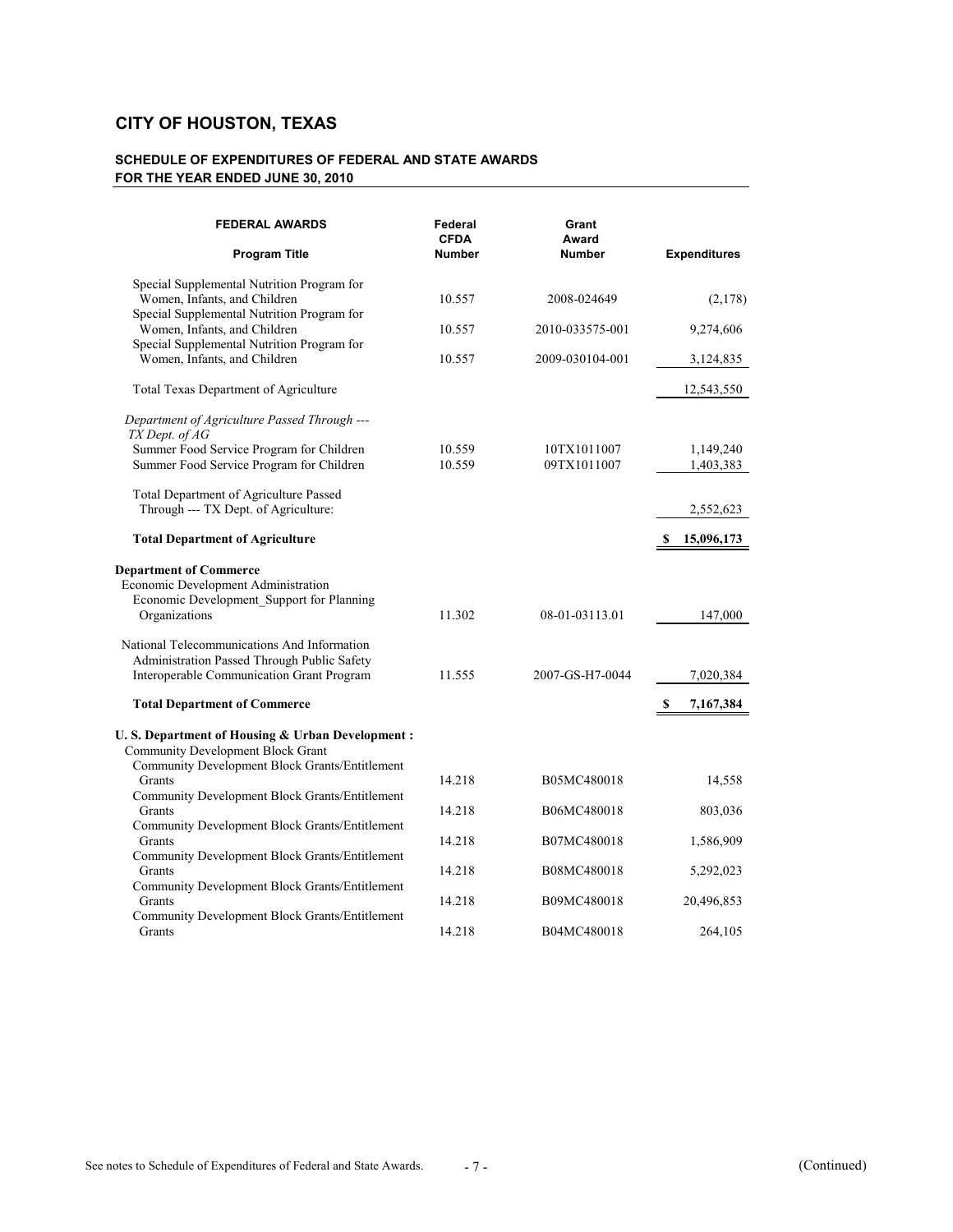| <b>FEDERAL AWARDS</b>                                                                                                                         | Federal<br><b>CFDA</b> | Grant<br>Award             |                        |
|-----------------------------------------------------------------------------------------------------------------------------------------------|------------------------|----------------------------|------------------------|
| <b>Program Title</b>                                                                                                                          | <b>Number</b>          | <b>Number</b>              | <b>Expenditures</b>    |
| Special Supplemental Nutrition Program for<br>Women, Infants, and Children                                                                    | 10.557                 | 2008-024649                | (2,178)                |
| Special Supplemental Nutrition Program for<br>Women, Infants, and Children<br>Special Supplemental Nutrition Program for                      | 10.557                 | 2010-033575-001            | 9,274,606              |
| Women, Infants, and Children                                                                                                                  | 10.557                 | 2009-030104-001            | 3,124,835              |
| Total Texas Department of Agriculture                                                                                                         |                        |                            | 12,543,550             |
| Department of Agriculture Passed Through ---<br>TX Dept. of AG                                                                                |                        |                            |                        |
| Summer Food Service Program for Children<br>Summer Food Service Program for Children                                                          | 10.559<br>10.559       | 10TX1011007<br>09TX1011007 | 1,149,240<br>1,403,383 |
| Total Department of Agriculture Passed<br>Through --- TX Dept. of Agriculture:                                                                |                        |                            | 2,552,623              |
| <b>Total Department of Agriculture</b>                                                                                                        |                        |                            | 15,096,173<br>S        |
| <b>Department of Commerce</b><br>Economic Development Administration<br>Economic Development_Support for Planning<br>Organizations            | 11.302                 | 08-01-03113.01             | 147,000                |
| National Telecommunications And Information<br>Administration Passed Through Public Safety<br>Interoperable Communication Grant Program       | 11.555                 | 2007-GS-H7-0044            | 7,020,384              |
| <b>Total Department of Commerce</b>                                                                                                           |                        |                            | S<br>7,167,384         |
| U.S. Department of Housing & Urban Development:<br><b>Community Development Block Grant</b><br>Community Development Block Grants/Entitlement |                        |                            |                        |
| Grants                                                                                                                                        | 14.218                 | B05MC480018                | 14,558                 |
| Community Development Block Grants/Entitlement<br>Grants                                                                                      | 14.218                 | B06MC480018                | 803,036                |
| Community Development Block Grants/Entitlement<br>Grants                                                                                      | 14.218                 | B07MC480018                | 1,586,909              |
| Community Development Block Grants/Entitlement<br>Grants                                                                                      | 14.218                 | B08MC480018                | 5,292,023              |
| Community Development Block Grants/Entitlement<br>Grants                                                                                      | 14.218                 | B09MC480018                | 20,496,853             |
| Community Development Block Grants/Entitlement<br>Grants                                                                                      | 14.218                 | B04MC480018                | 264,105                |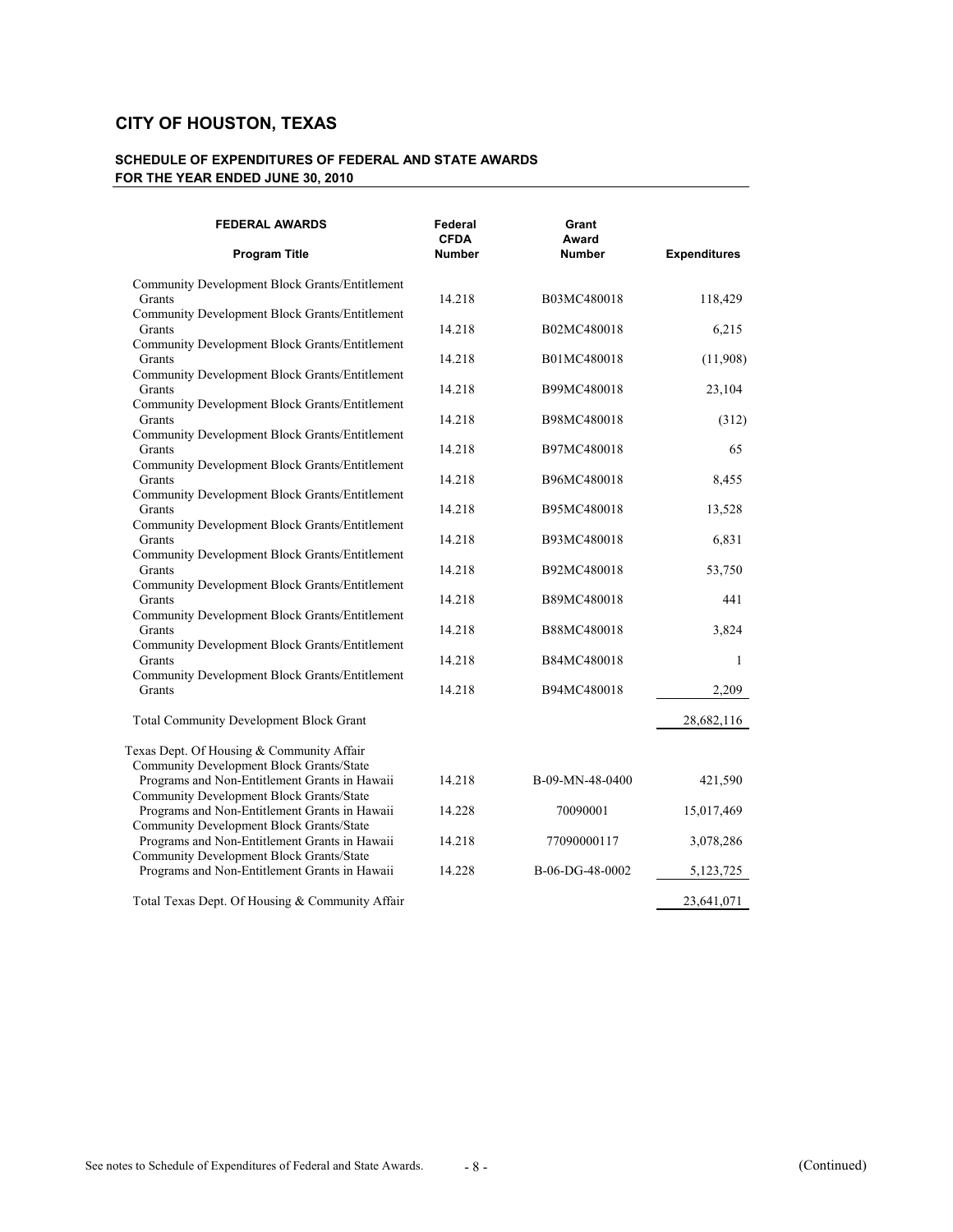| <b>FEDERAL AWARDS</b>                                                                                      | Federal<br><b>CFDA</b> | Grant<br>Award             |                     |
|------------------------------------------------------------------------------------------------------------|------------------------|----------------------------|---------------------|
| <b>Program Title</b>                                                                                       | <b>Number</b>          | <b>Number</b>              | <b>Expenditures</b> |
| Community Development Block Grants/Entitlement<br>Grants                                                   | 14.218                 | B03MC480018                | 118,429             |
| Community Development Block Grants/Entitlement<br>Grants                                                   | 14.218                 | B02MC480018                | 6,215               |
| Community Development Block Grants/Entitlement<br>Grants                                                   | 14.218                 | B01MC480018                | (11,908)            |
| Community Development Block Grants/Entitlement<br>Grants<br>Community Development Block Grants/Entitlement | 14.218                 | B99MC480018                | 23,104              |
| Grants<br>Community Development Block Grants/Entitlement                                                   | 14.218                 | B98MC480018                | (312)               |
| Grants<br>Community Development Block Grants/Entitlement                                                   | 14.218                 | B97MC480018                | 65                  |
| Grants<br>Community Development Block Grants/Entitlement                                                   | 14.218                 | B96MC480018                | 8,455               |
| Grants<br>Community Development Block Grants/Entitlement                                                   | 14.218                 | B95MC480018                | 13,528              |
| Grants<br>Community Development Block Grants/Entitlement                                                   | 14.218                 | B93MC480018                | 6,831               |
| Grants<br>Community Development Block Grants/Entitlement                                                   | 14.218                 | B92MC480018                | 53,750              |
| Grants<br>Community Development Block Grants/Entitlement<br>Grants                                         | 14.218<br>14.218       | B89MC480018<br>B88MC480018 | 441<br>3,824        |
| Community Development Block Grants/Entitlement<br>Grants                                                   | 14.218                 | B84MC480018                | 1                   |
| Community Development Block Grants/Entitlement<br>Grants                                                   | 14.218                 | B94MC480018                | 2,209               |
| <b>Total Community Development Block Grant</b>                                                             |                        |                            | 28,682,116          |
| Texas Dept. Of Housing & Community Affair<br>Community Development Block Grants/State                      |                        |                            |                     |
| Programs and Non-Entitlement Grants in Hawaii<br>Community Development Block Grants/State                  | 14.218                 | B-09-MN-48-0400            | 421,590             |
| Programs and Non-Entitlement Grants in Hawaii<br>Community Development Block Grants/State                  | 14.228                 | 70090001                   | 15,017,469          |
| Programs and Non-Entitlement Grants in Hawaii<br>Community Development Block Grants/State                  | 14.218                 | 77090000117                | 3,078,286           |
| Programs and Non-Entitlement Grants in Hawaii                                                              | 14.228                 | B-06-DG-48-0002            | 5, 123, 725         |
| Total Texas Dept. Of Housing & Community Affair                                                            |                        |                            | 23,641,071          |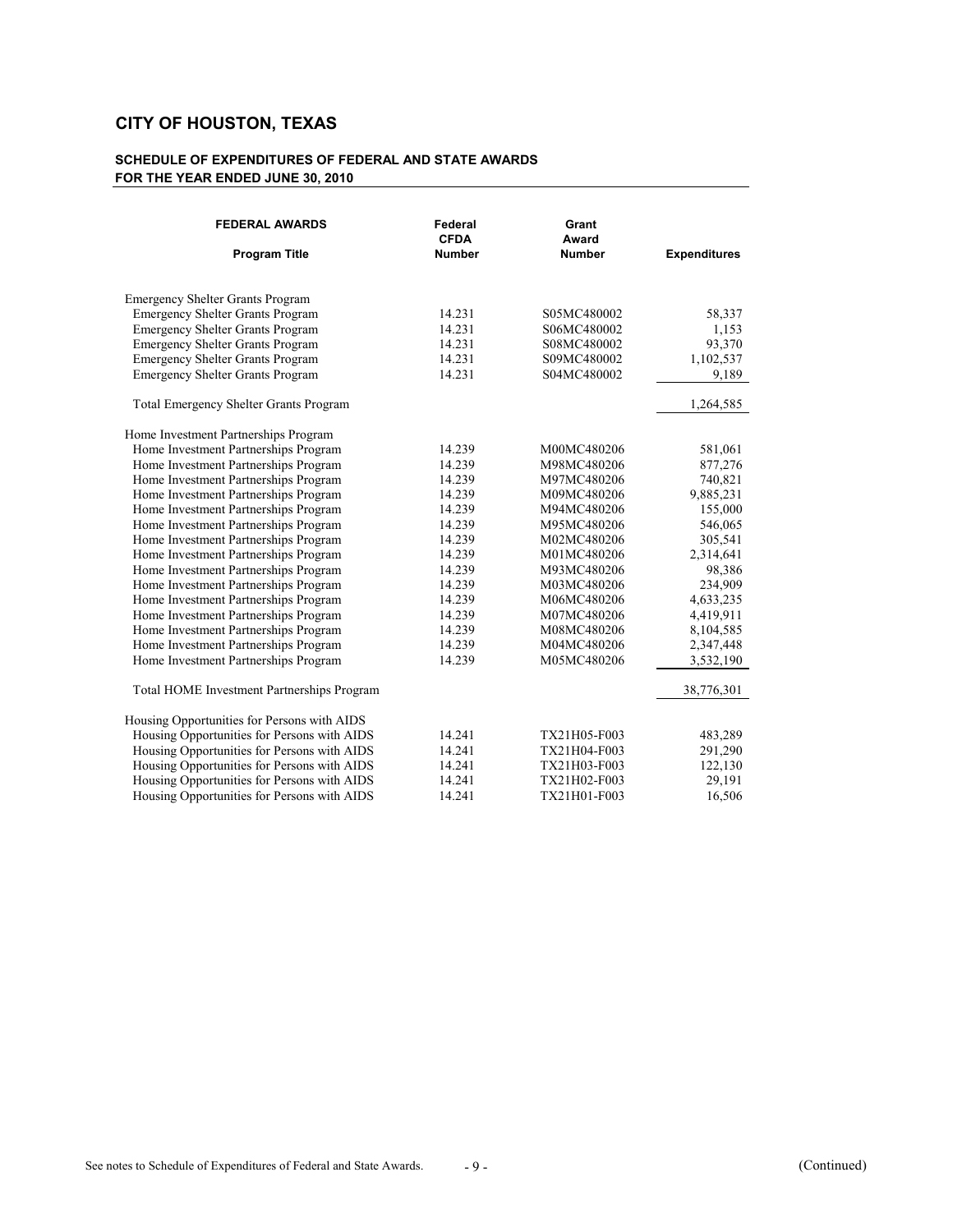| <b>Program Title</b><br><b>Number</b><br><b>Number</b><br><b>Expenditures</b><br><b>Emergency Shelter Grants Program</b><br><b>Emergency Shelter Grants Program</b><br>14.231<br>58,337<br>S05MC480002<br><b>Emergency Shelter Grants Program</b><br>14.231<br>1,153<br>S06MC480002<br>93,370<br><b>Emergency Shelter Grants Program</b><br>14.231<br>S08MC480002<br><b>Emergency Shelter Grants Program</b><br>14.231<br>1,102,537<br>S09MC480002<br>14.231<br>9,189<br><b>Emergency Shelter Grants Program</b><br>S04MC480002<br><b>Total Emergency Shelter Grants Program</b><br>1,264,585<br>Home Investment Partnerships Program<br>Home Investment Partnerships Program<br>14.239<br>M00MC480206<br>581,061<br>Home Investment Partnerships Program<br>877,276<br>14.239<br>M98MC480206<br>Home Investment Partnerships Program<br>740,821<br>14.239<br>M97MC480206<br>Home Investment Partnerships Program<br>9,885,231<br>14.239<br>M09MC480206<br>Home Investment Partnerships Program<br>155,000<br>14.239<br>M94MC480206<br>546,065<br>Home Investment Partnerships Program<br>14.239<br>M95MC480206<br>Home Investment Partnerships Program<br>14.239<br>305,541<br>M02MC480206<br>Home Investment Partnerships Program<br>14.239<br>2,314,641<br>M01MC480206<br>Home Investment Partnerships Program<br>14.239<br>98,386<br>M93MC480206<br>14.239<br>234,909<br>Home Investment Partnerships Program<br>M03MC480206<br>14.239<br>4,633,235<br>Home Investment Partnerships Program<br>M06MC480206<br>Home Investment Partnerships Program<br>4,419,911<br>14.239<br>M07MC480206<br>Home Investment Partnerships Program<br>8,104,585<br>14.239<br>M08MC480206<br>Home Investment Partnerships Program<br>14.239<br>2,347,448<br>M04MC480206<br>Home Investment Partnerships Program<br>14.239<br>3,532,190<br>M05MC480206<br>Total HOME Investment Partnerships Program<br>38,776,301<br>Housing Opportunities for Persons with AIDS<br>Housing Opportunities for Persons with AIDS<br>14.241<br>TX21H05-F003<br>483,289<br>Housing Opportunities for Persons with AIDS<br>14.241<br>291,290<br>TX21H04-F003<br>Housing Opportunities for Persons with AIDS<br>122,130<br>14.241<br>TX21H03-F003<br>Housing Opportunities for Persons with AIDS<br>14.241<br>29,191<br>TX21H02-F003<br>14.241<br>16,506<br>TX21H01-F003 | <b>FEDERAL AWARDS</b>                       | Federal<br><b>CFDA</b> | Grant<br>Award |  |
|--------------------------------------------------------------------------------------------------------------------------------------------------------------------------------------------------------------------------------------------------------------------------------------------------------------------------------------------------------------------------------------------------------------------------------------------------------------------------------------------------------------------------------------------------------------------------------------------------------------------------------------------------------------------------------------------------------------------------------------------------------------------------------------------------------------------------------------------------------------------------------------------------------------------------------------------------------------------------------------------------------------------------------------------------------------------------------------------------------------------------------------------------------------------------------------------------------------------------------------------------------------------------------------------------------------------------------------------------------------------------------------------------------------------------------------------------------------------------------------------------------------------------------------------------------------------------------------------------------------------------------------------------------------------------------------------------------------------------------------------------------------------------------------------------------------------------------------------------------------------------------------------------------------------------------------------------------------------------------------------------------------------------------------------------------------------------------------------------------------------------------------------------------------------------------------------------------------------------------------------------------------------------------------------------------------------------------------|---------------------------------------------|------------------------|----------------|--|
|                                                                                                                                                                                                                                                                                                                                                                                                                                                                                                                                                                                                                                                                                                                                                                                                                                                                                                                                                                                                                                                                                                                                                                                                                                                                                                                                                                                                                                                                                                                                                                                                                                                                                                                                                                                                                                                                                                                                                                                                                                                                                                                                                                                                                                                                                                                                      |                                             |                        |                |  |
|                                                                                                                                                                                                                                                                                                                                                                                                                                                                                                                                                                                                                                                                                                                                                                                                                                                                                                                                                                                                                                                                                                                                                                                                                                                                                                                                                                                                                                                                                                                                                                                                                                                                                                                                                                                                                                                                                                                                                                                                                                                                                                                                                                                                                                                                                                                                      |                                             |                        |                |  |
|                                                                                                                                                                                                                                                                                                                                                                                                                                                                                                                                                                                                                                                                                                                                                                                                                                                                                                                                                                                                                                                                                                                                                                                                                                                                                                                                                                                                                                                                                                                                                                                                                                                                                                                                                                                                                                                                                                                                                                                                                                                                                                                                                                                                                                                                                                                                      |                                             |                        |                |  |
|                                                                                                                                                                                                                                                                                                                                                                                                                                                                                                                                                                                                                                                                                                                                                                                                                                                                                                                                                                                                                                                                                                                                                                                                                                                                                                                                                                                                                                                                                                                                                                                                                                                                                                                                                                                                                                                                                                                                                                                                                                                                                                                                                                                                                                                                                                                                      |                                             |                        |                |  |
|                                                                                                                                                                                                                                                                                                                                                                                                                                                                                                                                                                                                                                                                                                                                                                                                                                                                                                                                                                                                                                                                                                                                                                                                                                                                                                                                                                                                                                                                                                                                                                                                                                                                                                                                                                                                                                                                                                                                                                                                                                                                                                                                                                                                                                                                                                                                      |                                             |                        |                |  |
|                                                                                                                                                                                                                                                                                                                                                                                                                                                                                                                                                                                                                                                                                                                                                                                                                                                                                                                                                                                                                                                                                                                                                                                                                                                                                                                                                                                                                                                                                                                                                                                                                                                                                                                                                                                                                                                                                                                                                                                                                                                                                                                                                                                                                                                                                                                                      |                                             |                        |                |  |
|                                                                                                                                                                                                                                                                                                                                                                                                                                                                                                                                                                                                                                                                                                                                                                                                                                                                                                                                                                                                                                                                                                                                                                                                                                                                                                                                                                                                                                                                                                                                                                                                                                                                                                                                                                                                                                                                                                                                                                                                                                                                                                                                                                                                                                                                                                                                      |                                             |                        |                |  |
|                                                                                                                                                                                                                                                                                                                                                                                                                                                                                                                                                                                                                                                                                                                                                                                                                                                                                                                                                                                                                                                                                                                                                                                                                                                                                                                                                                                                                                                                                                                                                                                                                                                                                                                                                                                                                                                                                                                                                                                                                                                                                                                                                                                                                                                                                                                                      |                                             |                        |                |  |
|                                                                                                                                                                                                                                                                                                                                                                                                                                                                                                                                                                                                                                                                                                                                                                                                                                                                                                                                                                                                                                                                                                                                                                                                                                                                                                                                                                                                                                                                                                                                                                                                                                                                                                                                                                                                                                                                                                                                                                                                                                                                                                                                                                                                                                                                                                                                      |                                             |                        |                |  |
|                                                                                                                                                                                                                                                                                                                                                                                                                                                                                                                                                                                                                                                                                                                                                                                                                                                                                                                                                                                                                                                                                                                                                                                                                                                                                                                                                                                                                                                                                                                                                                                                                                                                                                                                                                                                                                                                                                                                                                                                                                                                                                                                                                                                                                                                                                                                      |                                             |                        |                |  |
|                                                                                                                                                                                                                                                                                                                                                                                                                                                                                                                                                                                                                                                                                                                                                                                                                                                                                                                                                                                                                                                                                                                                                                                                                                                                                                                                                                                                                                                                                                                                                                                                                                                                                                                                                                                                                                                                                                                                                                                                                                                                                                                                                                                                                                                                                                                                      |                                             |                        |                |  |
|                                                                                                                                                                                                                                                                                                                                                                                                                                                                                                                                                                                                                                                                                                                                                                                                                                                                                                                                                                                                                                                                                                                                                                                                                                                                                                                                                                                                                                                                                                                                                                                                                                                                                                                                                                                                                                                                                                                                                                                                                                                                                                                                                                                                                                                                                                                                      |                                             |                        |                |  |
|                                                                                                                                                                                                                                                                                                                                                                                                                                                                                                                                                                                                                                                                                                                                                                                                                                                                                                                                                                                                                                                                                                                                                                                                                                                                                                                                                                                                                                                                                                                                                                                                                                                                                                                                                                                                                                                                                                                                                                                                                                                                                                                                                                                                                                                                                                                                      |                                             |                        |                |  |
|                                                                                                                                                                                                                                                                                                                                                                                                                                                                                                                                                                                                                                                                                                                                                                                                                                                                                                                                                                                                                                                                                                                                                                                                                                                                                                                                                                                                                                                                                                                                                                                                                                                                                                                                                                                                                                                                                                                                                                                                                                                                                                                                                                                                                                                                                                                                      |                                             |                        |                |  |
|                                                                                                                                                                                                                                                                                                                                                                                                                                                                                                                                                                                                                                                                                                                                                                                                                                                                                                                                                                                                                                                                                                                                                                                                                                                                                                                                                                                                                                                                                                                                                                                                                                                                                                                                                                                                                                                                                                                                                                                                                                                                                                                                                                                                                                                                                                                                      |                                             |                        |                |  |
|                                                                                                                                                                                                                                                                                                                                                                                                                                                                                                                                                                                                                                                                                                                                                                                                                                                                                                                                                                                                                                                                                                                                                                                                                                                                                                                                                                                                                                                                                                                                                                                                                                                                                                                                                                                                                                                                                                                                                                                                                                                                                                                                                                                                                                                                                                                                      |                                             |                        |                |  |
|                                                                                                                                                                                                                                                                                                                                                                                                                                                                                                                                                                                                                                                                                                                                                                                                                                                                                                                                                                                                                                                                                                                                                                                                                                                                                                                                                                                                                                                                                                                                                                                                                                                                                                                                                                                                                                                                                                                                                                                                                                                                                                                                                                                                                                                                                                                                      |                                             |                        |                |  |
|                                                                                                                                                                                                                                                                                                                                                                                                                                                                                                                                                                                                                                                                                                                                                                                                                                                                                                                                                                                                                                                                                                                                                                                                                                                                                                                                                                                                                                                                                                                                                                                                                                                                                                                                                                                                                                                                                                                                                                                                                                                                                                                                                                                                                                                                                                                                      |                                             |                        |                |  |
|                                                                                                                                                                                                                                                                                                                                                                                                                                                                                                                                                                                                                                                                                                                                                                                                                                                                                                                                                                                                                                                                                                                                                                                                                                                                                                                                                                                                                                                                                                                                                                                                                                                                                                                                                                                                                                                                                                                                                                                                                                                                                                                                                                                                                                                                                                                                      |                                             |                        |                |  |
|                                                                                                                                                                                                                                                                                                                                                                                                                                                                                                                                                                                                                                                                                                                                                                                                                                                                                                                                                                                                                                                                                                                                                                                                                                                                                                                                                                                                                                                                                                                                                                                                                                                                                                                                                                                                                                                                                                                                                                                                                                                                                                                                                                                                                                                                                                                                      |                                             |                        |                |  |
|                                                                                                                                                                                                                                                                                                                                                                                                                                                                                                                                                                                                                                                                                                                                                                                                                                                                                                                                                                                                                                                                                                                                                                                                                                                                                                                                                                                                                                                                                                                                                                                                                                                                                                                                                                                                                                                                                                                                                                                                                                                                                                                                                                                                                                                                                                                                      |                                             |                        |                |  |
|                                                                                                                                                                                                                                                                                                                                                                                                                                                                                                                                                                                                                                                                                                                                                                                                                                                                                                                                                                                                                                                                                                                                                                                                                                                                                                                                                                                                                                                                                                                                                                                                                                                                                                                                                                                                                                                                                                                                                                                                                                                                                                                                                                                                                                                                                                                                      |                                             |                        |                |  |
|                                                                                                                                                                                                                                                                                                                                                                                                                                                                                                                                                                                                                                                                                                                                                                                                                                                                                                                                                                                                                                                                                                                                                                                                                                                                                                                                                                                                                                                                                                                                                                                                                                                                                                                                                                                                                                                                                                                                                                                                                                                                                                                                                                                                                                                                                                                                      |                                             |                        |                |  |
|                                                                                                                                                                                                                                                                                                                                                                                                                                                                                                                                                                                                                                                                                                                                                                                                                                                                                                                                                                                                                                                                                                                                                                                                                                                                                                                                                                                                                                                                                                                                                                                                                                                                                                                                                                                                                                                                                                                                                                                                                                                                                                                                                                                                                                                                                                                                      |                                             |                        |                |  |
|                                                                                                                                                                                                                                                                                                                                                                                                                                                                                                                                                                                                                                                                                                                                                                                                                                                                                                                                                                                                                                                                                                                                                                                                                                                                                                                                                                                                                                                                                                                                                                                                                                                                                                                                                                                                                                                                                                                                                                                                                                                                                                                                                                                                                                                                                                                                      |                                             |                        |                |  |
|                                                                                                                                                                                                                                                                                                                                                                                                                                                                                                                                                                                                                                                                                                                                                                                                                                                                                                                                                                                                                                                                                                                                                                                                                                                                                                                                                                                                                                                                                                                                                                                                                                                                                                                                                                                                                                                                                                                                                                                                                                                                                                                                                                                                                                                                                                                                      |                                             |                        |                |  |
|                                                                                                                                                                                                                                                                                                                                                                                                                                                                                                                                                                                                                                                                                                                                                                                                                                                                                                                                                                                                                                                                                                                                                                                                                                                                                                                                                                                                                                                                                                                                                                                                                                                                                                                                                                                                                                                                                                                                                                                                                                                                                                                                                                                                                                                                                                                                      |                                             |                        |                |  |
|                                                                                                                                                                                                                                                                                                                                                                                                                                                                                                                                                                                                                                                                                                                                                                                                                                                                                                                                                                                                                                                                                                                                                                                                                                                                                                                                                                                                                                                                                                                                                                                                                                                                                                                                                                                                                                                                                                                                                                                                                                                                                                                                                                                                                                                                                                                                      |                                             |                        |                |  |
|                                                                                                                                                                                                                                                                                                                                                                                                                                                                                                                                                                                                                                                                                                                                                                                                                                                                                                                                                                                                                                                                                                                                                                                                                                                                                                                                                                                                                                                                                                                                                                                                                                                                                                                                                                                                                                                                                                                                                                                                                                                                                                                                                                                                                                                                                                                                      |                                             |                        |                |  |
|                                                                                                                                                                                                                                                                                                                                                                                                                                                                                                                                                                                                                                                                                                                                                                                                                                                                                                                                                                                                                                                                                                                                                                                                                                                                                                                                                                                                                                                                                                                                                                                                                                                                                                                                                                                                                                                                                                                                                                                                                                                                                                                                                                                                                                                                                                                                      |                                             |                        |                |  |
|                                                                                                                                                                                                                                                                                                                                                                                                                                                                                                                                                                                                                                                                                                                                                                                                                                                                                                                                                                                                                                                                                                                                                                                                                                                                                                                                                                                                                                                                                                                                                                                                                                                                                                                                                                                                                                                                                                                                                                                                                                                                                                                                                                                                                                                                                                                                      | Housing Opportunities for Persons with AIDS |                        |                |  |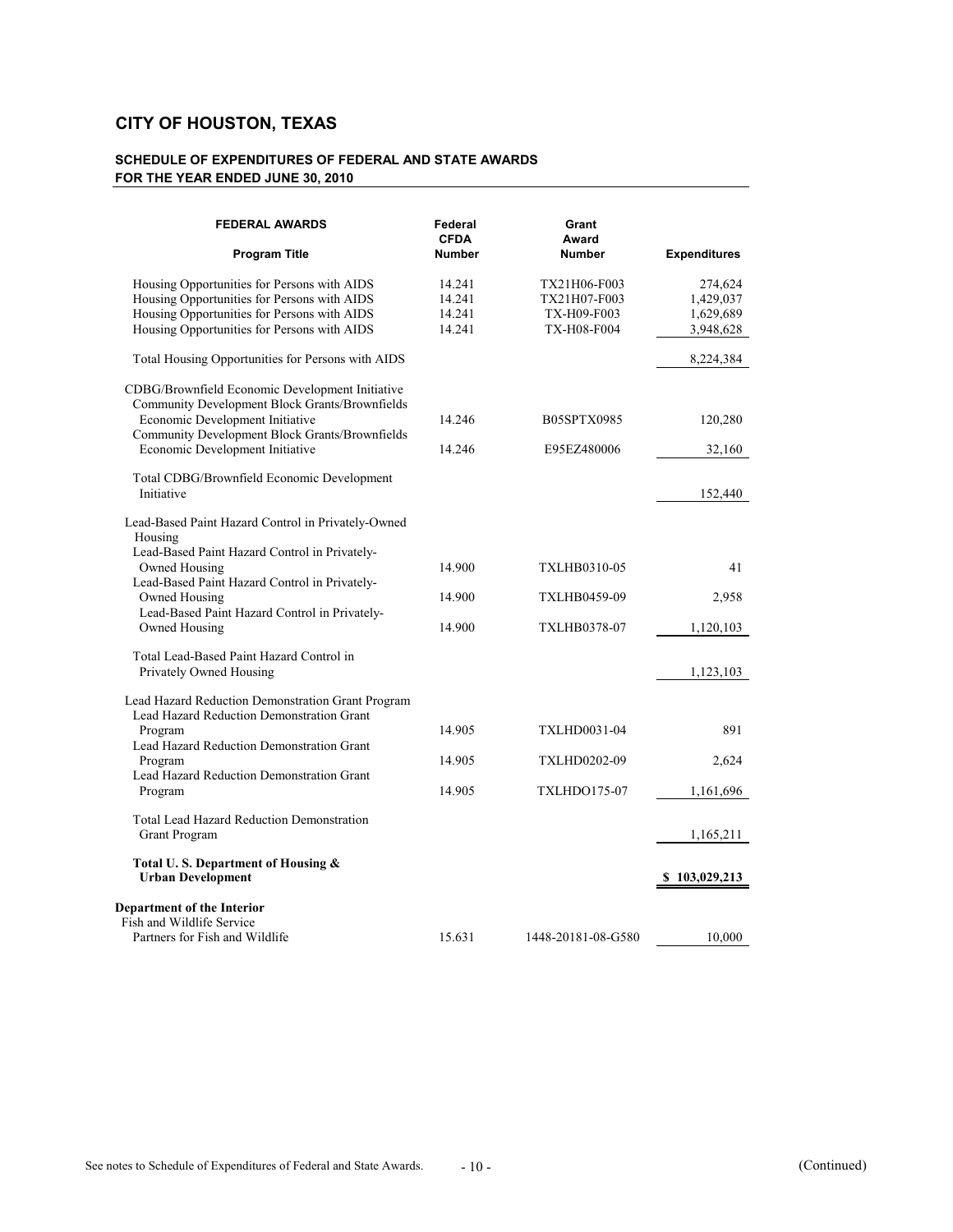| <b>FEDERAL AWARDS</b>                                                                                                                                                                                                                                               | Federal<br><b>CFDA</b>               | Grant<br>Award                                                    |                                                |
|---------------------------------------------------------------------------------------------------------------------------------------------------------------------------------------------------------------------------------------------------------------------|--------------------------------------|-------------------------------------------------------------------|------------------------------------------------|
| <b>Program Title</b>                                                                                                                                                                                                                                                | <b>Number</b>                        | <b>Number</b>                                                     | <b>Expenditures</b>                            |
| Housing Opportunities for Persons with AIDS<br>Housing Opportunities for Persons with AIDS<br>Housing Opportunities for Persons with AIDS<br>Housing Opportunities for Persons with AIDS                                                                            | 14.241<br>14.241<br>14.241<br>14.241 | TX21H06-F003<br>TX21H07-F003<br>TX-H09-F003<br><b>TX-H08-F004</b> | 274,624<br>1,429,037<br>1,629,689<br>3,948,628 |
| Total Housing Opportunities for Persons with AIDS                                                                                                                                                                                                                   |                                      |                                                                   | 8,224,384                                      |
| CDBG/Brownfield Economic Development Initiative<br>Community Development Block Grants/Brownfields<br>Economic Development Initiative<br>Community Development Block Grants/Brownfields<br>Economic Development Initiative                                           | 14.246<br>14.246                     | B05SPTX0985<br>E95EZ480006                                        | 120,280<br>32,160                              |
| Total CDBG/Brownfield Economic Development<br>Initiative                                                                                                                                                                                                            |                                      |                                                                   | 152,440                                        |
| Lead-Based Paint Hazard Control in Privately-Owned<br>Housing<br>Lead-Based Paint Hazard Control in Privately-<br>Owned Housing<br>Lead-Based Paint Hazard Control in Privately-<br>Owned Housing<br>Lead-Based Paint Hazard Control in Privately-<br>Owned Housing | 14.900<br>14.900<br>14.900           | <b>TXLHB0310-05</b><br>TXLHB0459-09<br><b>TXLHB0378-07</b>        | 41<br>2,958<br>1,120,103                       |
| Total Lead-Based Paint Hazard Control in<br>Privately Owned Housing                                                                                                                                                                                                 |                                      |                                                                   | 1,123,103                                      |
| Lead Hazard Reduction Demonstration Grant Program<br>Lead Hazard Reduction Demonstration Grant<br>Program<br>Lead Hazard Reduction Demonstration Grant<br>Program<br>Lead Hazard Reduction Demonstration Grant<br>Program                                           | 14.905<br>14.905<br>14.905           | <b>TXLHD0031-04</b><br><b>TXLHD0202-09</b><br><b>TXLHDO175-07</b> | 891<br>2,624<br>1,161,696                      |
| <b>Total Lead Hazard Reduction Demonstration</b><br><b>Grant Program</b>                                                                                                                                                                                            |                                      |                                                                   | 1,165,211                                      |
| Total U.S. Department of Housing &<br><b>Urban Development</b>                                                                                                                                                                                                      |                                      |                                                                   | \$103,029,213                                  |
| <b>Department of the Interior</b><br>Fish and Wildlife Service<br>Partners for Fish and Wildlife                                                                                                                                                                    | 15.631                               | 1448-20181-08-G580                                                | 10,000                                         |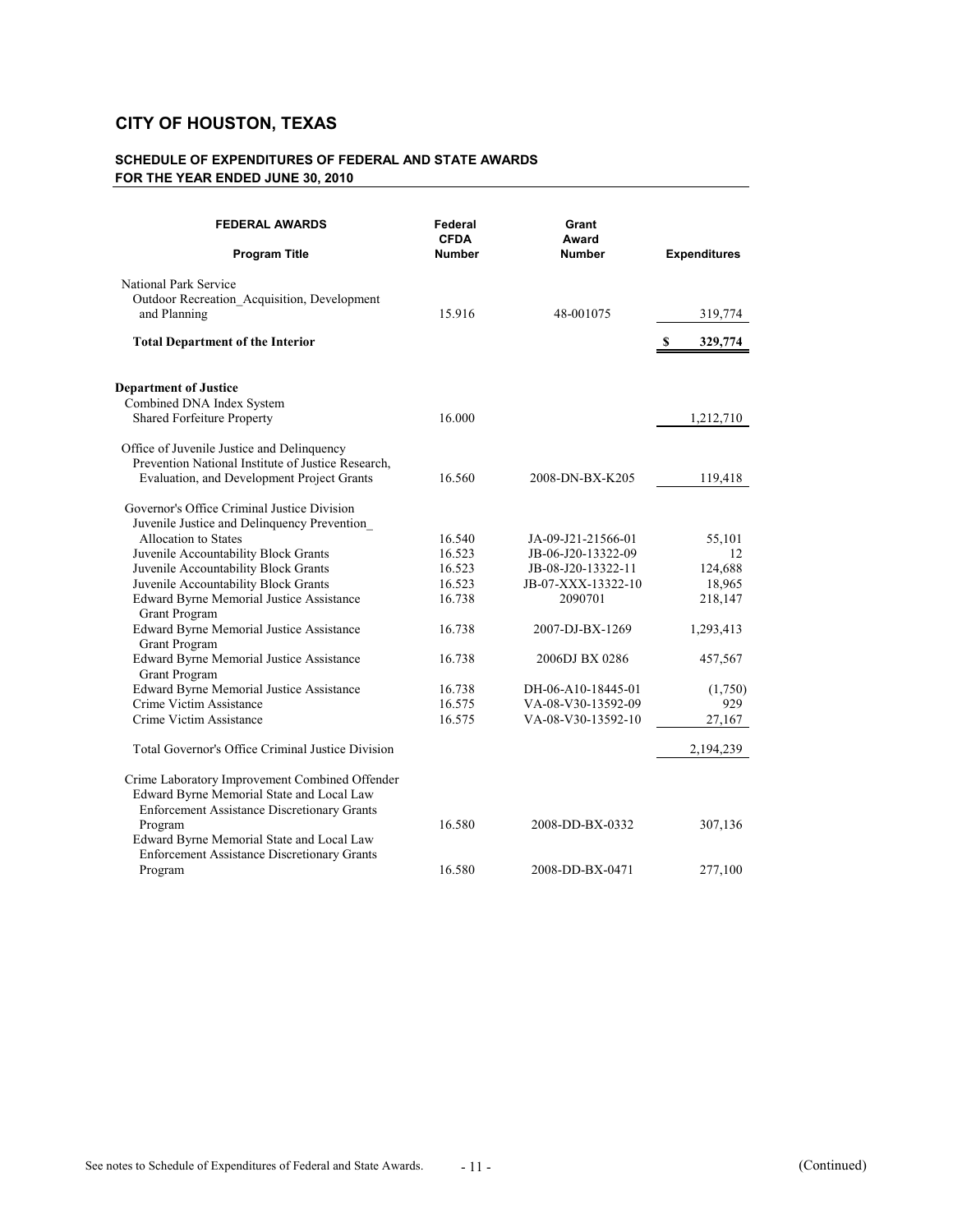| <b>FEDERAL AWARDS</b><br><b>Program Title</b>                                                                                                     | Federal<br><b>CFDA</b><br><b>Number</b> | Grant<br>Award<br><b>Number</b>          | <b>Expenditures</b> |
|---------------------------------------------------------------------------------------------------------------------------------------------------|-----------------------------------------|------------------------------------------|---------------------|
| National Park Service<br>Outdoor Recreation_Acquisition, Development<br>and Planning                                                              | 15.916                                  | 48-001075                                | 319,774             |
| <b>Total Department of the Interior</b>                                                                                                           |                                         |                                          | 329,774<br>S,       |
| <b>Department of Justice</b><br>Combined DNA Index System<br>Shared Forfeiture Property                                                           | 16.000                                  |                                          | 1,212,710           |
| Office of Juvenile Justice and Delinquency<br>Prevention National Institute of Justice Research,<br>Evaluation, and Development Project Grants    | 16.560                                  | 2008-DN-BX-K205                          | 119,418             |
| Governor's Office Criminal Justice Division<br>Juvenile Justice and Delinquency Prevention                                                        |                                         |                                          |                     |
| Allocation to States                                                                                                                              | 16.540                                  | JA-09-J21-21566-01                       | 55,101              |
| Juvenile Accountability Block Grants<br>Juvenile Accountability Block Grants                                                                      | 16.523<br>16.523                        | JB-06-J20-13322-09<br>JB-08-J20-13322-11 | 12<br>124,688       |
| Juvenile Accountability Block Grants                                                                                                              | 16.523                                  | JB-07-XXX-13322-10                       | 18,965              |
| Edward Byrne Memorial Justice Assistance<br><b>Grant Program</b>                                                                                  | 16.738                                  | 2090701                                  | 218,147             |
| Edward Byrne Memorial Justice Assistance<br>Grant Program                                                                                         | 16.738                                  | 2007-DJ-BX-1269                          | 1,293,413           |
| Edward Byrne Memorial Justice Assistance<br><b>Grant Program</b>                                                                                  | 16.738                                  | 2006DJ BX 0286                           | 457,567             |
| Edward Byrne Memorial Justice Assistance                                                                                                          | 16.738                                  | DH-06-A10-18445-01                       | (1,750)             |
| Crime Victim Assistance                                                                                                                           | 16.575                                  | VA-08-V30-13592-09                       | 929                 |
| Crime Victim Assistance                                                                                                                           | 16.575                                  | VA-08-V30-13592-10                       | 27,167              |
| Total Governor's Office Criminal Justice Division                                                                                                 |                                         |                                          | 2,194,239           |
| Crime Laboratory Improvement Combined Offender<br>Edward Byrne Memorial State and Local Law<br><b>Enforcement Assistance Discretionary Grants</b> |                                         |                                          |                     |
| Program<br>Edward Byrne Memorial State and Local Law<br><b>Enforcement Assistance Discretionary Grants</b>                                        | 16.580                                  | 2008-DD-BX-0332                          | 307,136             |
| Program                                                                                                                                           | 16.580                                  | 2008-DD-BX-0471                          | 277,100             |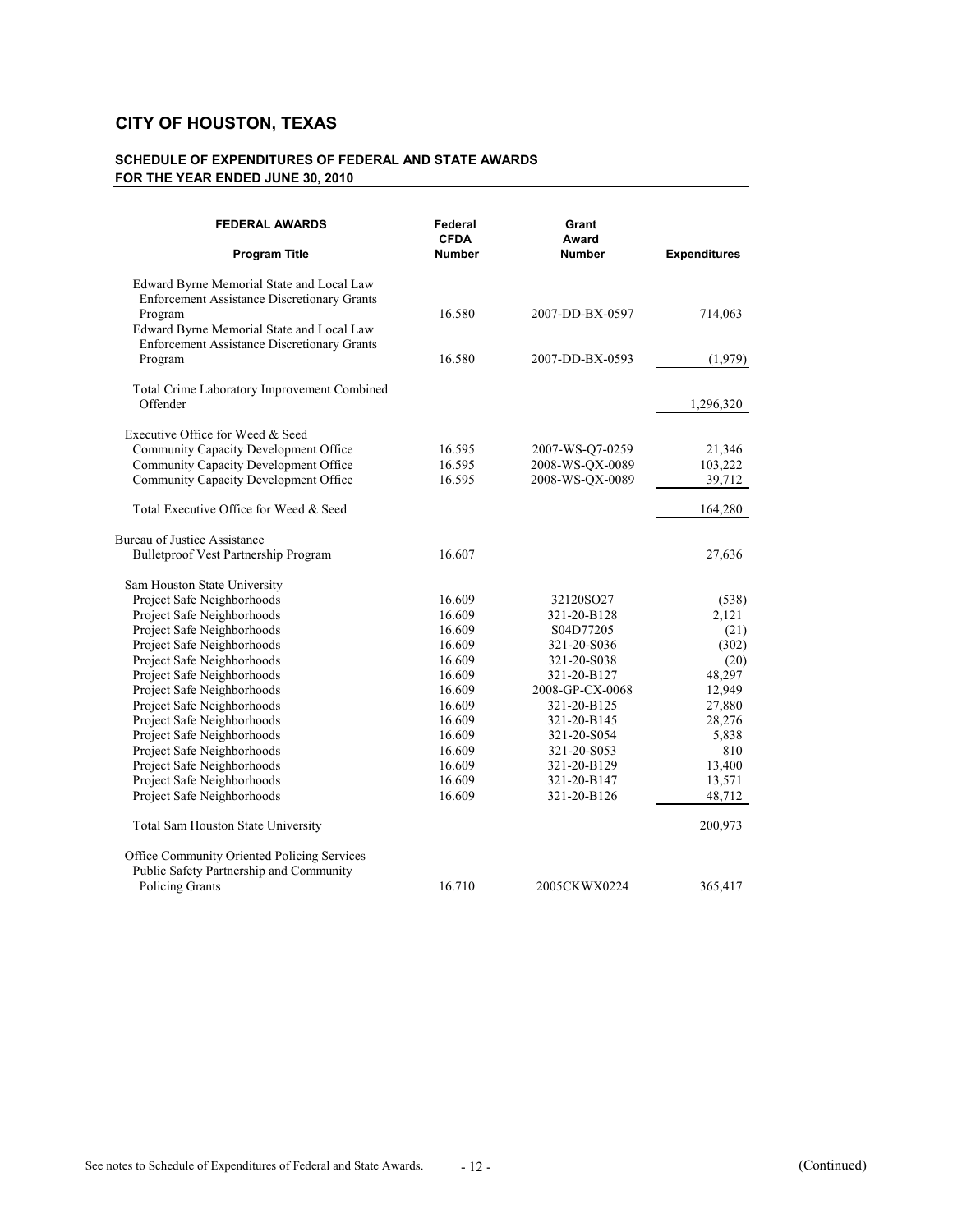| <b>FEDERAL AWARDS</b>                                                                                      | Federal<br><b>CFDA</b> | Grant<br>Award  |                     |
|------------------------------------------------------------------------------------------------------------|------------------------|-----------------|---------------------|
| <b>Program Title</b>                                                                                       | Number                 | <b>Number</b>   | <b>Expenditures</b> |
| Edward Byrne Memorial State and Local Law<br><b>Enforcement Assistance Discretionary Grants</b>            |                        |                 |                     |
| Program<br>Edward Byrne Memorial State and Local Law<br><b>Enforcement Assistance Discretionary Grants</b> | 16.580                 | 2007-DD-BX-0597 | 714,063             |
| Program                                                                                                    | 16.580                 | 2007-DD-BX-0593 | (1,979)             |
| Total Crime Laboratory Improvement Combined                                                                |                        |                 |                     |
| Offender                                                                                                   |                        |                 | 1,296,320           |
| Executive Office for Weed & Seed                                                                           |                        |                 |                     |
| Community Capacity Development Office                                                                      | 16.595                 | 2007-WS-Q7-0259 | 21,346              |
| Community Capacity Development Office                                                                      | 16.595                 | 2008-WS-QX-0089 | 103,222             |
| Community Capacity Development Office                                                                      | 16.595                 | 2008-WS-QX-0089 | 39,712              |
| Total Executive Office for Weed & Seed                                                                     |                        |                 | 164,280             |
| Bureau of Justice Assistance                                                                               |                        |                 |                     |
| <b>Bulletproof Vest Partnership Program</b>                                                                | 16.607                 |                 | 27,636              |
| Sam Houston State University                                                                               |                        |                 |                     |
| Project Safe Neighborhoods                                                                                 | 16.609                 | 32120SO27       | (538)               |
| Project Safe Neighborhoods                                                                                 | 16.609                 | 321-20-B128     | 2,121               |
| Project Safe Neighborhoods                                                                                 | 16.609                 | S04D77205       | (21)                |
| Project Safe Neighborhoods                                                                                 | 16.609                 | 321-20-S036     | (302)               |
| Project Safe Neighborhoods                                                                                 | 16.609                 | 321-20-S038     | (20)                |
| Project Safe Neighborhoods                                                                                 | 16.609                 | 321-20-B127     | 48,297              |
| Project Safe Neighborhoods                                                                                 | 16.609                 | 2008-GP-CX-0068 | 12,949              |
| Project Safe Neighborhoods                                                                                 | 16.609                 | 321-20-B125     | 27,880              |
| Project Safe Neighborhoods                                                                                 | 16.609                 | 321-20-B145     | 28,276              |
| Project Safe Neighborhoods                                                                                 | 16.609                 | 321-20-S054     | 5,838               |
| Project Safe Neighborhoods                                                                                 | 16.609                 | 321-20-S053     | 810                 |
| Project Safe Neighborhoods                                                                                 | 16.609                 | 321-20-B129     | 13,400              |
| Project Safe Neighborhoods                                                                                 | 16.609                 | 321-20-B147     | 13,571              |
| Project Safe Neighborhoods                                                                                 | 16.609                 | 321-20-B126     | 48,712              |
| Total Sam Houston State University                                                                         |                        |                 | 200,973             |
| Office Community Oriented Policing Services                                                                |                        |                 |                     |
| Public Safety Partnership and Community                                                                    |                        |                 |                     |
| <b>Policing Grants</b>                                                                                     | 16.710                 | 2005CKWX0224    | 365,417             |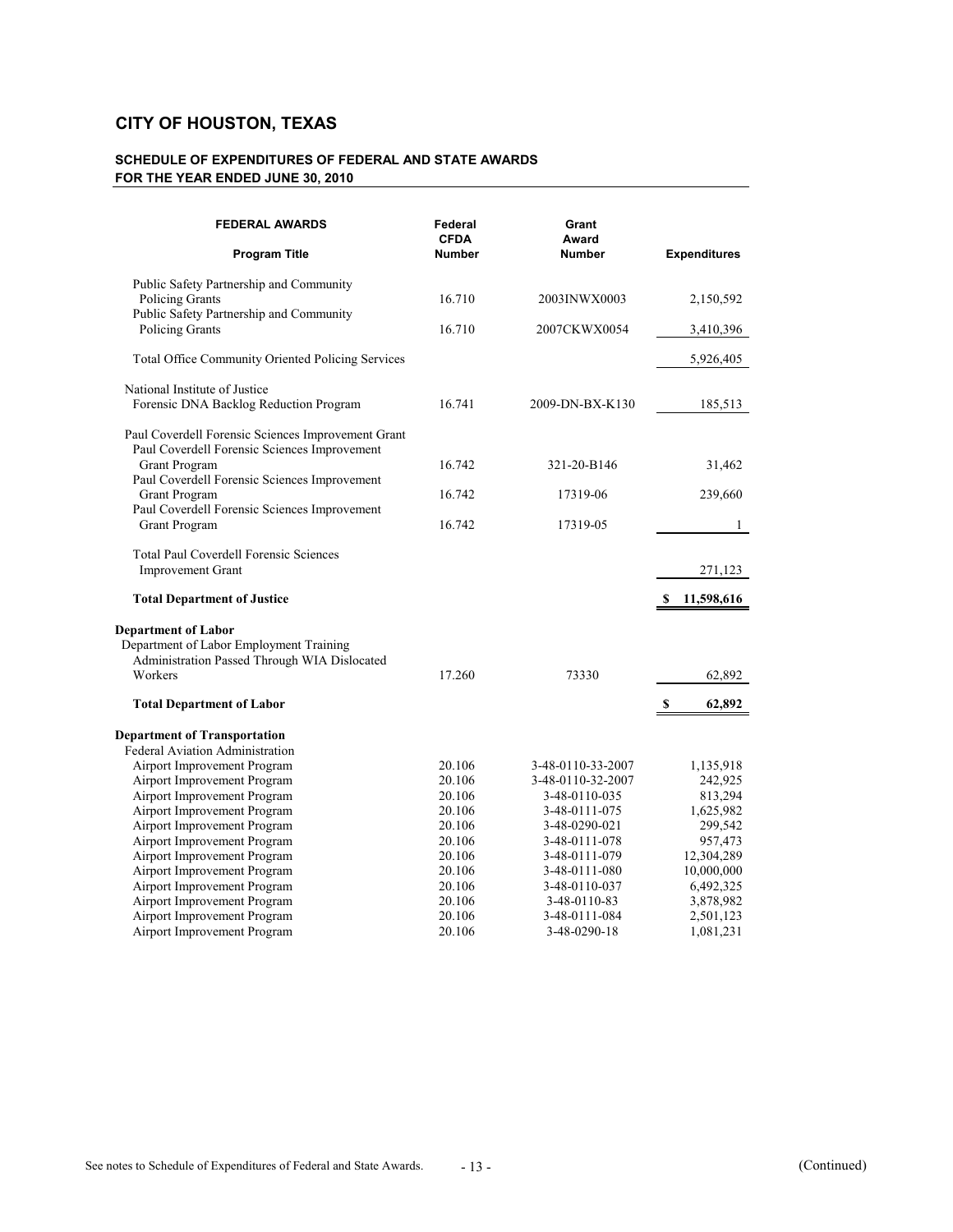| <b>FEDERAL AWARDS</b><br><b>Program Title</b>                           | Federal<br><b>CFDA</b><br><b>Number</b> | Grant<br>Award<br><b>Number</b> | <b>Expenditures</b> |
|-------------------------------------------------------------------------|-----------------------------------------|---------------------------------|---------------------|
| Public Safety Partnership and Community                                 |                                         |                                 |                     |
| <b>Policing Grants</b>                                                  | 16.710                                  | 2003INWX0003                    | 2,150,592           |
| Public Safety Partnership and Community<br>Policing Grants              | 16.710                                  | 2007CKWX0054                    | 3,410,396           |
| Total Office Community Oriented Policing Services                       |                                         |                                 | 5,926,405           |
| National Institute of Justice<br>Forensic DNA Backlog Reduction Program | 16.741                                  | 2009-DN-BX-K130                 |                     |
|                                                                         |                                         |                                 | 185,513             |
| Paul Coverdell Forensic Sciences Improvement Grant                      |                                         |                                 |                     |
| Paul Coverdell Forensic Sciences Improvement<br>Grant Program           | 16.742                                  | 321-20-B146                     | 31,462              |
| Paul Coverdell Forensic Sciences Improvement<br>Grant Program           | 16.742                                  | 17319-06                        | 239,660             |
| Paul Coverdell Forensic Sciences Improvement                            |                                         |                                 |                     |
| Grant Program                                                           | 16.742                                  | 17319-05                        | $\mathbf{1}$        |
| <b>Total Paul Coverdell Forensic Sciences</b>                           |                                         |                                 |                     |
| <b>Improvement Grant</b>                                                |                                         |                                 | 271,123             |
|                                                                         |                                         |                                 |                     |
| <b>Total Department of Justice</b>                                      |                                         |                                 | 11,598,616<br>S     |
| <b>Department of Labor</b>                                              |                                         |                                 |                     |
| Department of Labor Employment Training                                 |                                         |                                 |                     |
| Administration Passed Through WIA Dislocated                            |                                         |                                 |                     |
| Workers                                                                 | 17.260                                  | 73330                           | 62,892              |
| <b>Total Department of Labor</b>                                        |                                         |                                 | S<br>62,892         |
| <b>Department of Transportation</b>                                     |                                         |                                 |                     |
| Federal Aviation Administration                                         |                                         |                                 |                     |
| Airport Improvement Program                                             | 20.106                                  | 3-48-0110-33-2007               | 1,135,918           |
| Airport Improvement Program                                             | 20.106                                  | 3-48-0110-32-2007               | 242,925             |
| Airport Improvement Program                                             | 20.106                                  | 3-48-0110-035                   | 813,294             |
| Airport Improvement Program                                             | 20.106                                  | 3-48-0111-075                   | 1,625,982           |
| Airport Improvement Program                                             | 20.106                                  | 3-48-0290-021                   | 299,542             |
| Airport Improvement Program                                             | 20.106                                  | 3-48-0111-078                   | 957,473             |
| Airport Improvement Program                                             | 20.106                                  | 3-48-0111-079                   | 12,304,289          |
| Airport Improvement Program                                             | 20.106                                  | 3-48-0111-080                   | 10,000,000          |
| Airport Improvement Program                                             | 20.106                                  | 3-48-0110-037                   | 6,492,325           |
| Airport Improvement Program                                             | 20.106                                  | 3-48-0110-83                    | 3,878,982           |
| Airport Improvement Program                                             | 20.106                                  | 3-48-0111-084                   | 2,501,123           |
| Airport Improvement Program                                             | 20.106                                  | 3-48-0290-18                    | 1,081,231           |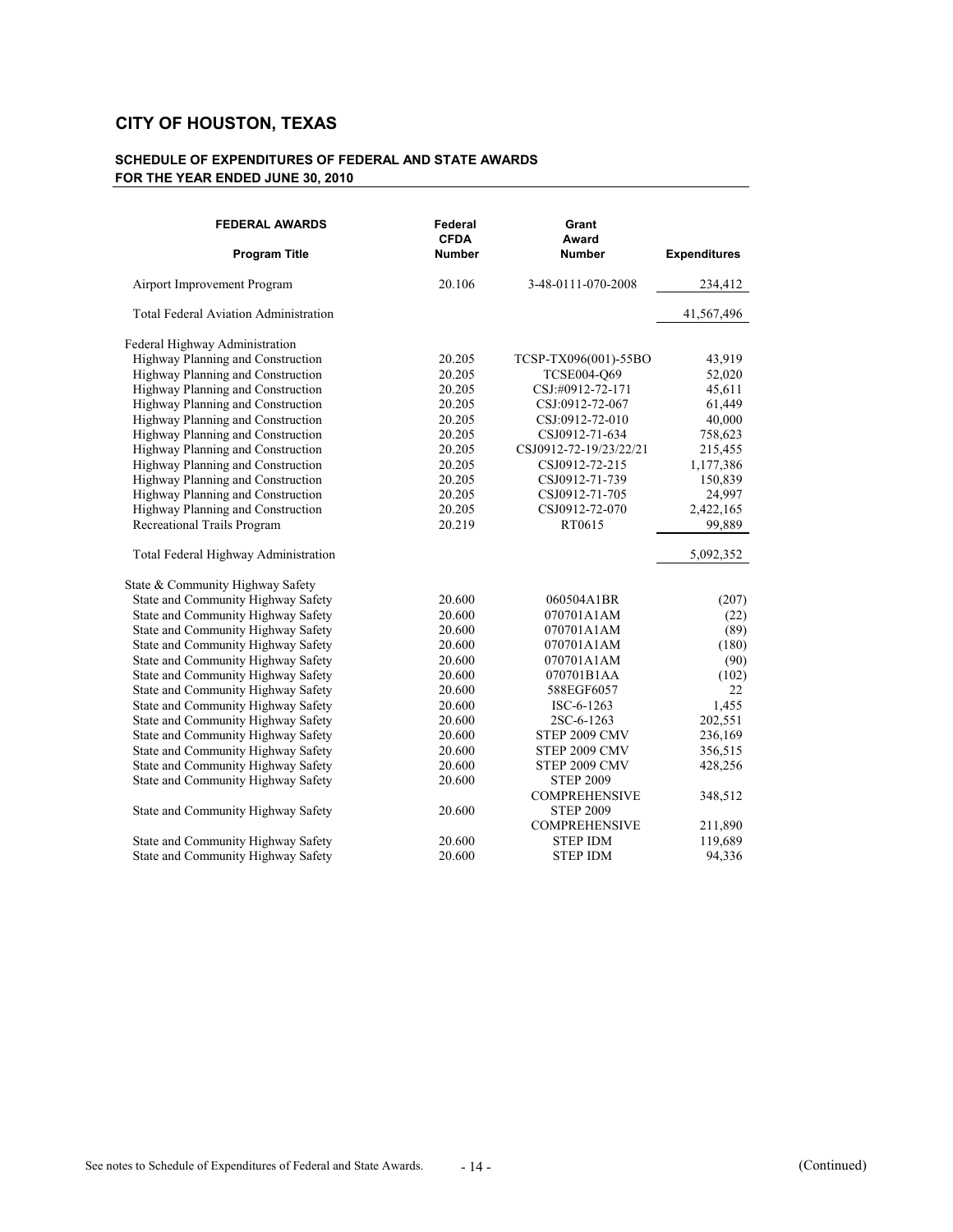| <b>FEDERAL AWARDS</b><br><b>Program Title</b> | Federal<br><b>CFDA</b><br><b>Number</b> | Grant<br>Award<br><b>Number</b> | <b>Expenditures</b> |
|-----------------------------------------------|-----------------------------------------|---------------------------------|---------------------|
| Airport Improvement Program                   | 20.106                                  | 3-48-0111-070-2008              | 234,412             |
| <b>Total Federal Aviation Administration</b>  |                                         |                                 | 41,567,496          |
| Federal Highway Administration                |                                         |                                 |                     |
| Highway Planning and Construction             | 20.205                                  | TCSP-TX096(001)-55BO            | 43,919              |
| Highway Planning and Construction             | 20.205                                  | TCSE004-O69                     | 52,020              |
| Highway Planning and Construction             | 20.205                                  | CSJ:#0912-72-171                | 45,611              |
| Highway Planning and Construction             | 20.205                                  | CSJ:0912-72-067                 | 61,449              |
| Highway Planning and Construction             | 20.205                                  | CSJ:0912-72-010                 | 40,000              |
| Highway Planning and Construction             | 20.205                                  | CSJ0912-71-634                  | 758,623             |
| Highway Planning and Construction             | 20.205                                  | CSJ0912-72-19/23/22/21          | 215,455             |
| Highway Planning and Construction             | 20.205                                  | CSJ0912-72-215                  | 1,177,386           |
| Highway Planning and Construction             | 20.205                                  | CSJ0912-71-739                  | 150,839             |
| Highway Planning and Construction             | 20.205                                  | CSJ0912-71-705                  | 24,997              |
| Highway Planning and Construction             | 20.205                                  | CSJ0912-72-070                  | 2,422,165           |
| Recreational Trails Program                   | 20.219                                  | RT0615                          | 99,889              |
| Total Federal Highway Administration          |                                         |                                 | 5,092,352           |
| State & Community Highway Safety              |                                         |                                 |                     |
| State and Community Highway Safety            | 20.600                                  | 060504A1BR                      | (207)               |
| State and Community Highway Safety            | 20.600                                  | 070701A1AM                      | (22)                |
| State and Community Highway Safety            | 20.600                                  | 070701A1AM                      | (89)                |
| State and Community Highway Safety            | 20.600                                  | 070701A1AM                      | (180)               |
| State and Community Highway Safety            | 20.600                                  | 070701A1AM                      | (90)                |
| State and Community Highway Safety            | 20.600                                  | 070701B1AA                      | (102)               |
| State and Community Highway Safety            | 20.600                                  | 588EGF6057                      | 22                  |
| State and Community Highway Safety            | 20.600                                  | ISC-6-1263                      | 1,455               |
| State and Community Highway Safety            | 20.600                                  | 2SC-6-1263                      | 202,551             |
| State and Community Highway Safety            | 20.600                                  | STEP 2009 CMV                   | 236,169             |
| State and Community Highway Safety            | 20.600                                  | STEP 2009 CMV                   | 356,515             |
| State and Community Highway Safety            | 20.600                                  | STEP 2009 CMV                   | 428,256             |
| State and Community Highway Safety            | 20.600                                  | <b>STEP 2009</b>                |                     |
|                                               |                                         | <b>COMPREHENSIVE</b>            | 348,512             |
| State and Community Highway Safety            | 20.600                                  | <b>STEP 2009</b>                |                     |
|                                               |                                         | <b>COMPREHENSIVE</b>            | 211,890             |
| State and Community Highway Safety            | 20.600                                  | <b>STEP IDM</b>                 | 119,689             |
| State and Community Highway Safety            | 20.600                                  | <b>STEP IDM</b>                 | 94,336              |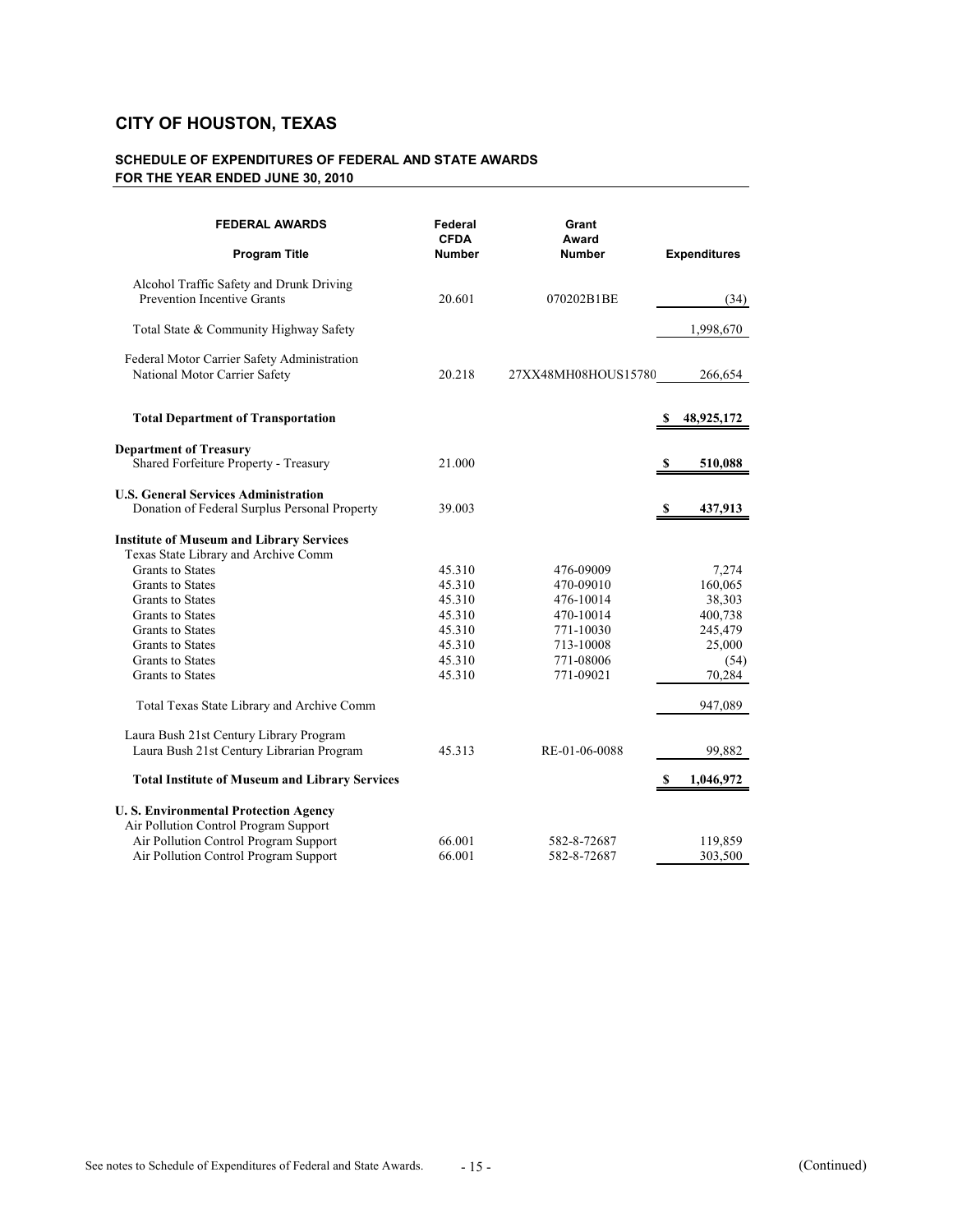| <b>FEDERAL AWARDS</b><br><b>Program Title</b>                                                | Federal<br><b>CFDA</b><br><b>Number</b> | Grant<br>Award<br><b>Number</b> | <b>Expenditures</b> |
|----------------------------------------------------------------------------------------------|-----------------------------------------|---------------------------------|---------------------|
| Alcohol Traffic Safety and Drunk Driving<br><b>Prevention Incentive Grants</b>               | 20.601                                  | 070202B1BE                      | (34)                |
| Total State & Community Highway Safety                                                       |                                         |                                 | 1,998,670           |
| Federal Motor Carrier Safety Administration<br>National Motor Carrier Safety                 | 20.218                                  | 27XX48MH08HOUS15780             | 266,654             |
| <b>Total Department of Transportation</b>                                                    |                                         |                                 | 48,925,172          |
| <b>Department of Treasury</b><br>Shared Forfeiture Property - Treasury                       | 21.000                                  |                                 | 510,088<br>S        |
| <b>U.S. General Services Administration</b><br>Donation of Federal Surplus Personal Property | 39.003                                  |                                 | 437,913<br>S        |
| <b>Institute of Museum and Library Services</b><br>Texas State Library and Archive Comm      |                                         |                                 |                     |
| Grants to States                                                                             | 45.310                                  | 476-09009                       | 7,274               |
| Grants to States                                                                             | 45.310                                  | 470-09010                       | 160,065             |
| Grants to States                                                                             | 45.310                                  | 476-10014                       | 38,303              |
| Grants to States                                                                             | 45.310                                  | 470-10014                       | 400,738             |
| Grants to States                                                                             | 45.310                                  | 771-10030                       | 245,479             |
| Grants to States                                                                             | 45.310                                  | 713-10008                       | 25,000              |
| Grants to States                                                                             | 45.310                                  | 771-08006                       | (54)                |
| Grants to States                                                                             | 45.310                                  | 771-09021                       | 70,284              |
| Total Texas State Library and Archive Comm                                                   |                                         |                                 | 947,089             |
| Laura Bush 21st Century Library Program                                                      |                                         |                                 |                     |
| Laura Bush 21st Century Librarian Program                                                    | 45.313                                  | RE-01-06-0088                   | 99,882              |
| <b>Total Institute of Museum and Library Services</b>                                        |                                         |                                 | 1,046,972<br>-S     |
| <b>U.S. Environmental Protection Agency</b>                                                  |                                         |                                 |                     |
| Air Pollution Control Program Support                                                        |                                         |                                 |                     |
| Air Pollution Control Program Support                                                        | 66.001                                  | 582-8-72687                     | 119,859             |
| Air Pollution Control Program Support                                                        | 66.001                                  | 582-8-72687                     | 303,500             |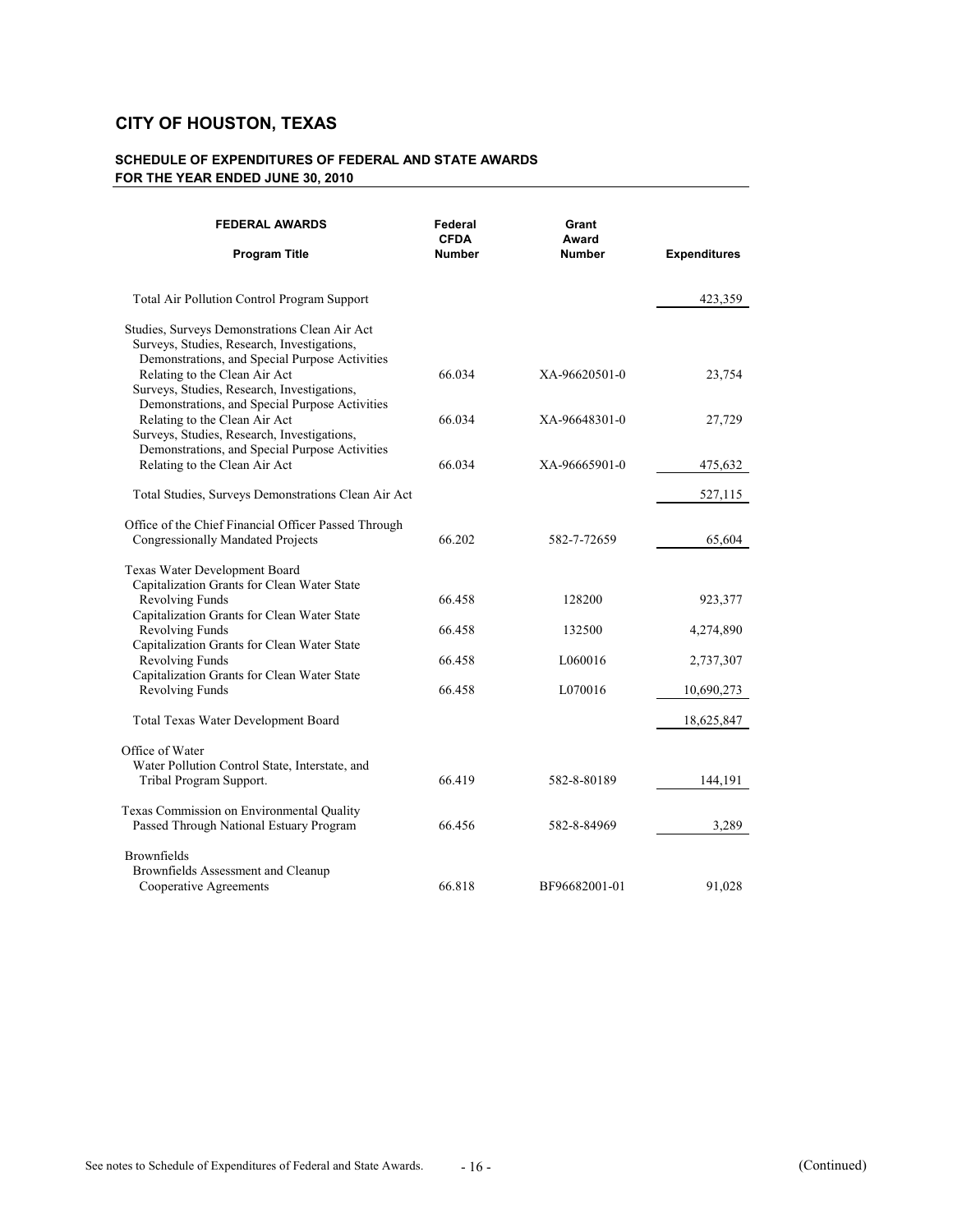| <b>FEDERAL AWARDS</b>                                                                                                                          | Federal<br><b>CFDA</b> | Grant<br>Award |                     |
|------------------------------------------------------------------------------------------------------------------------------------------------|------------------------|----------------|---------------------|
| <b>Program Title</b>                                                                                                                           | Number                 | <b>Number</b>  | <b>Expenditures</b> |
| <b>Total Air Pollution Control Program Support</b>                                                                                             |                        |                | 423,359             |
| Studies, Surveys Demonstrations Clean Air Act<br>Surveys, Studies, Research, Investigations,<br>Demonstrations, and Special Purpose Activities |                        |                |                     |
| Relating to the Clean Air Act<br>Surveys, Studies, Research, Investigations,<br>Demonstrations, and Special Purpose Activities                 | 66.034                 | XA-96620501-0  | 23,754              |
| Relating to the Clean Air Act<br>Surveys, Studies, Research, Investigations,                                                                   | 66.034                 | XA-96648301-0  | 27,729              |
| Demonstrations, and Special Purpose Activities<br>Relating to the Clean Air Act                                                                | 66.034                 | XA-96665901-0  | 475,632             |
| Total Studies, Surveys Demonstrations Clean Air Act                                                                                            |                        |                | 527,115             |
| Office of the Chief Financial Officer Passed Through<br>Congressionally Mandated Projects                                                      | 66.202                 | 582-7-72659    | 65,604              |
| Texas Water Development Board<br>Capitalization Grants for Clean Water State                                                                   |                        |                |                     |
| Revolving Funds                                                                                                                                | 66.458                 | 128200         | 923,377             |
| Capitalization Grants for Clean Water State<br>Revolving Funds                                                                                 | 66.458                 | 132500         | 4,274,890           |
| Capitalization Grants for Clean Water State<br>Revolving Funds                                                                                 | 66.458                 | L060016        | 2,737,307           |
| Capitalization Grants for Clean Water State<br>Revolving Funds                                                                                 | 66.458                 | L070016        | 10,690,273          |
| Total Texas Water Development Board                                                                                                            |                        |                | 18,625,847          |
| Office of Water                                                                                                                                |                        |                |                     |
| Water Pollution Control State, Interstate, and<br>Tribal Program Support.                                                                      | 66.419                 | 582-8-80189    | 144,191             |
| Texas Commission on Environmental Quality<br>Passed Through National Estuary Program                                                           | 66.456                 | 582-8-84969    | 3,289               |
| <b>Brownfields</b><br>Brownfields Assessment and Cleanup<br>Cooperative Agreements                                                             | 66.818                 | BF96682001-01  | 91,028              |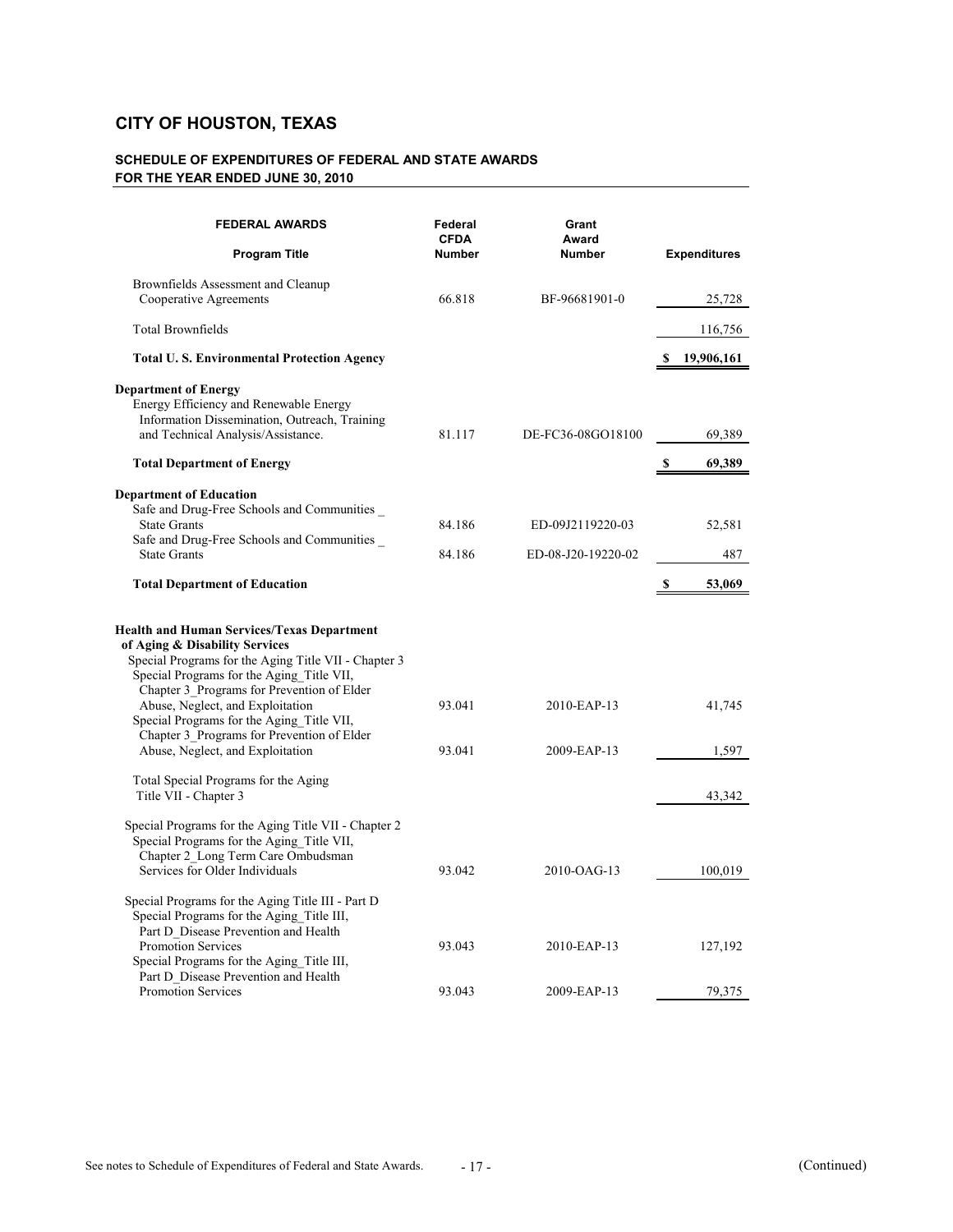| <b>FEDERAL AWARDS</b><br><b>Program Title</b>                                                                                                                                                                                                                                                                                                                                                             | Federal<br><b>CFDA</b><br><b>Number</b> | Grant<br>Award<br><b>Number</b> | <b>Expenditures</b>   |
|-----------------------------------------------------------------------------------------------------------------------------------------------------------------------------------------------------------------------------------------------------------------------------------------------------------------------------------------------------------------------------------------------------------|-----------------------------------------|---------------------------------|-----------------------|
| Brownfields Assessment and Cleanup<br>Cooperative Agreements                                                                                                                                                                                                                                                                                                                                              | 66.818                                  | BF-96681901-0                   | 25,728                |
| <b>Total Brownfields</b>                                                                                                                                                                                                                                                                                                                                                                                  |                                         |                                 | 116,756               |
| <b>Total U.S. Environmental Protection Agency</b>                                                                                                                                                                                                                                                                                                                                                         |                                         |                                 | 19,906,161            |
| <b>Department of Energy</b><br>Energy Efficiency and Renewable Energy<br>Information Dissemination, Outreach, Training<br>and Technical Analysis/Assistance.<br><b>Total Department of Energy</b>                                                                                                                                                                                                         | 81.117                                  | DE-FC36-08GO18100               | 69,389<br>69,389<br>S |
| <b>Department of Education</b>                                                                                                                                                                                                                                                                                                                                                                            |                                         |                                 |                       |
| Safe and Drug-Free Schools and Communities<br><b>State Grants</b><br>Safe and Drug-Free Schools and Communities                                                                                                                                                                                                                                                                                           | 84.186                                  | ED-09J2119220-03                | 52,581                |
| <b>State Grants</b>                                                                                                                                                                                                                                                                                                                                                                                       | 84.186                                  | ED-08-J20-19220-02              | 487                   |
| <b>Total Department of Education</b>                                                                                                                                                                                                                                                                                                                                                                      |                                         |                                 | 53,069<br>S           |
| <b>Health and Human Services/Texas Department</b><br>of Aging & Disability Services<br>Special Programs for the Aging Title VII - Chapter 3<br>Special Programs for the Aging Title VII,<br>Chapter 3_Programs for Prevention of Elder<br>Abuse, Neglect, and Exploitation<br>Special Programs for the Aging_Title VII,<br>Chapter 3_Programs for Prevention of Elder<br>Abuse, Neglect, and Exploitation | 93.041<br>93.041                        | 2010-EAP-13<br>2009-EAP-13      | 41,745<br>1,597       |
| Total Special Programs for the Aging<br>Title VII - Chapter 3                                                                                                                                                                                                                                                                                                                                             |                                         |                                 | 43,342                |
| Special Programs for the Aging Title VII - Chapter 2<br>Special Programs for the Aging Title VII,<br>Chapter 2_Long Term Care Ombudsman<br>Services for Older Individuals                                                                                                                                                                                                                                 | 93.042                                  | 2010-OAG-13                     | 100,019               |
| Special Programs for the Aging Title III - Part D<br>Special Programs for the Aging_Title III,<br>Part D Disease Prevention and Health<br><b>Promotion Services</b><br>Special Programs for the Aging_Title III,<br>Part D Disease Prevention and Health                                                                                                                                                  | 93.043                                  | 2010-EAP-13                     | 127,192               |
| <b>Promotion Services</b>                                                                                                                                                                                                                                                                                                                                                                                 | 93.043                                  | 2009-EAP-13                     | 79,375                |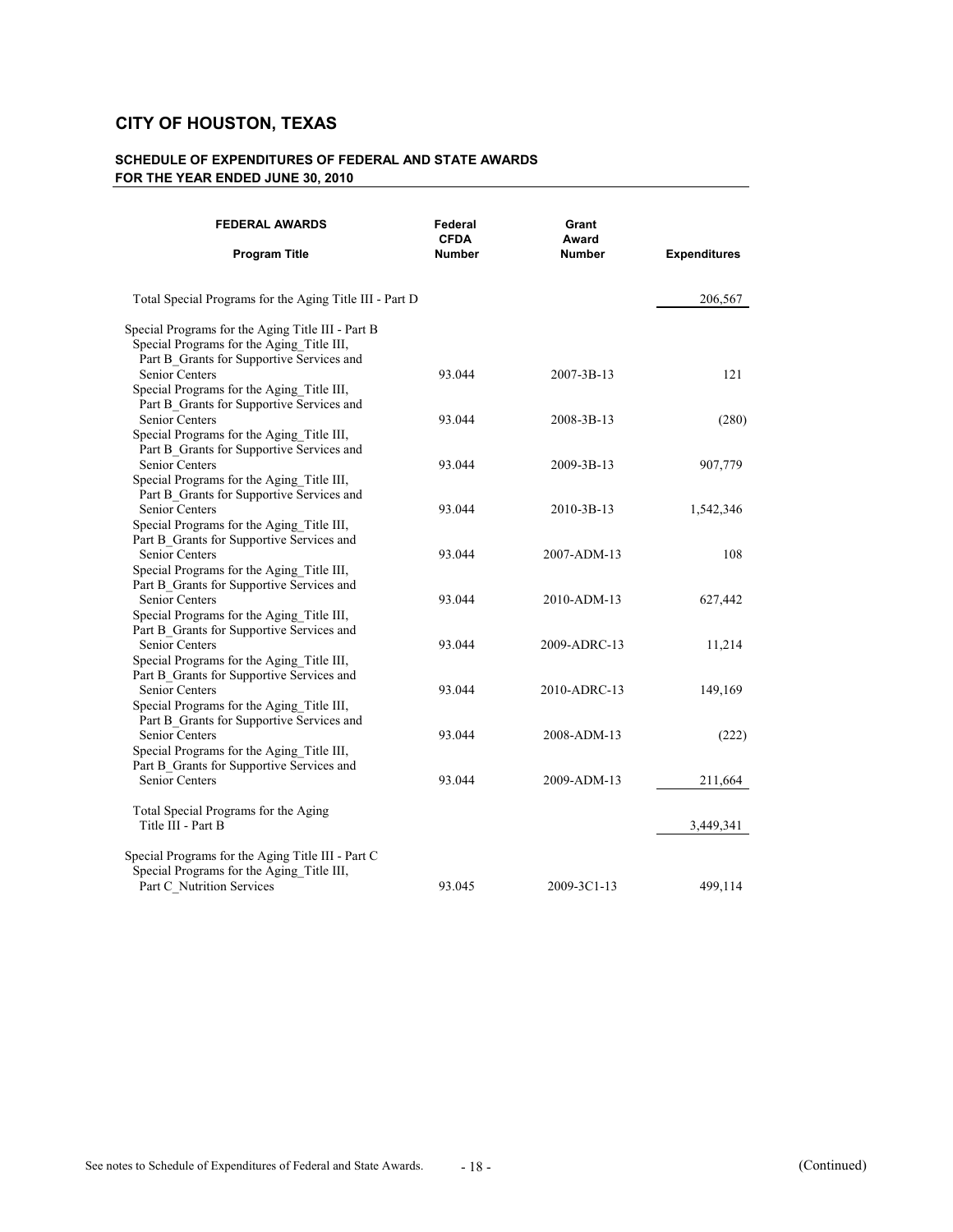| <b>FEDERAL AWARDS</b>                                                                                           | Federal<br><b>CFDA</b> | Grant<br>Award   |                     |
|-----------------------------------------------------------------------------------------------------------------|------------------------|------------------|---------------------|
| <b>Program Title</b>                                                                                            | <b>Number</b>          | <b>Number</b>    | <b>Expenditures</b> |
| Total Special Programs for the Aging Title III - Part D                                                         |                        |                  | 206,567             |
| Special Programs for the Aging Title III - Part B<br>Special Programs for the Aging Title III,                  |                        |                  |                     |
| Part B_Grants for Supportive Services and<br><b>Senior Centers</b><br>Special Programs for the Aging Title III, | 93.044                 | $2007 - 3B - 13$ | 121                 |
| Part B Grants for Supportive Services and<br>Senior Centers                                                     | 93.044                 | 2008-3B-13       | (280)               |
| Special Programs for the Aging_Title III,<br>Part B_Grants for Supportive Services and<br><b>Senior Centers</b> | 93.044                 | $2009 - 3B - 13$ | 907,779             |
| Special Programs for the Aging Title III,<br>Part B Grants for Supportive Services and<br>Senior Centers        | 93.044                 | 2010-3B-13       | 1,542,346           |
| Special Programs for the Aging_Title III,<br>Part B_Grants for Supportive Services and                          |                        |                  |                     |
| <b>Senior Centers</b><br>Special Programs for the Aging Title III,<br>Part B_Grants for Supportive Services and | 93.044                 | 2007-ADM-13      | 108                 |
| Senior Centers<br>Special Programs for the Aging_Title III,                                                     | 93.044                 | 2010-ADM-13      | 627,442             |
| Part B_Grants for Supportive Services and<br><b>Senior Centers</b><br>Special Programs for the Aging_Title III, | 93.044                 | 2009-ADRC-13     | 11,214              |
| Part B_Grants for Supportive Services and<br>Senior Centers                                                     | 93.044                 | 2010-ADRC-13     | 149,169             |
| Special Programs for the Aging_Title III,<br>Part B Grants for Supportive Services and<br>Senior Centers        | 93.044                 | 2008-ADM-13      | (222)               |
| Special Programs for the Aging Title III,<br>Part B_Grants for Supportive Services and<br>Senior Centers        | 93.044                 | 2009-ADM-13      | 211,664             |
| Total Special Programs for the Aging                                                                            |                        |                  |                     |
| Title III - Part B                                                                                              |                        |                  | 3,449,341           |
| Special Programs for the Aging Title III - Part C<br>Special Programs for the Aging_Title III,                  |                        |                  |                     |
| Part C_Nutrition Services                                                                                       | 93.045                 | 2009-3C1-13      | 499,114             |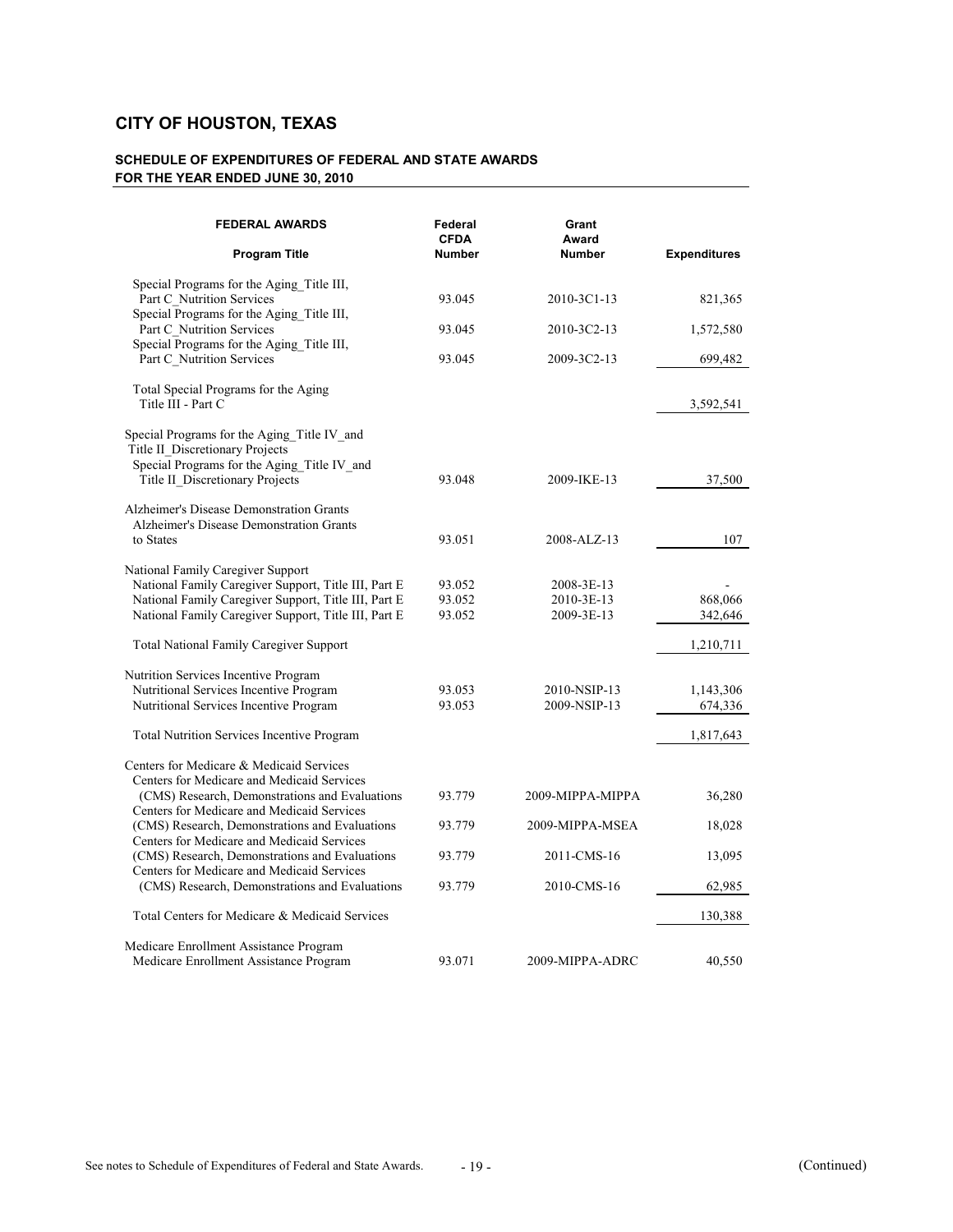| <b>FEDERAL AWARDS</b><br><b>Program Title</b>                                                                                 | Federal<br><b>CFDA</b><br><b>Number</b> | Grant<br>Award<br><b>Number</b> | <b>Expenditures</b> |
|-------------------------------------------------------------------------------------------------------------------------------|-----------------------------------------|---------------------------------|---------------------|
| Special Programs for the Aging Title III,                                                                                     |                                         |                                 |                     |
| Part C Nutrition Services                                                                                                     | 93.045                                  | 2010-3C1-13                     | 821,365             |
| Special Programs for the Aging Title III,                                                                                     |                                         |                                 |                     |
| Part C_Nutrition Services<br>Special Programs for the Aging Title III,                                                        | 93.045                                  | 2010-3C2-13                     | 1,572,580           |
| Part C_Nutrition Services                                                                                                     | 93.045                                  | 2009-3C2-13                     | 699,482             |
| Total Special Programs for the Aging<br>Title III - Part C                                                                    |                                         |                                 | 3,592,541           |
| Special Programs for the Aging Title IV and<br>Title II_Discretionary Projects<br>Special Programs for the Aging Title IV and |                                         |                                 |                     |
| Title II Discretionary Projects                                                                                               | 93.048                                  | 2009-IKE-13                     | 37,500              |
| Alzheimer's Disease Demonstration Grants                                                                                      |                                         |                                 |                     |
| Alzheimer's Disease Demonstration Grants<br>to States                                                                         | 93.051                                  | 2008-ALZ-13                     | 107                 |
| National Family Caregiver Support                                                                                             |                                         |                                 |                     |
| National Family Caregiver Support, Title III, Part E                                                                          | 93.052                                  | 2008-3E-13                      |                     |
| National Family Caregiver Support, Title III, Part E                                                                          | 93.052                                  | 2010-3E-13                      | 868,066             |
| National Family Caregiver Support, Title III, Part E                                                                          | 93.052                                  | 2009-3E-13                      | 342,646             |
| <b>Total National Family Caregiver Support</b>                                                                                |                                         |                                 | 1,210,711           |
| Nutrition Services Incentive Program                                                                                          |                                         |                                 |                     |
| Nutritional Services Incentive Program                                                                                        | 93.053                                  | 2010-NSIP-13                    | 1,143,306           |
| Nutritional Services Incentive Program                                                                                        | 93.053                                  | 2009-NSIP-13                    | 674,336             |
| <b>Total Nutrition Services Incentive Program</b>                                                                             |                                         |                                 | 1,817,643           |
| Centers for Medicare & Medicaid Services                                                                                      |                                         |                                 |                     |
| Centers for Medicare and Medicaid Services                                                                                    |                                         |                                 |                     |
| (CMS) Research, Demonstrations and Evaluations                                                                                | 93.779                                  | 2009-MIPPA-MIPPA                | 36,280              |
| Centers for Medicare and Medicaid Services<br>(CMS) Research, Demonstrations and Evaluations                                  | 93.779                                  | 2009-MIPPA-MSEA                 | 18,028              |
| Centers for Medicare and Medicaid Services<br>(CMS) Research, Demonstrations and Evaluations                                  | 93.779                                  | 2011-CMS-16                     | 13,095              |
| Centers for Medicare and Medicaid Services                                                                                    |                                         |                                 |                     |
| (CMS) Research, Demonstrations and Evaluations                                                                                | 93.779                                  | 2010-CMS-16                     | 62,985              |
| Total Centers for Medicare & Medicaid Services                                                                                |                                         |                                 | 130,388             |
| Medicare Enrollment Assistance Program                                                                                        |                                         |                                 |                     |
| Medicare Enrollment Assistance Program                                                                                        | 93.071                                  | 2009-MIPPA-ADRC                 | 40,550              |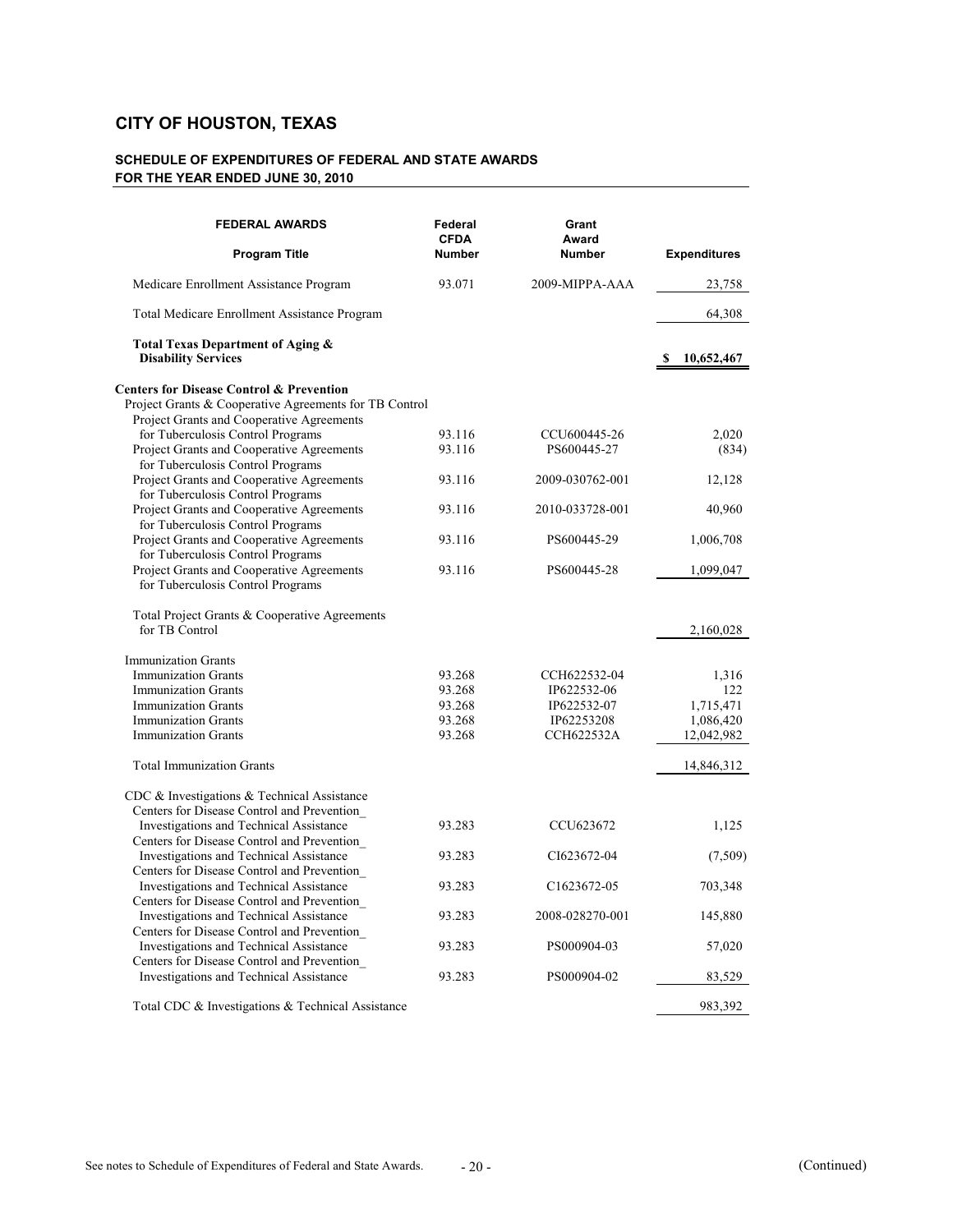| <b>FEDERAL AWARDS</b>                                                                  | Federal<br><b>CFDA</b> | Grant<br>Award              |                     |
|----------------------------------------------------------------------------------------|------------------------|-----------------------------|---------------------|
| <b>Program Title</b>                                                                   | <b>Number</b>          | <b>Number</b>               | <b>Expenditures</b> |
| Medicare Enrollment Assistance Program                                                 | 93.071                 | 2009-MIPPA-AAA              | 23,758              |
| Total Medicare Enrollment Assistance Program                                           |                        |                             | 64,308              |
| Total Texas Department of Aging &<br><b>Disability Services</b>                        |                        |                             | 10,652,467          |
| <b>Centers for Disease Control &amp; Prevention</b>                                    |                        |                             |                     |
| Project Grants & Cooperative Agreements for TB Control                                 |                        |                             |                     |
| Project Grants and Cooperative Agreements                                              |                        |                             |                     |
| for Tuberculosis Control Programs                                                      | 93.116<br>93.116       | CCU600445-26<br>PS600445-27 | 2,020<br>(834)      |
| Project Grants and Cooperative Agreements<br>for Tuberculosis Control Programs         |                        |                             |                     |
| Project Grants and Cooperative Agreements<br>for Tuberculosis Control Programs         | 93.116                 | 2009-030762-001             | 12,128              |
| Project Grants and Cooperative Agreements<br>for Tuberculosis Control Programs         | 93.116                 | 2010-033728-001             | 40,960              |
| Project Grants and Cooperative Agreements<br>for Tuberculosis Control Programs         | 93.116                 | PS600445-29                 | 1,006,708           |
| Project Grants and Cooperative Agreements<br>for Tuberculosis Control Programs         | 93.116                 | PS600445-28                 | 1,099,047           |
|                                                                                        |                        |                             |                     |
| Total Project Grants & Cooperative Agreements<br>for TB Control                        |                        |                             | 2,160,028           |
| <b>Immunization Grants</b>                                                             |                        |                             |                     |
| <b>Immunization Grants</b>                                                             | 93.268                 | CCH622532-04                | 1,316               |
| <b>Immunization Grants</b>                                                             | 93.268                 | IP622532-06                 | 122                 |
| <b>Immunization Grants</b>                                                             | 93.268                 | IP622532-07                 | 1,715,471           |
| <b>Immunization Grants</b>                                                             | 93.268                 | IP62253208                  | 1,086,420           |
| <b>Immunization Grants</b>                                                             | 93.268                 | <b>CCH622532A</b>           | 12,042,982          |
| <b>Total Immunization Grants</b>                                                       |                        |                             | 14,846,312          |
| CDC & Investigations & Technical Assistance                                            |                        |                             |                     |
| Centers for Disease Control and Prevention                                             |                        |                             |                     |
| Investigations and Technical Assistance                                                | 93.283                 | CCU623672                   | 1,125               |
| Centers for Disease Control and Prevention                                             |                        |                             |                     |
| Investigations and Technical Assistance                                                | 93.283                 | CI623672-04                 | (7,509)             |
| Centers for Disease Control and Prevention                                             |                        |                             |                     |
| Investigations and Technical Assistance<br>Centers for Disease Control and Prevention_ | 93.283                 | C <sub>1623672-05</sub>     | 703,348             |
| Investigations and Technical Assistance                                                | 93.283                 | 2008-028270-001             | 145,880             |
| Centers for Disease Control and Prevention                                             |                        |                             |                     |
| Investigations and Technical Assistance                                                | 93.283                 | PS000904-03                 | 57,020              |
| Centers for Disease Control and Prevention                                             |                        |                             |                     |
| Investigations and Technical Assistance                                                | 93.283                 | PS000904-02                 | 83,529              |
| Total CDC & Investigations & Technical Assistance                                      |                        |                             | 983,392             |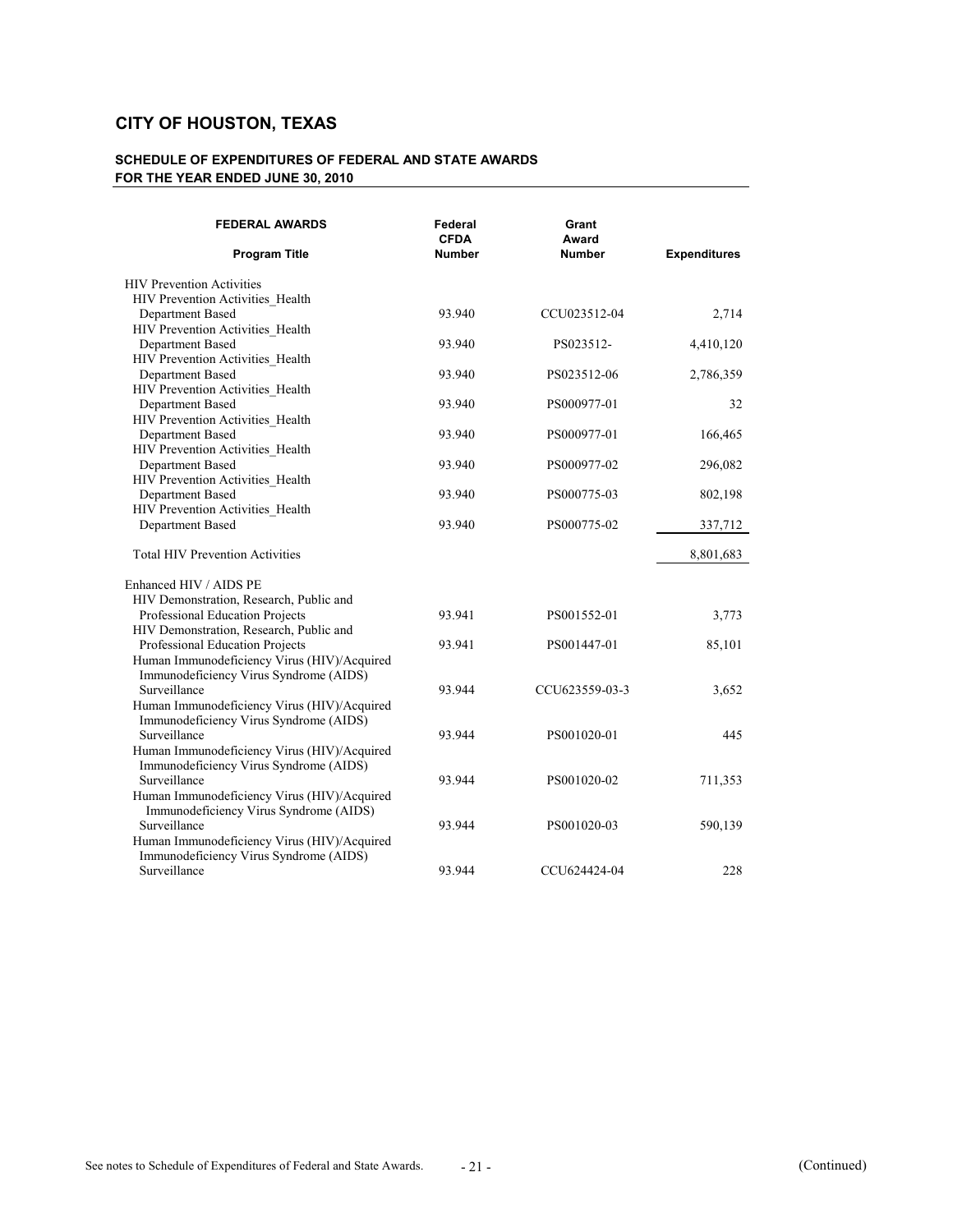| <b>FEDERAL AWARDS</b><br><b>Program Title</b> | Federal<br><b>CFDA</b><br>Number | Grant<br>Award<br><b>Number</b> | <b>Expenditures</b> |
|-----------------------------------------------|----------------------------------|---------------------------------|---------------------|
| <b>HIV Prevention Activities</b>              |                                  |                                 |                     |
| HIV Prevention Activities Health              |                                  |                                 |                     |
| Department Based                              | 93.940                           | CCU023512-04                    | 2,714               |
| HIV Prevention Activities_Health              |                                  |                                 |                     |
| Department Based                              | 93.940                           | PS023512-                       | 4,410,120           |
| HIV Prevention Activities Health              |                                  |                                 |                     |
| Department Based                              | 93.940                           | PS023512-06                     | 2,786,359           |
| HIV Prevention Activities Health              |                                  |                                 |                     |
| Department Based                              | 93.940                           | PS000977-01                     | 32                  |
| HIV Prevention Activities Health              |                                  |                                 |                     |
| Department Based                              | 93.940                           | PS000977-01                     | 166,465             |
| HIV Prevention Activities Health              |                                  |                                 |                     |
| Department Based                              | 93.940                           | PS000977-02                     | 296,082             |
| HIV Prevention Activities Health              |                                  |                                 |                     |
| Department Based                              | 93.940                           | PS000775-03                     | 802,198             |
| HIV Prevention Activities_Health              |                                  |                                 |                     |
| Department Based                              | 93.940                           | PS000775-02                     | 337,712             |
| <b>Total HIV Prevention Activities</b>        |                                  |                                 | 8,801,683           |
| Enhanced HIV / AIDS PE                        |                                  |                                 |                     |
| HIV Demonstration, Research, Public and       |                                  |                                 |                     |
| Professional Education Projects               | 93.941                           | PS001552-01                     | 3,773               |
| HIV Demonstration, Research, Public and       |                                  |                                 |                     |
| Professional Education Projects               | 93.941                           | PS001447-01                     | 85,101              |
| Human Immunodeficiency Virus (HIV)/Acquired   |                                  |                                 |                     |
| Immunodeficiency Virus Syndrome (AIDS)        |                                  |                                 |                     |
| Surveillance                                  | 93.944                           | CCU623559-03-3                  | 3,652               |
| Human Immunodeficiency Virus (HIV)/Acquired   |                                  |                                 |                     |
| Immunodeficiency Virus Syndrome (AIDS)        |                                  |                                 |                     |
| Surveillance                                  | 93.944                           | PS001020-01                     | 445                 |
| Human Immunodeficiency Virus (HIV)/Acquired   |                                  |                                 |                     |
| Immunodeficiency Virus Syndrome (AIDS)        |                                  |                                 |                     |
| Surveillance                                  | 93.944                           | PS001020-02                     | 711,353             |
| Human Immunodeficiency Virus (HIV)/Acquired   |                                  |                                 |                     |
| Immunodeficiency Virus Syndrome (AIDS)        |                                  |                                 |                     |
| Surveillance                                  | 93.944                           | PS001020-03                     | 590,139             |
| Human Immunodeficiency Virus (HIV)/Acquired   |                                  |                                 |                     |
| Immunodeficiency Virus Syndrome (AIDS)        |                                  |                                 |                     |
| Surveillance                                  | 93.944                           | CCU624424-04                    | 228                 |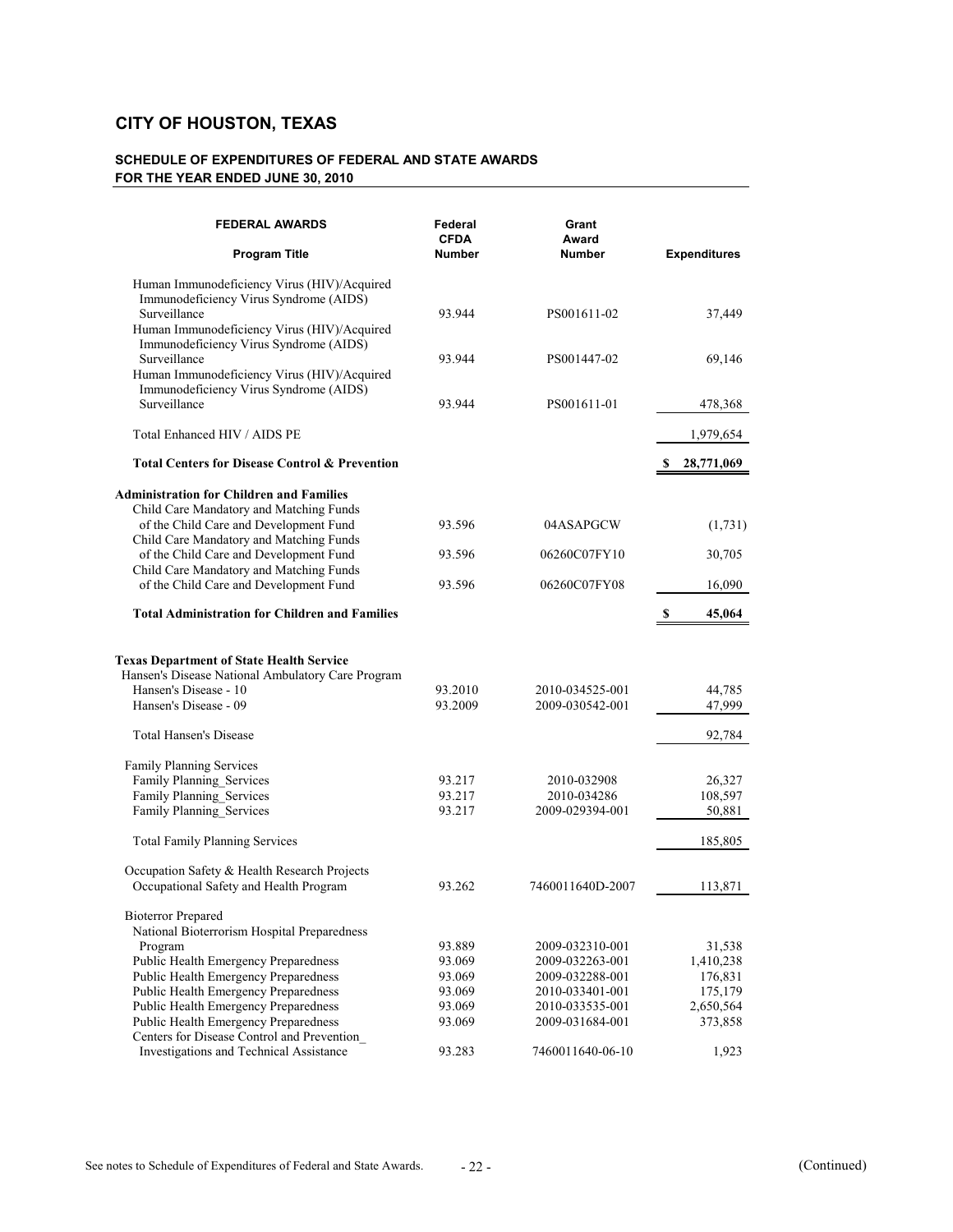| <b>FEDERAL AWARDS</b>                                                                                                                                | Federal<br><b>CFDA</b> | Grant<br>Award   |                     |
|------------------------------------------------------------------------------------------------------------------------------------------------------|------------------------|------------------|---------------------|
| <b>Program Title</b>                                                                                                                                 | <b>Number</b>          | <b>Number</b>    | <b>Expenditures</b> |
| Human Immunodeficiency Virus (HIV)/Acquired<br>Immunodeficiency Virus Syndrome (AIDS)<br>Surveillance<br>Human Immunodeficiency Virus (HIV)/Acquired | 93.944                 | PS001611-02      | 37,449              |
| Immunodeficiency Virus Syndrome (AIDS)<br>Surveillance<br>Human Immunodeficiency Virus (HIV)/Acquired                                                | 93.944                 | PS001447-02      | 69,146              |
| Immunodeficiency Virus Syndrome (AIDS)<br>Surveillance                                                                                               | 93.944                 | PS001611-01      | 478,368             |
| Total Enhanced HIV / AIDS PE                                                                                                                         |                        |                  | 1,979,654           |
| <b>Total Centers for Disease Control &amp; Prevention</b>                                                                                            |                        |                  | 28,771,069<br>S     |
| <b>Administration for Children and Families</b>                                                                                                      |                        |                  |                     |
| Child Care Mandatory and Matching Funds<br>of the Child Care and Development Fund<br>Child Care Mandatory and Matching Funds                         | 93.596                 | 04ASAPGCW        | (1,731)             |
| of the Child Care and Development Fund                                                                                                               | 93.596                 | 06260C07FY10     | 30,705              |
| Child Care Mandatory and Matching Funds<br>of the Child Care and Development Fund                                                                    | 93.596                 | 06260C07FY08     | 16,090              |
| <b>Total Administration for Children and Families</b>                                                                                                |                        |                  | 45,064<br>S         |
| <b>Texas Department of State Health Service</b><br>Hansen's Disease National Ambulatory Care Program                                                 |                        |                  |                     |
| Hansen's Disease - 10                                                                                                                                | 93.2010                | 2010-034525-001  | 44,785              |
| Hansen's Disease - 09                                                                                                                                | 93.2009                | 2009-030542-001  | 47,999              |
| Total Hansen's Disease                                                                                                                               |                        |                  | 92,784              |
| Family Planning Services                                                                                                                             |                        |                  |                     |
| Family Planning Services                                                                                                                             | 93.217                 | 2010-032908      | 26,327              |
| Family Planning_Services                                                                                                                             | 93.217                 | 2010-034286      | 108,597             |
| Family Planning_Services                                                                                                                             | 93.217                 | 2009-029394-001  | 50,881              |
| <b>Total Family Planning Services</b>                                                                                                                |                        |                  | 185,805             |
| Occupation Safety & Health Research Projects                                                                                                         |                        |                  |                     |
| Occupational Safety and Health Program                                                                                                               | 93.262                 | 7460011640D-2007 | 113,871             |
| <b>Bioterror Prepared</b>                                                                                                                            |                        |                  |                     |
| National Bioterrorism Hospital Preparedness                                                                                                          |                        |                  |                     |
| Program                                                                                                                                              | 93.889                 | 2009-032310-001  | 31,538              |
| Public Health Emergency Preparedness                                                                                                                 | 93.069                 | 2009-032263-001  | 1,410,238           |
| Public Health Emergency Preparedness                                                                                                                 | 93.069                 | 2009-032288-001  | 176,831             |
| Public Health Emergency Preparedness                                                                                                                 | 93.069                 | 2010-033401-001  | 175,179             |
| Public Health Emergency Preparedness                                                                                                                 | 93.069                 | 2010-033535-001  | 2,650,564           |
| Public Health Emergency Preparedness                                                                                                                 | 93.069                 | 2009-031684-001  | 373,858             |
| Centers for Disease Control and Prevention                                                                                                           |                        |                  |                     |
| Investigations and Technical Assistance                                                                                                              | 93.283                 | 7460011640-06-10 | 1,923               |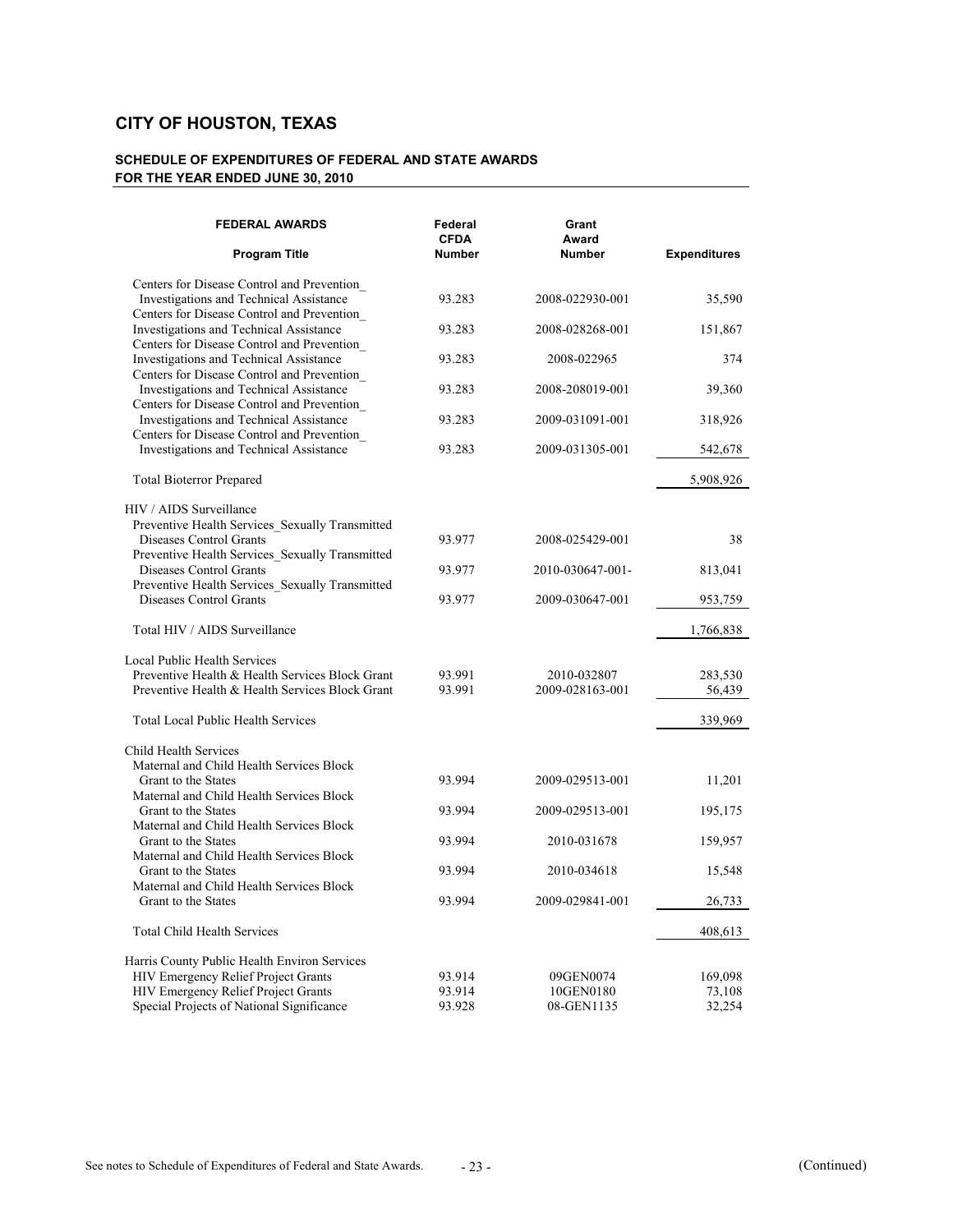| <b>FEDERAL AWARDS</b>                                                                                                               | Federal<br><b>CFDA</b> | Grant<br>Award          |                     |
|-------------------------------------------------------------------------------------------------------------------------------------|------------------------|-------------------------|---------------------|
| <b>Program Title</b>                                                                                                                | <b>Number</b>          | <b>Number</b>           | <b>Expenditures</b> |
| Centers for Disease Control and Prevention_<br>Investigations and Technical Assistance                                              | 93.283                 | 2008-022930-001         | 35,590              |
| Centers for Disease Control and Prevention<br>Investigations and Technical Assistance<br>Centers for Disease Control and Prevention | 93.283                 | 2008-028268-001         | 151,867             |
| Investigations and Technical Assistance<br>Centers for Disease Control and Prevention                                               | 93.283                 | 2008-022965             | 374                 |
| Investigations and Technical Assistance<br>Centers for Disease Control and Prevention                                               | 93.283                 | 2008-208019-001         | 39,360              |
| Investigations and Technical Assistance<br>Centers for Disease Control and Prevention                                               | 93.283                 | 2009-031091-001         | 318,926             |
| Investigations and Technical Assistance                                                                                             | 93.283                 | 2009-031305-001         | 542,678             |
| <b>Total Bioterror Prepared</b>                                                                                                     |                        |                         | 5,908,926           |
| HIV / AIDS Surveillance                                                                                                             |                        |                         |                     |
| Preventive Health Services_Sexually Transmitted<br>Diseases Control Grants<br>Preventive Health Services_Sexually Transmitted       | 93.977                 | 2008-025429-001         | 38                  |
| Diseases Control Grants                                                                                                             | 93.977                 | 2010-030647-001-        | 813,041             |
| Preventive Health Services_Sexually Transmitted<br>Diseases Control Grants                                                          | 93.977                 | 2009-030647-001         | 953,759             |
| Total HIV / AIDS Surveillance                                                                                                       |                        |                         | 1,766,838           |
| Local Public Health Services                                                                                                        |                        |                         |                     |
| Preventive Health & Health Services Block Grant                                                                                     | 93.991                 | 2010-032807             | 283,530             |
| Preventive Health & Health Services Block Grant                                                                                     | 93.991                 | 2009-028163-001         | 56,439              |
| <b>Total Local Public Health Services</b>                                                                                           |                        |                         | 339,969             |
| Child Health Services<br>Maternal and Child Health Services Block                                                                   |                        |                         |                     |
| Grant to the States                                                                                                                 | 93.994                 | 2009-029513-001         | 11,201              |
| Maternal and Child Health Services Block<br>Grant to the States<br>Maternal and Child Health Services Block                         | 93.994                 | 2009-029513-001         | 195,175             |
| Grant to the States                                                                                                                 | 93.994                 | 2010-031678             | 159,957             |
| Maternal and Child Health Services Block<br>Grant to the States                                                                     | 93.994                 | 2010-034618             | 15,548              |
| Maternal and Child Health Services Block                                                                                            |                        |                         |                     |
| Grant to the States                                                                                                                 | 93.994                 | 2009-029841-001         | 26,733              |
| <b>Total Child Health Services</b>                                                                                                  |                        |                         | 408,613             |
| Harris County Public Health Environ Services                                                                                        |                        |                         |                     |
| HIV Emergency Relief Project Grants                                                                                                 | 93.914                 | 09GEN0074               | 169,098             |
| <b>HIV Emergency Relief Project Grants</b><br>Special Projects of National Significance                                             | 93.914<br>93.928       | 10GEN0180<br>08-GEN1135 | 73,108<br>32,254    |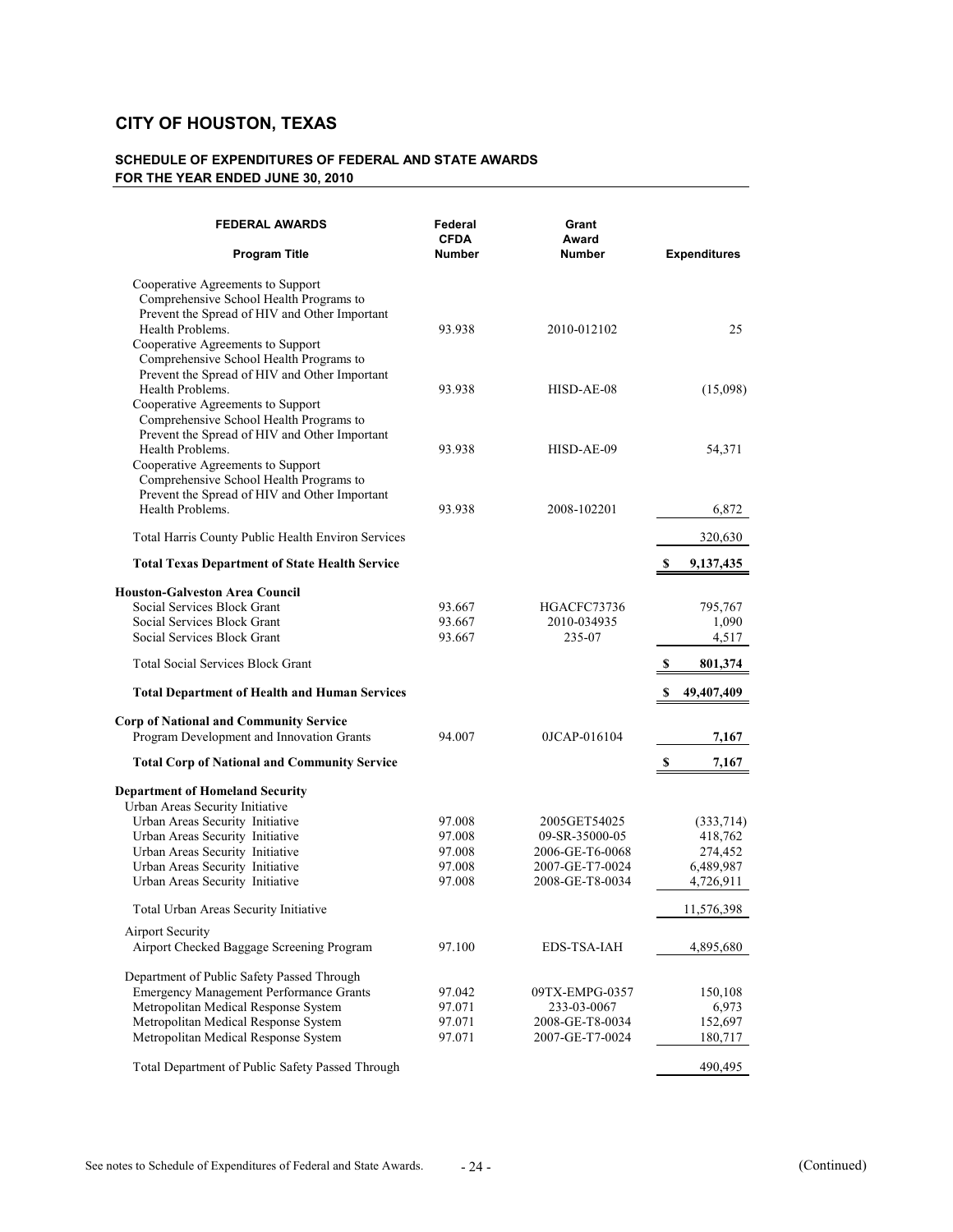| <b>FEDERAL AWARDS</b>                                                                                                                                                                        | Federal<br><b>CFDA</b> | Grant<br>Award     |                     |
|----------------------------------------------------------------------------------------------------------------------------------------------------------------------------------------------|------------------------|--------------------|---------------------|
| <b>Program Title</b>                                                                                                                                                                         | <b>Number</b>          | <b>Number</b>      | <b>Expenditures</b> |
| Cooperative Agreements to Support<br>Comprehensive School Health Programs to<br>Prevent the Spread of HIV and Other Important<br>Health Problems.<br>Cooperative Agreements to Support       | 93.938                 | 2010-012102        | 25                  |
| Comprehensive School Health Programs to<br>Prevent the Spread of HIV and Other Important<br>Health Problems.<br>Cooperative Agreements to Support<br>Comprehensive School Health Programs to | 93.938                 | HISD-AE-08         | (15,098)            |
| Prevent the Spread of HIV and Other Important<br>Health Problems.<br>Cooperative Agreements to Support<br>Comprehensive School Health Programs to                                            | 93.938                 | HISD-AE-09         | 54,371              |
| Prevent the Spread of HIV and Other Important<br>Health Problems.                                                                                                                            | 93.938                 | 2008-102201        | 6,872               |
| Total Harris County Public Health Environ Services                                                                                                                                           |                        |                    | 320,630             |
| <b>Total Texas Department of State Health Service</b>                                                                                                                                        |                        |                    | 9,137,435<br>S      |
| <b>Houston-Galveston Area Council</b>                                                                                                                                                        |                        |                    |                     |
| Social Services Block Grant                                                                                                                                                                  | 93.667                 | HGACFC73736        | 795,767             |
| Social Services Block Grant                                                                                                                                                                  | 93.667                 | 2010-034935        | 1,090               |
| Social Services Block Grant                                                                                                                                                                  | 93.667                 | 235-07             | 4,517               |
| <b>Total Social Services Block Grant</b>                                                                                                                                                     |                        |                    | \$<br>801,374       |
| <b>Total Department of Health and Human Services</b>                                                                                                                                         |                        |                    | 49,407,409<br>\$    |
|                                                                                                                                                                                              |                        |                    |                     |
| <b>Corp of National and Community Service</b>                                                                                                                                                |                        |                    |                     |
| Program Development and Innovation Grants                                                                                                                                                    | 94.007                 | 0JCAP-016104       | 7,167               |
| <b>Total Corp of National and Community Service</b>                                                                                                                                          |                        |                    | \$<br>7,167         |
| <b>Department of Homeland Security</b>                                                                                                                                                       |                        |                    |                     |
| Urban Areas Security Initiative                                                                                                                                                              |                        |                    |                     |
| Urban Areas Security Initiative                                                                                                                                                              | 97.008                 | 2005GET54025       | (333,714)           |
| Urban Areas Security Initiative                                                                                                                                                              | 97.008                 | 09-SR-35000-05     | 418,762             |
| Urban Areas Security Initiative                                                                                                                                                              | 97.008                 | 2006-GE-T6-0068    | 274,452             |
| Urban Areas Security Initiative                                                                                                                                                              | 97.008                 | 2007-GE-T7-0024    | 6,489,987           |
| Urban Areas Security Initiative                                                                                                                                                              | 97.008                 | 2008-GE-T8-0034    | 4,726,911           |
| Total Urban Areas Security Initiative                                                                                                                                                        |                        |                    | 11,576,398          |
| <b>Airport Security</b><br>Airport Checked Baggage Screening Program                                                                                                                         | 97.100                 | <b>EDS-TSA-IAH</b> | 4,895,680           |
| Department of Public Safety Passed Through                                                                                                                                                   |                        |                    |                     |
| <b>Emergency Management Performance Grants</b>                                                                                                                                               | 97.042                 | 09TX-EMPG-0357     | 150,108             |
| Metropolitan Medical Response System                                                                                                                                                         | 97.071                 | 233-03-0067        | 6,973               |
| Metropolitan Medical Response System                                                                                                                                                         | 97.071                 | 2008-GE-T8-0034    | 152,697             |
| Metropolitan Medical Response System                                                                                                                                                         | 97.071                 | 2007-GE-T7-0024    | 180,717             |
| Total Department of Public Safety Passed Through                                                                                                                                             |                        |                    | 490,495             |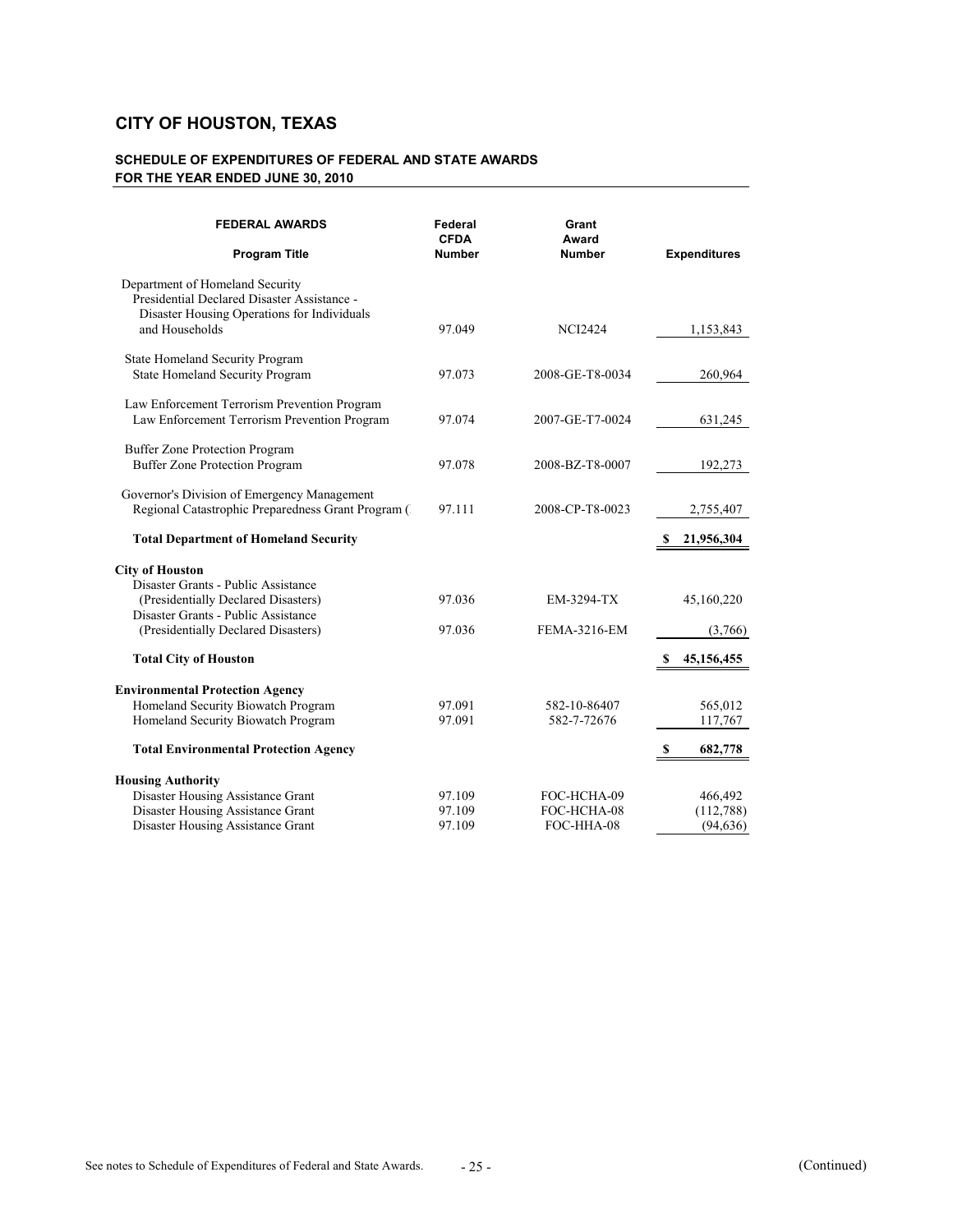| <b>FEDERAL AWARDS</b>                                                                                                                           | Federal<br><b>CFDA</b><br><b>Number</b> | Grant<br>Award      |                     |
|-------------------------------------------------------------------------------------------------------------------------------------------------|-----------------------------------------|---------------------|---------------------|
| <b>Program Title</b>                                                                                                                            |                                         | <b>Number</b>       | <b>Expenditures</b> |
| Department of Homeland Security<br>Presidential Declared Disaster Assistance -<br>Disaster Housing Operations for Individuals<br>and Households | 97.049                                  | <b>NCI2424</b>      | 1,153,843           |
|                                                                                                                                                 |                                         |                     |                     |
| State Homeland Security Program<br>State Homeland Security Program                                                                              | 97.073                                  | 2008-GE-T8-0034     | 260,964             |
| Law Enforcement Terrorism Prevention Program<br>Law Enforcement Terrorism Prevention Program                                                    | 97.074                                  | 2007-GE-T7-0024     | 631,245             |
| Buffer Zone Protection Program<br><b>Buffer Zone Protection Program</b>                                                                         | 97.078                                  | 2008-BZ-T8-0007     | 192,273             |
| Governor's Division of Emergency Management<br>Regional Catastrophic Preparedness Grant Program (                                               | 97.111                                  | 2008-CP-T8-0023     | 2,755,407           |
| <b>Total Department of Homeland Security</b>                                                                                                    |                                         |                     | 21,956,304          |
| <b>City of Houston</b>                                                                                                                          |                                         |                     |                     |
| Disaster Grants - Public Assistance                                                                                                             |                                         |                     |                     |
| (Presidentially Declared Disasters)<br>Disaster Grants - Public Assistance                                                                      | 97.036                                  | EM-3294-TX          | 45,160,220          |
| (Presidentially Declared Disasters)                                                                                                             | 97.036                                  | <b>FEMA-3216-EM</b> | (3,766)             |
| <b>Total City of Houston</b>                                                                                                                    |                                         |                     | 45, 156, 455        |
| <b>Environmental Protection Agency</b>                                                                                                          |                                         |                     |                     |
| Homeland Security Biowatch Program                                                                                                              | 97.091                                  | 582-10-86407        | 565,012             |
| Homeland Security Biowatch Program                                                                                                              | 97.091                                  | 582-7-72676         | 117,767             |
| <b>Total Environmental Protection Agency</b>                                                                                                    |                                         |                     | 682,778<br>S        |
| <b>Housing Authority</b>                                                                                                                        |                                         |                     |                     |
| Disaster Housing Assistance Grant                                                                                                               | 97.109                                  | FOC-HCHA-09         | 466,492             |
| Disaster Housing Assistance Grant                                                                                                               | 97.109                                  | FOC-HCHA-08         | (112,788)           |
| Disaster Housing Assistance Grant                                                                                                               | 97.109                                  | FOC-HHA-08          | (94, 636)           |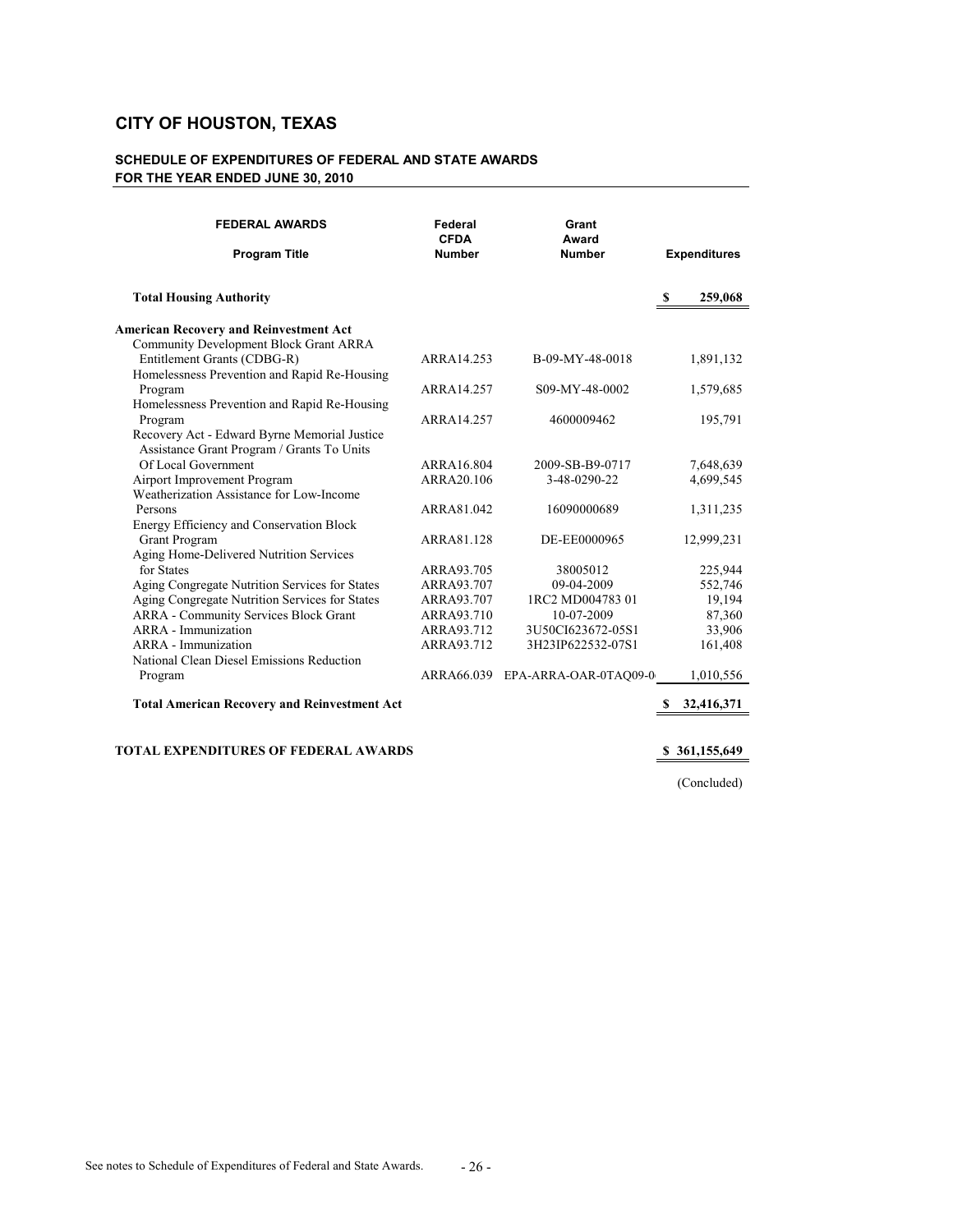### **SCHEDULE OF EXPENDITURES OF FEDERAL AND STATE AWARDS FOR THE YEAR ENDED JUNE 30, 2010**

| <b>FEDERAL AWARDS</b><br><b>Program Title</b>                           | Federal<br><b>CFDA</b><br><b>Number</b> | Grant<br>Award<br><b>Number</b> |   | <b>Expenditures</b> |
|-------------------------------------------------------------------------|-----------------------------------------|---------------------------------|---|---------------------|
| <b>Total Housing Authority</b>                                          |                                         |                                 | S | 259,068             |
| <b>American Recovery and Reinvestment Act</b>                           |                                         |                                 |   |                     |
| Community Development Block Grant ARRA                                  |                                         |                                 |   |                     |
| Entitlement Grants (CDBG-R)                                             | ARRA14.253                              | B-09-MY-48-0018                 |   | 1,891,132           |
| Homelessness Prevention and Rapid Re-Housing                            |                                         |                                 |   |                     |
| Program                                                                 | ARRA14.257                              | S09-MY-48-0002                  |   | 1,579,685           |
| Homelessness Prevention and Rapid Re-Housing                            |                                         |                                 |   |                     |
| Program                                                                 | ARRA14.257                              | 4600009462                      |   | 195,791             |
| Recovery Act - Edward Byrne Memorial Justice                            |                                         |                                 |   |                     |
| Assistance Grant Program / Grants To Units                              |                                         |                                 |   |                     |
| Of Local Government                                                     | ARRA16.804                              | 2009-SB-B9-0717                 |   | 7,648,639           |
| Airport Improvement Program<br>Weatherization Assistance for Low-Income | ARRA20.106                              | 3-48-0290-22                    |   | 4,699,545           |
| Persons                                                                 | ARRA81.042                              | 16090000689                     |   |                     |
|                                                                         |                                         |                                 |   | 1,311,235           |
| Energy Efficiency and Conservation Block<br>Grant Program               | ARRA81.128                              | DE-EE0000965                    |   | 12,999,231          |
| Aging Home-Delivered Nutrition Services                                 |                                         |                                 |   |                     |
| for States                                                              | ARRA93.705                              | 38005012                        |   | 225,944             |
| Aging Congregate Nutrition Services for States                          | ARRA93.707                              | 09-04-2009                      |   | 552,746             |
| Aging Congregate Nutrition Services for States                          | ARRA93.707                              | 1RC2 MD004783 01                |   | 19,194              |
| <b>ARRA</b> - Community Services Block Grant                            | ARRA93.710                              | 10-07-2009                      |   | 87,360              |
| ARRA - Immunization                                                     | ARRA93.712                              | 3U50CI623672-05S1               |   | 33,906              |
| ARRA - Immunization                                                     | ARRA93.712                              | 3H23IP622532-07S1               |   | 161,408             |
| National Clean Diesel Emissions Reduction                               |                                         |                                 |   |                     |
| Program                                                                 | ARRA66.039                              | EPA-ARRA-OAR-0TAQ09-0           |   | 1,010,556           |
|                                                                         |                                         |                                 |   |                     |
| <b>Total American Recovery and Reinvestment Act</b>                     |                                         |                                 | S | 32,416,371          |

**TOTAL EXPENDITURES OF FEDERAL AWARDS \$ 361,155,649** 

(Concluded)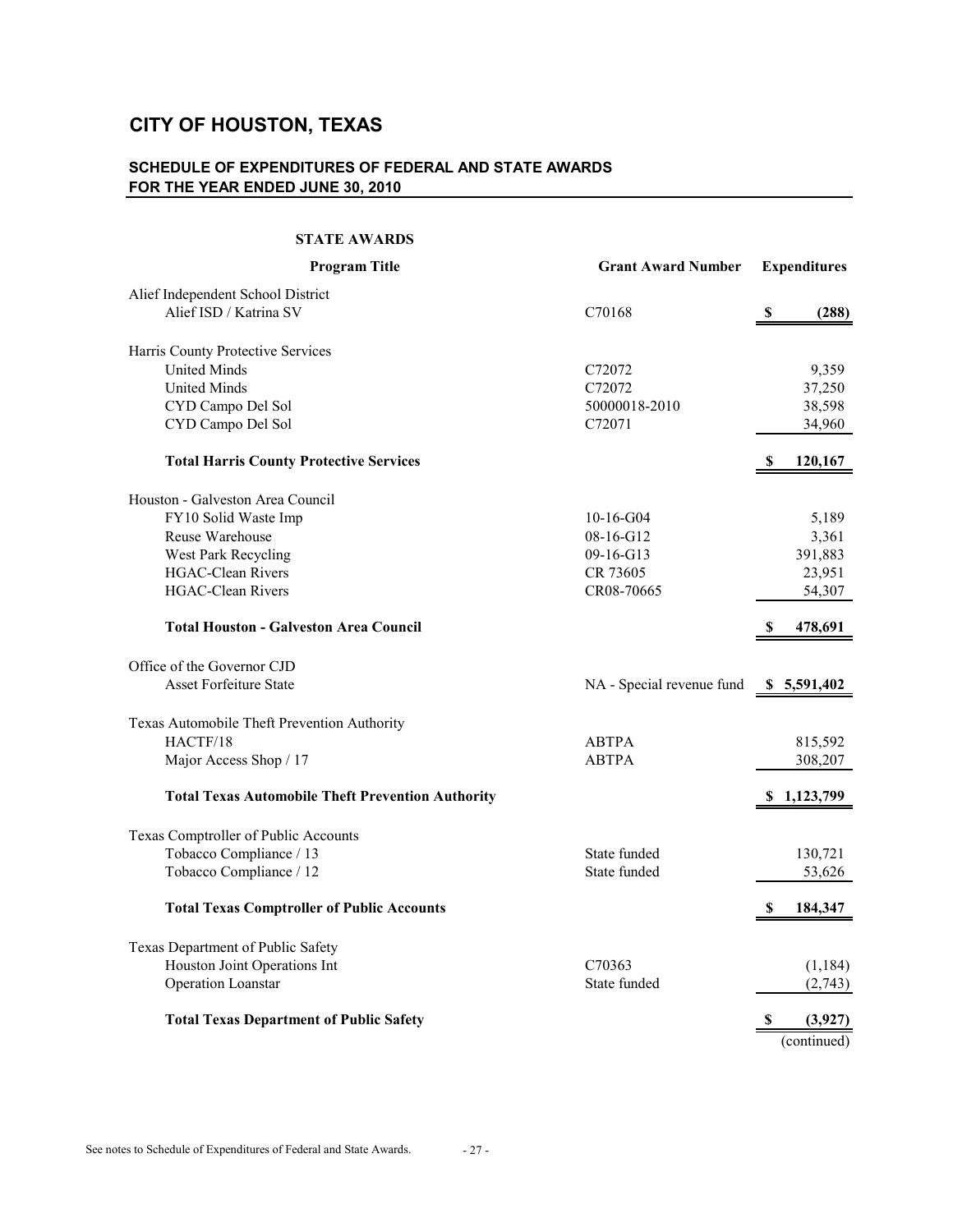# **SCHEDULE OF EXPENDITURES OF FEDERAL AND STATE AWARDS FOR THE YEAR ENDED JUNE 30, 2010**

#### **STATE AWARDS**

| <b>Program Title</b>                                     | <b>Grant Award Number</b> | <b>Expenditures</b>                |
|----------------------------------------------------------|---------------------------|------------------------------------|
| Alief Independent School District                        |                           |                                    |
| Alief ISD / Katrina SV                                   | C70168                    | $\boldsymbol{\mathsf{S}}$<br>(288) |
| Harris County Protective Services                        |                           |                                    |
| <b>United Minds</b>                                      | C72072                    | 9,359                              |
| <b>United Minds</b>                                      | C72072                    | 37,250                             |
| CYD Campo Del Sol                                        | 50000018-2010             | 38,598                             |
| CYD Campo Del Sol                                        | C72071                    | 34,960                             |
| <b>Total Harris County Protective Services</b>           |                           | \$<br>120,167                      |
| Houston - Galveston Area Council                         |                           |                                    |
| FY10 Solid Waste Imp                                     | $10-16-G04$               | 5,189                              |
| Reuse Warehouse                                          | 08-16-G12                 | 3,361                              |
| West Park Recycling                                      | 09-16-G13                 | 391,883                            |
| <b>HGAC-Clean Rivers</b>                                 | CR 73605                  | 23,951                             |
| <b>HGAC-Clean Rivers</b>                                 | CR08-70665                | 54,307                             |
| <b>Total Houston - Galveston Area Council</b>            |                           | \$<br>478,691                      |
| Office of the Governor CJD                               |                           |                                    |
| <b>Asset Forfeiture State</b>                            | NA - Special revenue fund | \$5,591,402                        |
| Texas Automobile Theft Prevention Authority              |                           |                                    |
| HACTF/18                                                 | <b>ABTPA</b>              | 815,592                            |
| Major Access Shop / 17                                   | <b>ABTPA</b>              | 308,207                            |
| <b>Total Texas Automobile Theft Prevention Authority</b> |                           | \$1,123,799                        |
| Texas Comptroller of Public Accounts                     |                           |                                    |
| Tobacco Compliance / 13                                  | State funded              | 130,721                            |
| Tobacco Compliance / 12                                  | State funded              | 53,626                             |
| <b>Total Texas Comptroller of Public Accounts</b>        |                           | 184,347<br>S                       |
| Texas Department of Public Safety                        |                           |                                    |
| Houston Joint Operations Int                             | C70363                    | (1, 184)                           |
| Operation Loanstar                                       | State funded              | (2,743)                            |
| <b>Total Texas Department of Public Safety</b>           |                           | S<br>(3,927)                       |
|                                                          |                           | (continued)                        |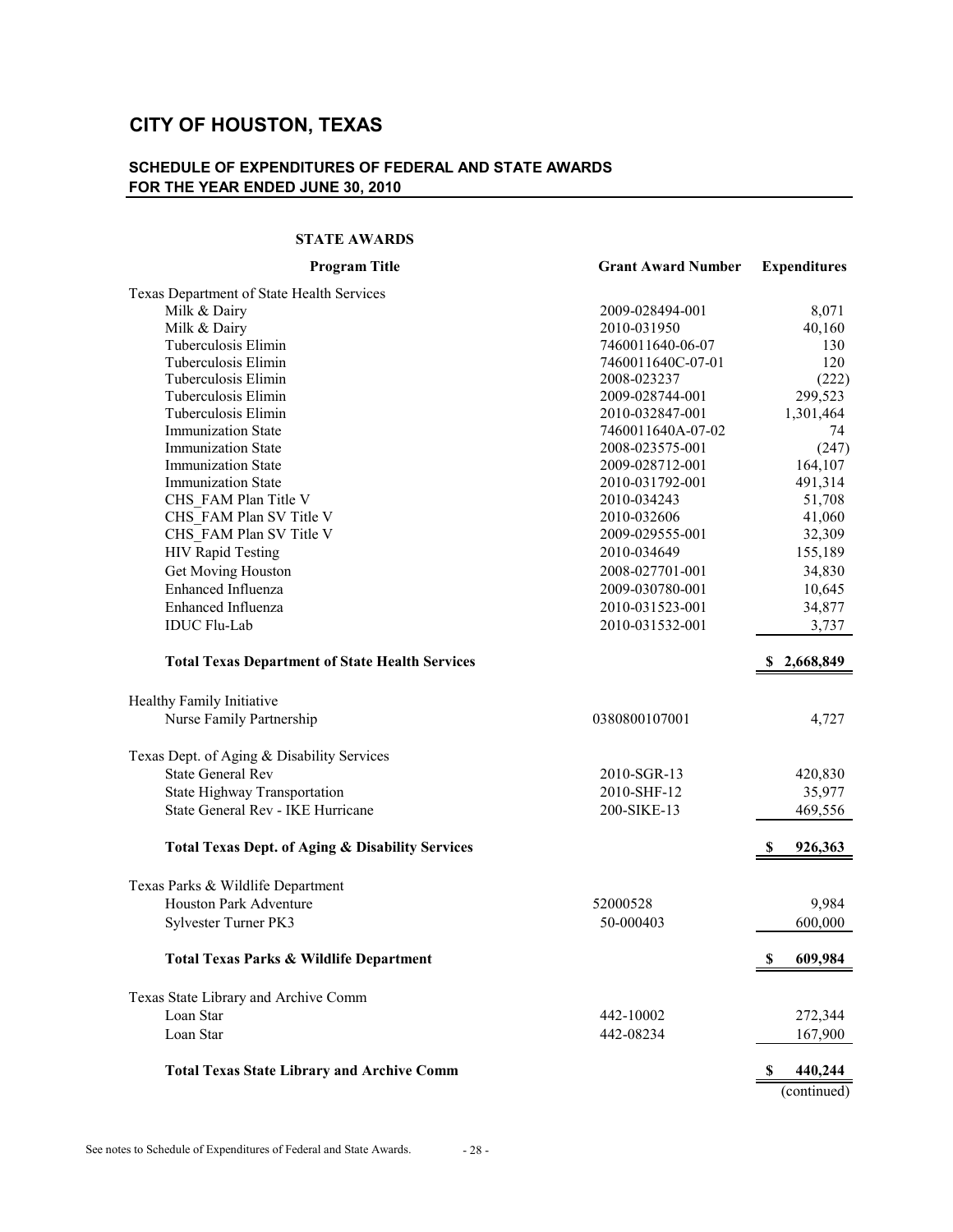# **SCHEDULE OF EXPENDITURES OF FEDERAL AND STATE AWARDS FOR THE YEAR ENDED JUNE 30, 2010**

#### **STATE AWARDS**

| Texas Department of State Health Services<br>Milk & Dairy<br>2009-028494-001<br>8,071<br>Milk & Dairy<br>2010-031950<br>40,160<br>Tuberculosis Elimin<br>7460011640-06-07<br>130<br>Tuberculosis Elimin<br>120<br>7460011640C-07-01<br>Tuberculosis Elimin<br>2008-023237<br>(222)<br>299,523<br>Tuberculosis Elimin<br>2009-028744-001<br>Tuberculosis Elimin<br>1,301,464<br>2010-032847-001<br>Immunization State<br>7460011640A-07-02<br>74<br><b>Immunization State</b><br>(247)<br>2008-023575-001<br><b>Immunization State</b><br>2009-028712-001<br>164,107<br><b>Immunization State</b><br>491,314<br>2010-031792-001<br>CHS FAM Plan Title V<br>51,708<br>2010-034243<br>CHS FAM Plan SV Title V<br>41,060<br>2010-032606<br>CHS FAM Plan SV Title V<br>32,309<br>2009-029555-001<br><b>HIV Rapid Testing</b><br>2010-034649<br>155,189<br>Get Moving Houston<br>34,830<br>2008-027701-001<br>Enhanced Influenza<br>10,645<br>2009-030780-001<br>Enhanced Influenza<br>34,877<br>2010-031523-001<br><b>IDUC Flu-Lab</b><br>2010-031532-001<br>3,737<br><b>Total Texas Department of State Health Services</b><br>\$2,668,849<br>Healthy Family Initiative<br>Nurse Family Partnership<br>0380800107001<br>4,727<br>Texas Dept. of Aging & Disability Services<br><b>State General Rev</b><br>2010-SGR-13<br>420,830<br>State Highway Transportation<br>35,977<br>2010-SHF-12<br>State General Rev - IKE Hurricane<br>200-SIKE-13<br>469,556<br><b>Total Texas Dept. of Aging &amp; Disability Services</b><br>926,363<br>S<br>Texas Parks & Wildlife Department<br><b>Houston Park Adventure</b><br>52000528<br>9,984<br>Sylvester Turner PK3<br>50-000403<br>600,000<br><b>Total Texas Parks &amp; Wildlife Department</b><br>609,984<br>\$<br>Texas State Library and Archive Comm<br>Loan Star<br>442-10002<br>272,344<br>Loan Star<br>442-08234<br>167,900<br><b>Total Texas State Library and Archive Comm</b><br>440,244<br>\$<br>(continued) | <b>Program Title</b> | <b>Grant Award Number</b> | <b>Expenditures</b> |
|---------------------------------------------------------------------------------------------------------------------------------------------------------------------------------------------------------------------------------------------------------------------------------------------------------------------------------------------------------------------------------------------------------------------------------------------------------------------------------------------------------------------------------------------------------------------------------------------------------------------------------------------------------------------------------------------------------------------------------------------------------------------------------------------------------------------------------------------------------------------------------------------------------------------------------------------------------------------------------------------------------------------------------------------------------------------------------------------------------------------------------------------------------------------------------------------------------------------------------------------------------------------------------------------------------------------------------------------------------------------------------------------------------------------------------------------------------------------------------------------------------------------------------------------------------------------------------------------------------------------------------------------------------------------------------------------------------------------------------------------------------------------------------------------------------------------------------------------------------------------------------------------------------------------------------------------------------------|----------------------|---------------------------|---------------------|
|                                                                                                                                                                                                                                                                                                                                                                                                                                                                                                                                                                                                                                                                                                                                                                                                                                                                                                                                                                                                                                                                                                                                                                                                                                                                                                                                                                                                                                                                                                                                                                                                                                                                                                                                                                                                                                                                                                                                                               |                      |                           |                     |
|                                                                                                                                                                                                                                                                                                                                                                                                                                                                                                                                                                                                                                                                                                                                                                                                                                                                                                                                                                                                                                                                                                                                                                                                                                                                                                                                                                                                                                                                                                                                                                                                                                                                                                                                                                                                                                                                                                                                                               |                      |                           |                     |
|                                                                                                                                                                                                                                                                                                                                                                                                                                                                                                                                                                                                                                                                                                                                                                                                                                                                                                                                                                                                                                                                                                                                                                                                                                                                                                                                                                                                                                                                                                                                                                                                                                                                                                                                                                                                                                                                                                                                                               |                      |                           |                     |
|                                                                                                                                                                                                                                                                                                                                                                                                                                                                                                                                                                                                                                                                                                                                                                                                                                                                                                                                                                                                                                                                                                                                                                                                                                                                                                                                                                                                                                                                                                                                                                                                                                                                                                                                                                                                                                                                                                                                                               |                      |                           |                     |
|                                                                                                                                                                                                                                                                                                                                                                                                                                                                                                                                                                                                                                                                                                                                                                                                                                                                                                                                                                                                                                                                                                                                                                                                                                                                                                                                                                                                                                                                                                                                                                                                                                                                                                                                                                                                                                                                                                                                                               |                      |                           |                     |
|                                                                                                                                                                                                                                                                                                                                                                                                                                                                                                                                                                                                                                                                                                                                                                                                                                                                                                                                                                                                                                                                                                                                                                                                                                                                                                                                                                                                                                                                                                                                                                                                                                                                                                                                                                                                                                                                                                                                                               |                      |                           |                     |
|                                                                                                                                                                                                                                                                                                                                                                                                                                                                                                                                                                                                                                                                                                                                                                                                                                                                                                                                                                                                                                                                                                                                                                                                                                                                                                                                                                                                                                                                                                                                                                                                                                                                                                                                                                                                                                                                                                                                                               |                      |                           |                     |
|                                                                                                                                                                                                                                                                                                                                                                                                                                                                                                                                                                                                                                                                                                                                                                                                                                                                                                                                                                                                                                                                                                                                                                                                                                                                                                                                                                                                                                                                                                                                                                                                                                                                                                                                                                                                                                                                                                                                                               |                      |                           |                     |
|                                                                                                                                                                                                                                                                                                                                                                                                                                                                                                                                                                                                                                                                                                                                                                                                                                                                                                                                                                                                                                                                                                                                                                                                                                                                                                                                                                                                                                                                                                                                                                                                                                                                                                                                                                                                                                                                                                                                                               |                      |                           |                     |
|                                                                                                                                                                                                                                                                                                                                                                                                                                                                                                                                                                                                                                                                                                                                                                                                                                                                                                                                                                                                                                                                                                                                                                                                                                                                                                                                                                                                                                                                                                                                                                                                                                                                                                                                                                                                                                                                                                                                                               |                      |                           |                     |
|                                                                                                                                                                                                                                                                                                                                                                                                                                                                                                                                                                                                                                                                                                                                                                                                                                                                                                                                                                                                                                                                                                                                                                                                                                                                                                                                                                                                                                                                                                                                                                                                                                                                                                                                                                                                                                                                                                                                                               |                      |                           |                     |
|                                                                                                                                                                                                                                                                                                                                                                                                                                                                                                                                                                                                                                                                                                                                                                                                                                                                                                                                                                                                                                                                                                                                                                                                                                                                                                                                                                                                                                                                                                                                                                                                                                                                                                                                                                                                                                                                                                                                                               |                      |                           |                     |
|                                                                                                                                                                                                                                                                                                                                                                                                                                                                                                                                                                                                                                                                                                                                                                                                                                                                                                                                                                                                                                                                                                                                                                                                                                                                                                                                                                                                                                                                                                                                                                                                                                                                                                                                                                                                                                                                                                                                                               |                      |                           |                     |
|                                                                                                                                                                                                                                                                                                                                                                                                                                                                                                                                                                                                                                                                                                                                                                                                                                                                                                                                                                                                                                                                                                                                                                                                                                                                                                                                                                                                                                                                                                                                                                                                                                                                                                                                                                                                                                                                                                                                                               |                      |                           |                     |
|                                                                                                                                                                                                                                                                                                                                                                                                                                                                                                                                                                                                                                                                                                                                                                                                                                                                                                                                                                                                                                                                                                                                                                                                                                                                                                                                                                                                                                                                                                                                                                                                                                                                                                                                                                                                                                                                                                                                                               |                      |                           |                     |
|                                                                                                                                                                                                                                                                                                                                                                                                                                                                                                                                                                                                                                                                                                                                                                                                                                                                                                                                                                                                                                                                                                                                                                                                                                                                                                                                                                                                                                                                                                                                                                                                                                                                                                                                                                                                                                                                                                                                                               |                      |                           |                     |
|                                                                                                                                                                                                                                                                                                                                                                                                                                                                                                                                                                                                                                                                                                                                                                                                                                                                                                                                                                                                                                                                                                                                                                                                                                                                                                                                                                                                                                                                                                                                                                                                                                                                                                                                                                                                                                                                                                                                                               |                      |                           |                     |
|                                                                                                                                                                                                                                                                                                                                                                                                                                                                                                                                                                                                                                                                                                                                                                                                                                                                                                                                                                                                                                                                                                                                                                                                                                                                                                                                                                                                                                                                                                                                                                                                                                                                                                                                                                                                                                                                                                                                                               |                      |                           |                     |
|                                                                                                                                                                                                                                                                                                                                                                                                                                                                                                                                                                                                                                                                                                                                                                                                                                                                                                                                                                                                                                                                                                                                                                                                                                                                                                                                                                                                                                                                                                                                                                                                                                                                                                                                                                                                                                                                                                                                                               |                      |                           |                     |
|                                                                                                                                                                                                                                                                                                                                                                                                                                                                                                                                                                                                                                                                                                                                                                                                                                                                                                                                                                                                                                                                                                                                                                                                                                                                                                                                                                                                                                                                                                                                                                                                                                                                                                                                                                                                                                                                                                                                                               |                      |                           |                     |
|                                                                                                                                                                                                                                                                                                                                                                                                                                                                                                                                                                                                                                                                                                                                                                                                                                                                                                                                                                                                                                                                                                                                                                                                                                                                                                                                                                                                                                                                                                                                                                                                                                                                                                                                                                                                                                                                                                                                                               |                      |                           |                     |
|                                                                                                                                                                                                                                                                                                                                                                                                                                                                                                                                                                                                                                                                                                                                                                                                                                                                                                                                                                                                                                                                                                                                                                                                                                                                                                                                                                                                                                                                                                                                                                                                                                                                                                                                                                                                                                                                                                                                                               |                      |                           |                     |
|                                                                                                                                                                                                                                                                                                                                                                                                                                                                                                                                                                                                                                                                                                                                                                                                                                                                                                                                                                                                                                                                                                                                                                                                                                                                                                                                                                                                                                                                                                                                                                                                                                                                                                                                                                                                                                                                                                                                                               |                      |                           |                     |
|                                                                                                                                                                                                                                                                                                                                                                                                                                                                                                                                                                                                                                                                                                                                                                                                                                                                                                                                                                                                                                                                                                                                                                                                                                                                                                                                                                                                                                                                                                                                                                                                                                                                                                                                                                                                                                                                                                                                                               |                      |                           |                     |
|                                                                                                                                                                                                                                                                                                                                                                                                                                                                                                                                                                                                                                                                                                                                                                                                                                                                                                                                                                                                                                                                                                                                                                                                                                                                                                                                                                                                                                                                                                                                                                                                                                                                                                                                                                                                                                                                                                                                                               |                      |                           |                     |
|                                                                                                                                                                                                                                                                                                                                                                                                                                                                                                                                                                                                                                                                                                                                                                                                                                                                                                                                                                                                                                                                                                                                                                                                                                                                                                                                                                                                                                                                                                                                                                                                                                                                                                                                                                                                                                                                                                                                                               |                      |                           |                     |
|                                                                                                                                                                                                                                                                                                                                                                                                                                                                                                                                                                                                                                                                                                                                                                                                                                                                                                                                                                                                                                                                                                                                                                                                                                                                                                                                                                                                                                                                                                                                                                                                                                                                                                                                                                                                                                                                                                                                                               |                      |                           |                     |
|                                                                                                                                                                                                                                                                                                                                                                                                                                                                                                                                                                                                                                                                                                                                                                                                                                                                                                                                                                                                                                                                                                                                                                                                                                                                                                                                                                                                                                                                                                                                                                                                                                                                                                                                                                                                                                                                                                                                                               |                      |                           |                     |
|                                                                                                                                                                                                                                                                                                                                                                                                                                                                                                                                                                                                                                                                                                                                                                                                                                                                                                                                                                                                                                                                                                                                                                                                                                                                                                                                                                                                                                                                                                                                                                                                                                                                                                                                                                                                                                                                                                                                                               |                      |                           |                     |
|                                                                                                                                                                                                                                                                                                                                                                                                                                                                                                                                                                                                                                                                                                                                                                                                                                                                                                                                                                                                                                                                                                                                                                                                                                                                                                                                                                                                                                                                                                                                                                                                                                                                                                                                                                                                                                                                                                                                                               |                      |                           |                     |
|                                                                                                                                                                                                                                                                                                                                                                                                                                                                                                                                                                                                                                                                                                                                                                                                                                                                                                                                                                                                                                                                                                                                                                                                                                                                                                                                                                                                                                                                                                                                                                                                                                                                                                                                                                                                                                                                                                                                                               |                      |                           |                     |
|                                                                                                                                                                                                                                                                                                                                                                                                                                                                                                                                                                                                                                                                                                                                                                                                                                                                                                                                                                                                                                                                                                                                                                                                                                                                                                                                                                                                                                                                                                                                                                                                                                                                                                                                                                                                                                                                                                                                                               |                      |                           |                     |
|                                                                                                                                                                                                                                                                                                                                                                                                                                                                                                                                                                                                                                                                                                                                                                                                                                                                                                                                                                                                                                                                                                                                                                                                                                                                                                                                                                                                                                                                                                                                                                                                                                                                                                                                                                                                                                                                                                                                                               |                      |                           |                     |
|                                                                                                                                                                                                                                                                                                                                                                                                                                                                                                                                                                                                                                                                                                                                                                                                                                                                                                                                                                                                                                                                                                                                                                                                                                                                                                                                                                                                                                                                                                                                                                                                                                                                                                                                                                                                                                                                                                                                                               |                      |                           |                     |
|                                                                                                                                                                                                                                                                                                                                                                                                                                                                                                                                                                                                                                                                                                                                                                                                                                                                                                                                                                                                                                                                                                                                                                                                                                                                                                                                                                                                                                                                                                                                                                                                                                                                                                                                                                                                                                                                                                                                                               |                      |                           |                     |
|                                                                                                                                                                                                                                                                                                                                                                                                                                                                                                                                                                                                                                                                                                                                                                                                                                                                                                                                                                                                                                                                                                                                                                                                                                                                                                                                                                                                                                                                                                                                                                                                                                                                                                                                                                                                                                                                                                                                                               |                      |                           |                     |
|                                                                                                                                                                                                                                                                                                                                                                                                                                                                                                                                                                                                                                                                                                                                                                                                                                                                                                                                                                                                                                                                                                                                                                                                                                                                                                                                                                                                                                                                                                                                                                                                                                                                                                                                                                                                                                                                                                                                                               |                      |                           |                     |
|                                                                                                                                                                                                                                                                                                                                                                                                                                                                                                                                                                                                                                                                                                                                                                                                                                                                                                                                                                                                                                                                                                                                                                                                                                                                                                                                                                                                                                                                                                                                                                                                                                                                                                                                                                                                                                                                                                                                                               |                      |                           |                     |
|                                                                                                                                                                                                                                                                                                                                                                                                                                                                                                                                                                                                                                                                                                                                                                                                                                                                                                                                                                                                                                                                                                                                                                                                                                                                                                                                                                                                                                                                                                                                                                                                                                                                                                                                                                                                                                                                                                                                                               |                      |                           |                     |
|                                                                                                                                                                                                                                                                                                                                                                                                                                                                                                                                                                                                                                                                                                                                                                                                                                                                                                                                                                                                                                                                                                                                                                                                                                                                                                                                                                                                                                                                                                                                                                                                                                                                                                                                                                                                                                                                                                                                                               |                      |                           |                     |
|                                                                                                                                                                                                                                                                                                                                                                                                                                                                                                                                                                                                                                                                                                                                                                                                                                                                                                                                                                                                                                                                                                                                                                                                                                                                                                                                                                                                                                                                                                                                                                                                                                                                                                                                                                                                                                                                                                                                                               |                      |                           |                     |
|                                                                                                                                                                                                                                                                                                                                                                                                                                                                                                                                                                                                                                                                                                                                                                                                                                                                                                                                                                                                                                                                                                                                                                                                                                                                                                                                                                                                                                                                                                                                                                                                                                                                                                                                                                                                                                                                                                                                                               |                      |                           |                     |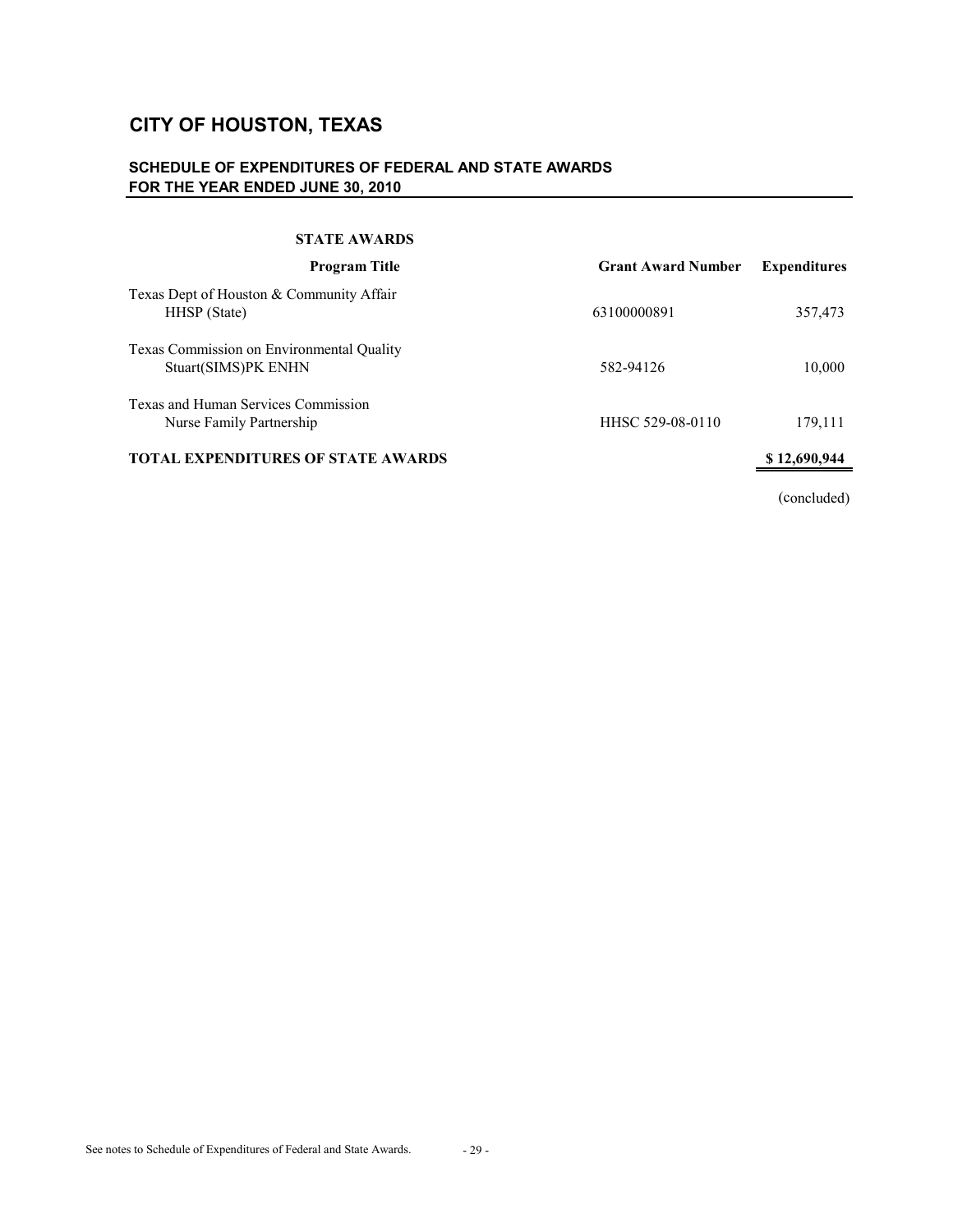# **SCHEDULE OF EXPENDITURES OF FEDERAL AND STATE AWARDS FOR THE YEAR ENDED JUNE 30, 2010**

#### **STATE AWARDS**

| <b>Program Title</b>                                             | <b>Grant Award Number</b> | <b>Expenditures</b> |
|------------------------------------------------------------------|---------------------------|---------------------|
| Texas Dept of Houston & Community Affair<br>HHSP (State)         | 63100000891               | 357,473             |
| Texas Commission on Environmental Quality<br>Stuart(SIMS)PK ENHN | 582-94126                 | 10,000              |
| Texas and Human Services Commission<br>Nurse Family Partnership  | HHSC 529-08-0110          | 179,111             |
| <b>TOTAL EXPENDITURES OF STATE AWARDS</b>                        |                           | \$12,690,944        |
|                                                                  |                           |                     |

(concluded)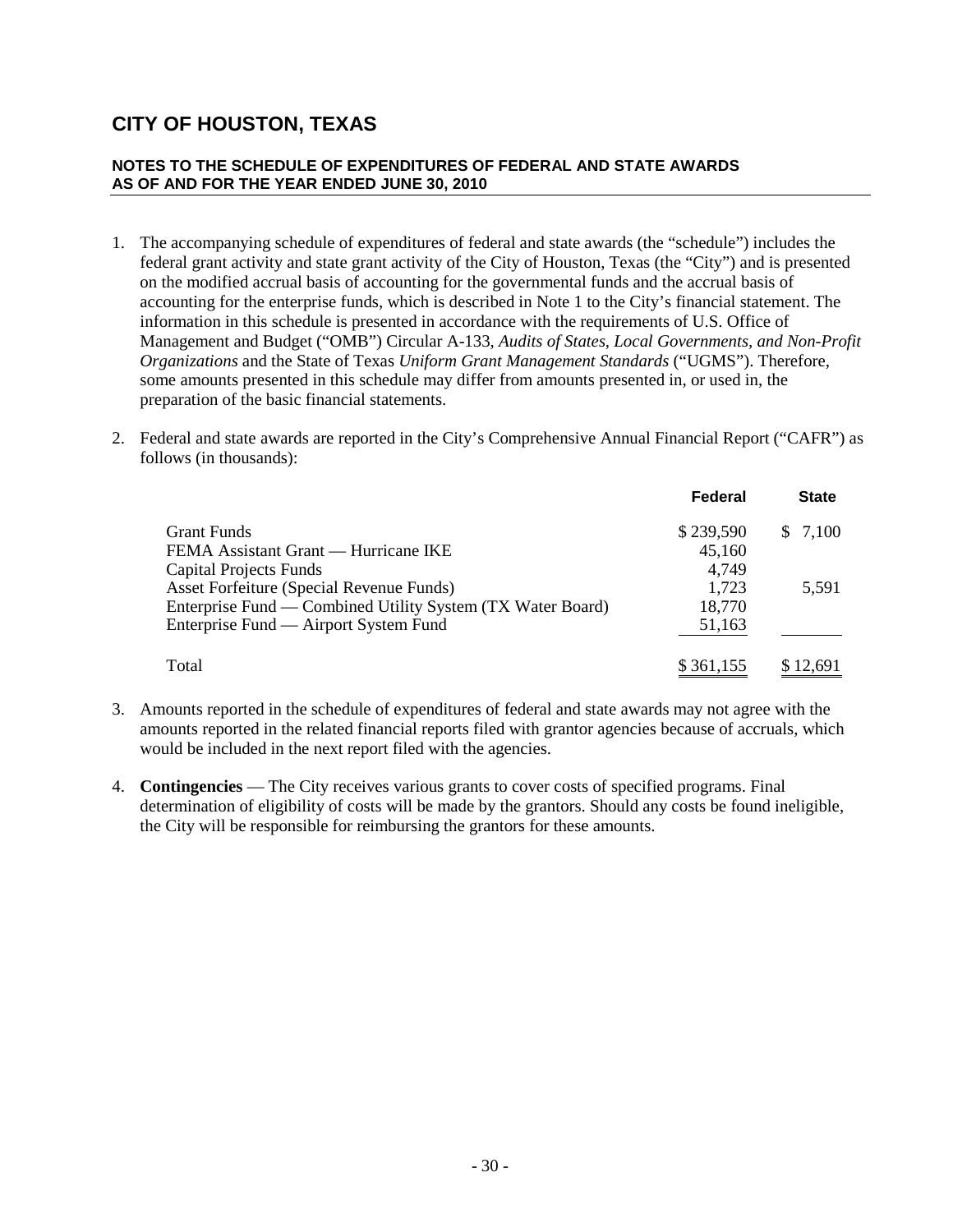### **NOTES TO THE SCHEDULE OF EXPENDITURES OF FEDERAL AND STATE AWARDS AS OF AND FOR THE YEAR ENDED JUNE 30, 2010**

- 1. The accompanying schedule of expenditures of federal and state awards (the "schedule") includes the federal grant activity and state grant activity of the City of Houston, Texas (the "City") and is presented on the modified accrual basis of accounting for the governmental funds and the accrual basis of accounting for the enterprise funds, which is described in Note 1 to the City's financial statement. The information in this schedule is presented in accordance with the requirements of U.S. Office of Management and Budget ("OMB") Circular A-133, *Audits of States, Local Governments, and Non-Profit Organizations* and the State of Texas *Uniform Grant Management Standards* ("UGMS"). Therefore, some amounts presented in this schedule may differ from amounts presented in, or used in, the preparation of the basic financial statements.
- 2. Federal and state awards are reported in the City's Comprehensive Annual Financial Report ("CAFR") as follows (in thousands):

|                                                            | Federal   | <b>State</b> |
|------------------------------------------------------------|-----------|--------------|
| <b>Grant Funds</b>                                         | \$239,590 | \$7,100      |
| FEMA Assistant Grant — Hurricane IKE                       | 45,160    |              |
| Capital Projects Funds                                     | 4.749     |              |
| Asset Forfeiture (Special Revenue Funds)                   | 1,723     | 5,591        |
| Enterprise Fund — Combined Utility System (TX Water Board) | 18,770    |              |
| Enterprise Fund — Airport System Fund                      | 51,163    |              |
| Total                                                      | \$361,155 | \$12.691     |

- 3. Amounts reported in the schedule of expenditures of federal and state awards may not agree with the amounts reported in the related financial reports filed with grantor agencies because of accruals, which would be included in the next report filed with the agencies.
- 4. **Contingencies** The City receives various grants to cover costs of specified programs. Final determination of eligibility of costs will be made by the grantors. Should any costs be found ineligible, the City will be responsible for reimbursing the grantors for these amounts.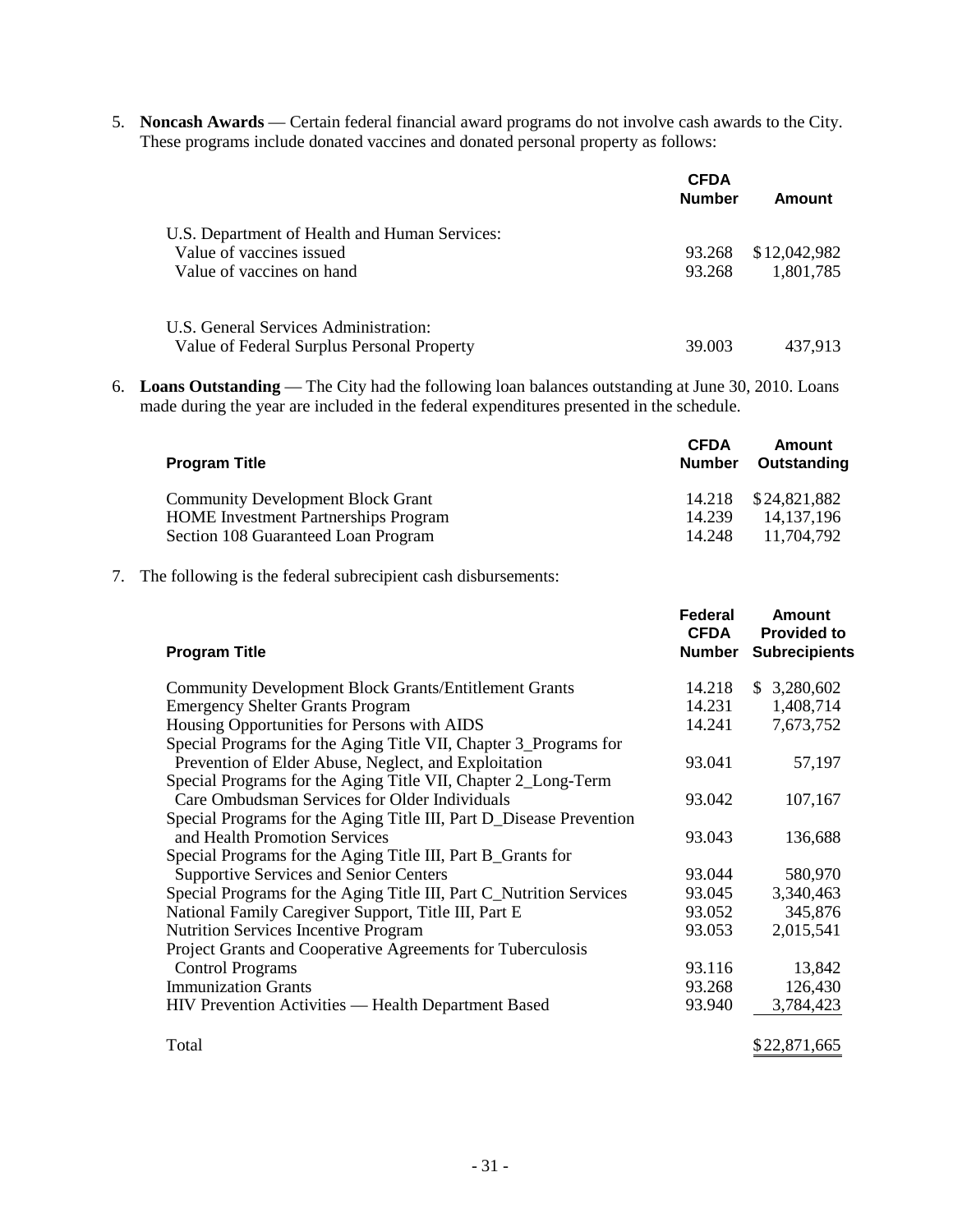5. **Noncash Awards** — Certain federal financial award programs do not involve cash awards to the City. These programs include donated vaccines and donated personal property as follows:

|                                               | <b>CFDA</b><br><b>Number</b> | Amount       |
|-----------------------------------------------|------------------------------|--------------|
| U.S. Department of Health and Human Services: |                              |              |
| Value of vaccines issued                      | 93.268                       | \$12,042,982 |
| Value of vaccines on hand                     | 93.268                       | 1,801,785    |
| U.S. General Services Administration:         |                              |              |
| Value of Federal Surplus Personal Property    | 39,003                       | 437.913      |

6. **Loans Outstanding** — The City had the following loan balances outstanding at June 30, 2010. Loans made during the year are included in the federal expenditures presented in the schedule.

| <b>Program Title</b>                        | <b>CFDA</b><br><b>Number</b> | Amount<br>Outstanding |
|---------------------------------------------|------------------------------|-----------------------|
| <b>Community Development Block Grant</b>    |                              | 14.218 \$24,821,882   |
| <b>HOME</b> Investment Partnerships Program | 14.239                       | 14.137.196            |
| Section 108 Guaranteed Loan Program         | 14.248                       | 11.704.792            |

7. The following is the federal subrecipient cash disbursements:

| <b>Program Title</b>                                                | Federal<br><b>CFDA</b><br>Number | Amount<br><b>Provided to</b><br><b>Subrecipients</b> |
|---------------------------------------------------------------------|----------------------------------|------------------------------------------------------|
| <b>Community Development Block Grants/Entitlement Grants</b>        | 14.218                           | \$3,280,602                                          |
| <b>Emergency Shelter Grants Program</b>                             | 14.231                           | 1,408,714                                            |
| Housing Opportunities for Persons with AIDS                         | 14.241                           | 7,673,752                                            |
| Special Programs for the Aging Title VII, Chapter 3_Programs for    |                                  |                                                      |
| Prevention of Elder Abuse, Neglect, and Exploitation                | 93.041                           | 57,197                                               |
| Special Programs for the Aging Title VII, Chapter 2_Long-Term       |                                  |                                                      |
| Care Ombudsman Services for Older Individuals                       | 93.042                           | 107,167                                              |
| Special Programs for the Aging Title III, Part D_Disease Prevention |                                  |                                                      |
| and Health Promotion Services                                       | 93.043                           | 136,688                                              |
| Special Programs for the Aging Title III, Part B_Grants for         |                                  |                                                      |
| <b>Supportive Services and Senior Centers</b>                       | 93.044                           | 580,970                                              |
| Special Programs for the Aging Title III, Part C_Nutrition Services | 93.045                           | 3,340,463                                            |
| National Family Caregiver Support, Title III, Part E                | 93.052                           | 345,876                                              |
| <b>Nutrition Services Incentive Program</b>                         | 93.053                           | 2,015,541                                            |
| Project Grants and Cooperative Agreements for Tuberculosis          |                                  |                                                      |
| <b>Control Programs</b>                                             | 93.116                           | 13,842                                               |
| <b>Immunization Grants</b>                                          | 93.268                           | 126,430                                              |
| HIV Prevention Activities — Health Department Based                 | 93.940                           | 3,784,423                                            |
| Total                                                               |                                  | \$22,871,665                                         |
|                                                                     |                                  |                                                      |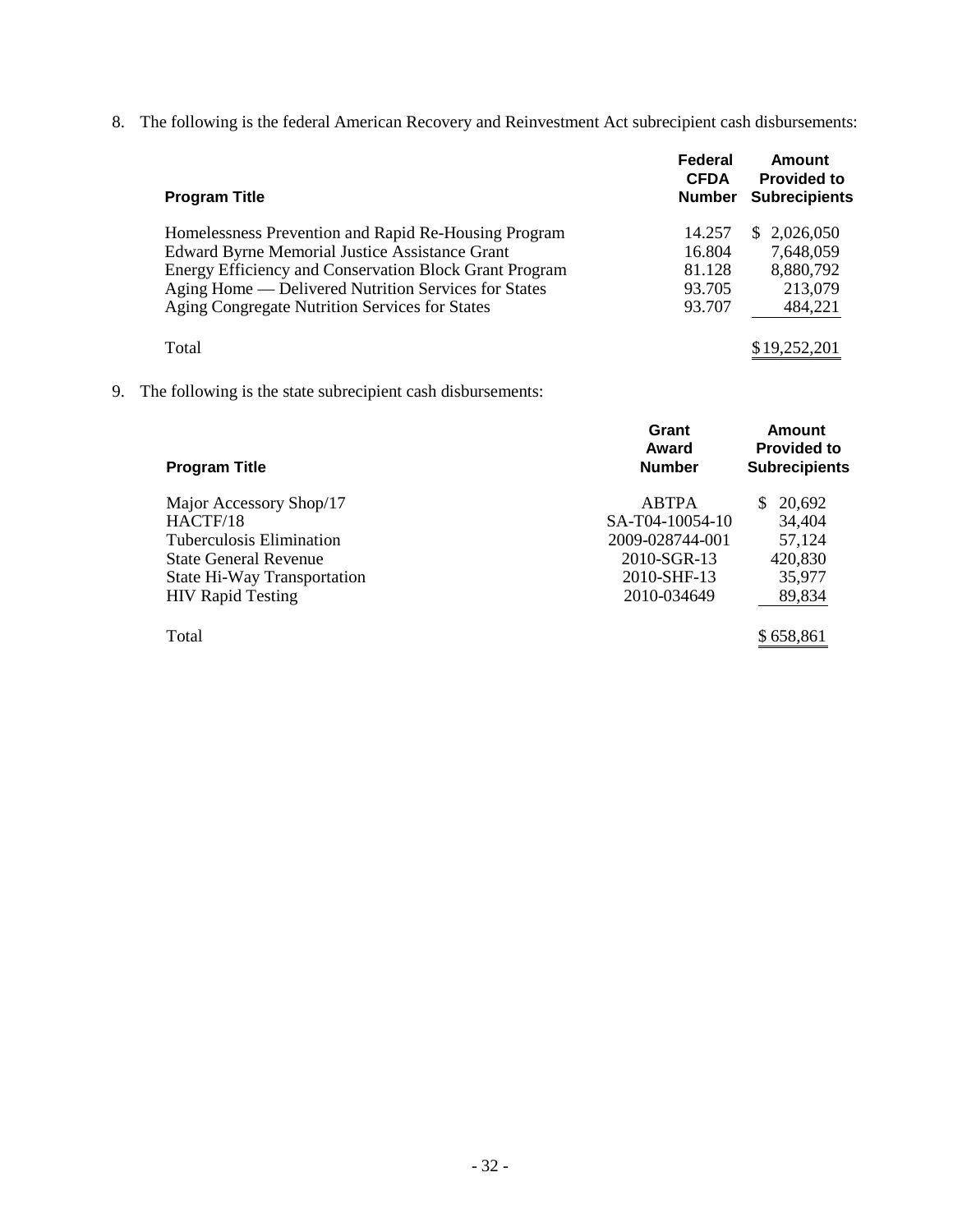8. The following is the federal American Recovery and Reinvestment Act subrecipient cash disbursements:

| <b>Program Title</b>                                   | Federal<br><b>CFDA</b><br><b>Number</b> | Amount<br><b>Provided to</b><br><b>Subrecipients</b> |
|--------------------------------------------------------|-----------------------------------------|------------------------------------------------------|
| Homelessness Prevention and Rapid Re-Housing Program   | 14.257                                  | \$2,026,050                                          |
| <b>Edward Byrne Memorial Justice Assistance Grant</b>  | 16.804                                  | 7,648,059                                            |
| Energy Efficiency and Conservation Block Grant Program | 81.128                                  | 8,880,792                                            |
| Aging Home — Delivered Nutrition Services for States   | 93.705                                  | 213,079                                              |
| Aging Congregate Nutrition Services for States         | 93.707                                  | 484,221                                              |
| Total                                                  |                                         | \$19,252,201                                         |

9. The following is the state subrecipient cash disbursements:

| <b>Program Title</b>        | Grant<br>Award<br><b>Number</b> | <b>Amount</b><br><b>Provided to</b><br><b>Subrecipients</b> |
|-----------------------------|---------------------------------|-------------------------------------------------------------|
|                             |                                 |                                                             |
| Major Accessory Shop/17     | <b>ABTPA</b>                    | 20,692<br>S.                                                |
| HACTF/18                    | SA-T04-10054-10                 | 34,404                                                      |
| Tuberculosis Elimination    | 2009-028744-001                 | 57,124                                                      |
| State General Revenue       | 2010-SGR-13                     | 420,830                                                     |
| State Hi-Way Transportation | 2010-SHF-13                     | 35,977                                                      |
| <b>HIV</b> Rapid Testing    | 2010-034649                     | 89,834                                                      |
|                             |                                 |                                                             |
| Total                       |                                 | \$658.861                                                   |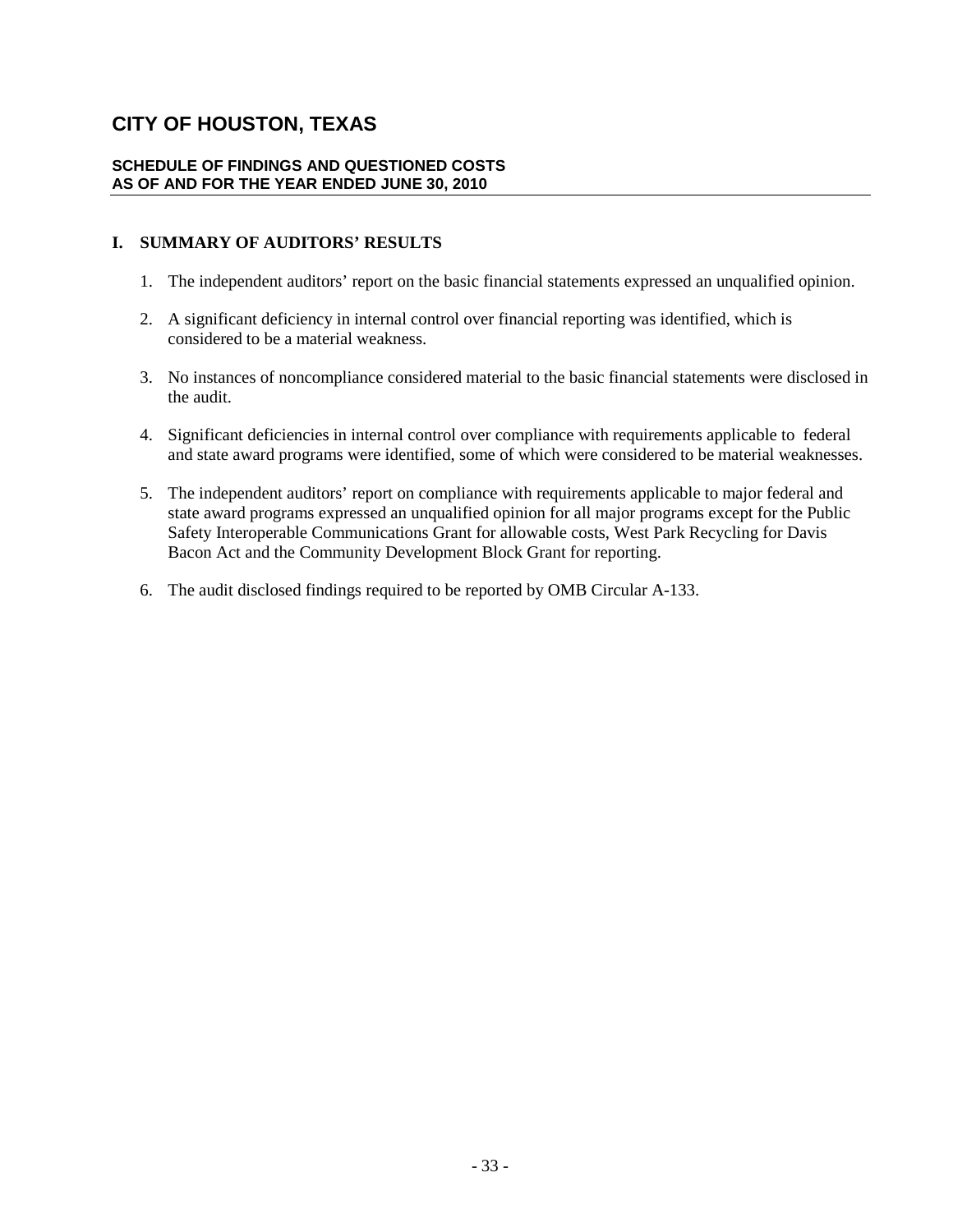#### **SCHEDULE OF FINDINGS AND QUESTIONED COSTS AS OF AND FOR THE YEAR ENDED JUNE 30, 2010**

# **I. SUMMARY OF AUDITORS' RESULTS**

- 1. The independent auditors' report on the basic financial statements expressed an unqualified opinion.
- 2. A significant deficiency in internal control over financial reporting was identified, which is considered to be a material weakness.
- 3. No instances of noncompliance considered material to the basic financial statements were disclosed in the audit.
- 4. Significant deficiencies in internal control over compliance with requirements applicable to federal and state award programs were identified, some of which were considered to be material weaknesses.
- 5. The independent auditors' report on compliance with requirements applicable to major federal and state award programs expressed an unqualified opinion for all major programs except for the Public Safety Interoperable Communications Grant for allowable costs, West Park Recycling for Davis Bacon Act and the Community Development Block Grant for reporting.
- 6. The audit disclosed findings required to be reported by OMB Circular A-133.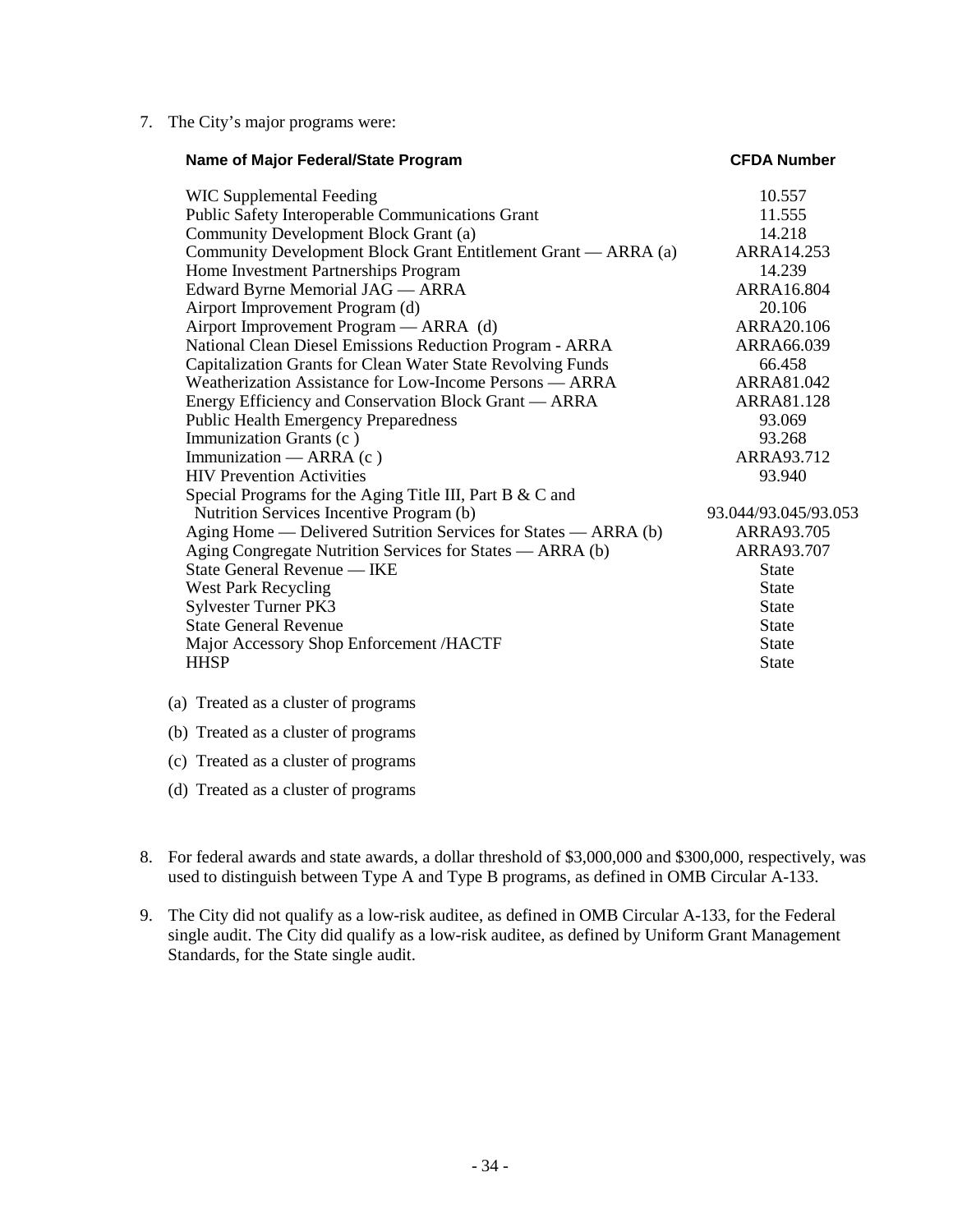7. The City's major programs were:

| Name of Major Federal/State Program                             | <b>CFDA Number</b>   |
|-----------------------------------------------------------------|----------------------|
| WIC Supplemental Feeding                                        | 10.557               |
| <b>Public Safety Interoperable Communications Grant</b>         | 11.555               |
| Community Development Block Grant (a)                           | 14.218               |
| Community Development Block Grant Entitlement Grant — ARRA (a)  | ARRA14.253           |
| Home Investment Partnerships Program                            | 14.239               |
| Edward Byrne Memorial JAG — ARRA                                | ARRA16.804           |
| Airport Improvement Program (d)                                 | 20.106               |
| Airport Improvement Program — ARRA (d)                          | ARRA20.106           |
| National Clean Diesel Emissions Reduction Program - ARRA        | ARRA66.039           |
| Capitalization Grants for Clean Water State Revolving Funds     | 66.458               |
| Weatherization Assistance for Low-Income Persons — ARRA         | ARRA81.042           |
| Energy Efficiency and Conservation Block Grant — ARRA           | ARRA81.128           |
| <b>Public Health Emergency Preparedness</b>                     | 93.069               |
| Immunization Grants (c)                                         | 93.268               |
| Immunization — ARRA $(c)$                                       | ARRA93.712           |
| <b>HIV</b> Prevention Activities                                | 93.940               |
| Special Programs for the Aging Title III, Part B & C and        |                      |
| Nutrition Services Incentive Program (b)                        | 93.044/93.045/93.053 |
| Aging Home — Delivered Sutrition Services for States — ARRA (b) | ARRA93.705           |
| Aging Congregate Nutrition Services for States — ARRA (b)       | ARRA93.707           |
| State General Revenue — IKE                                     | <b>State</b>         |
| <b>West Park Recycling</b>                                      | <b>State</b>         |
| Sylvester Turner PK3                                            | <b>State</b>         |
| <b>State General Revenue</b>                                    | <b>State</b>         |
| Major Accessory Shop Enforcement /HACTF                         | <b>State</b>         |
| <b>HHSP</b>                                                     | <b>State</b>         |

- (a) Treated as a cluster of programs
- (b) Treated as a cluster of programs
- (c) Treated as a cluster of programs
- (d) Treated as a cluster of programs
- 8. For federal awards and state awards, a dollar threshold of \$3,000,000 and \$300,000, respectively, was used to distinguish between Type A and Type B programs, as defined in OMB Circular A-133.
- 9. The City did not qualify as a low-risk auditee, as defined in OMB Circular A-133, for the Federal single audit. The City did qualify as a low-risk auditee, as defined by Uniform Grant Management Standards, for the State single audit.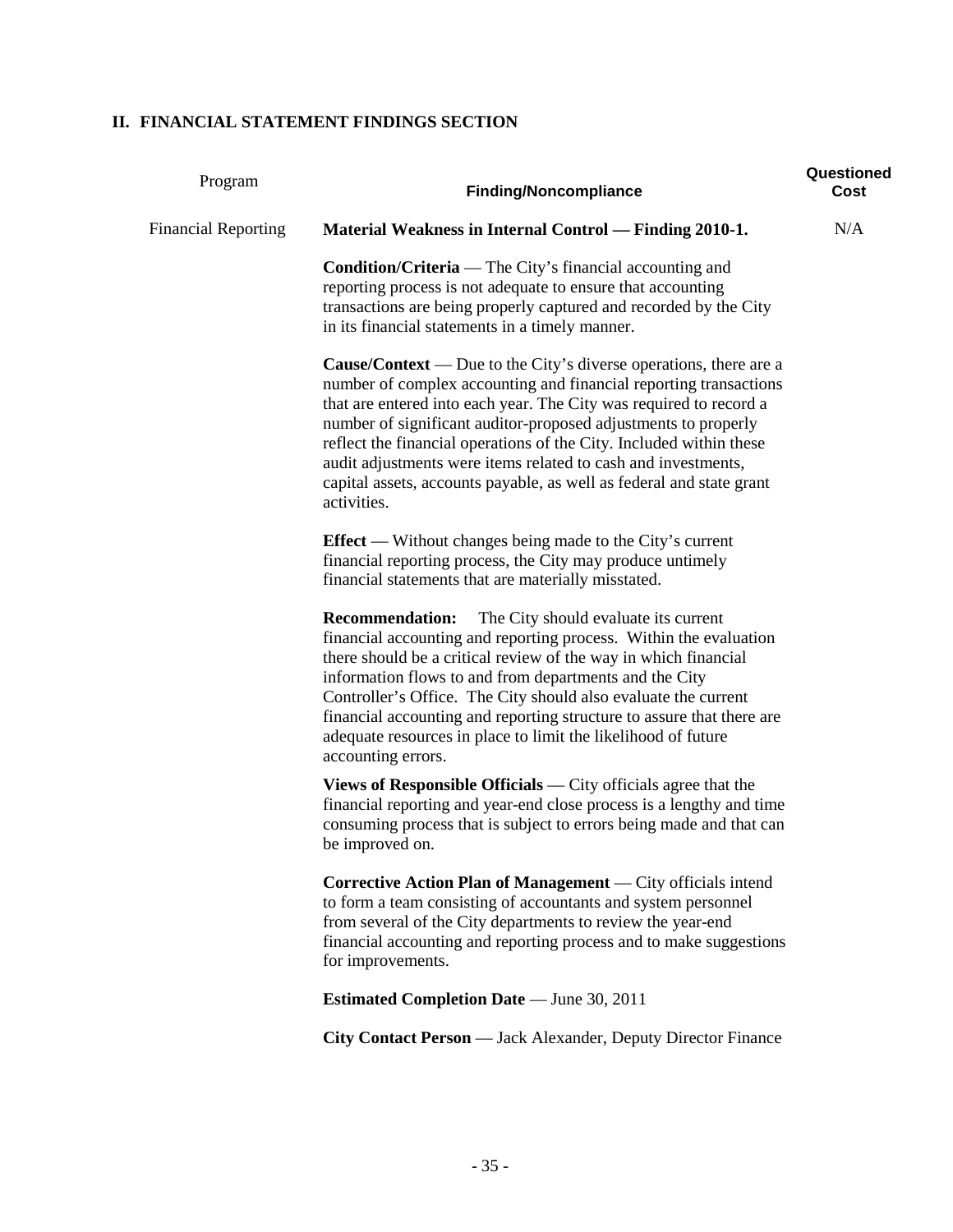# **II. FINANCIAL STATEMENT FINDINGS SECTION**

| Program                    | <b>Finding/Noncompliance</b>                                                                                                                                                                                                                                                                                                                                                                                                                                                                                         | Questioned<br>Cost |
|----------------------------|----------------------------------------------------------------------------------------------------------------------------------------------------------------------------------------------------------------------------------------------------------------------------------------------------------------------------------------------------------------------------------------------------------------------------------------------------------------------------------------------------------------------|--------------------|
| <b>Financial Reporting</b> | <b>Material Weakness in Internal Control — Finding 2010-1.</b>                                                                                                                                                                                                                                                                                                                                                                                                                                                       | N/A                |
|                            | <b>Condition/Criteria</b> — The City's financial accounting and<br>reporting process is not adequate to ensure that accounting<br>transactions are being properly captured and recorded by the City<br>in its financial statements in a timely manner.                                                                                                                                                                                                                                                               |                    |
|                            | <b>Cause/Context</b> — Due to the City's diverse operations, there are a<br>number of complex accounting and financial reporting transactions<br>that are entered into each year. The City was required to record a<br>number of significant auditor-proposed adjustments to properly<br>reflect the financial operations of the City. Included within these<br>audit adjustments were items related to cash and investments,<br>capital assets, accounts payable, as well as federal and state grant<br>activities. |                    |
|                            | Effect — Without changes being made to the City's current<br>financial reporting process, the City may produce untimely<br>financial statements that are materially misstated.                                                                                                                                                                                                                                                                                                                                       |                    |
|                            | <b>Recommendation:</b><br>The City should evaluate its current<br>financial accounting and reporting process. Within the evaluation<br>there should be a critical review of the way in which financial<br>information flows to and from departments and the City<br>Controller's Office. The City should also evaluate the current<br>financial accounting and reporting structure to assure that there are<br>adequate resources in place to limit the likelihood of future<br>accounting errors.                   |                    |
|                            | Views of Responsible Officials $-$ City officials agree that the<br>financial reporting and year-end close process is a lengthy and time<br>consuming process that is subject to errors being made and that can<br>be improved on.                                                                                                                                                                                                                                                                                   |                    |
|                            | Corrective Action Plan of Management — City officials intend<br>to form a team consisting of accountants and system personnel<br>from several of the City departments to review the year-end<br>financial accounting and reporting process and to make suggestions<br>for improvements.                                                                                                                                                                                                                              |                    |
|                            | <b>Estimated Completion Date</b> — June 30, 2011                                                                                                                                                                                                                                                                                                                                                                                                                                                                     |                    |
|                            | City Contact Person — Jack Alexander, Deputy Director Finance                                                                                                                                                                                                                                                                                                                                                                                                                                                        |                    |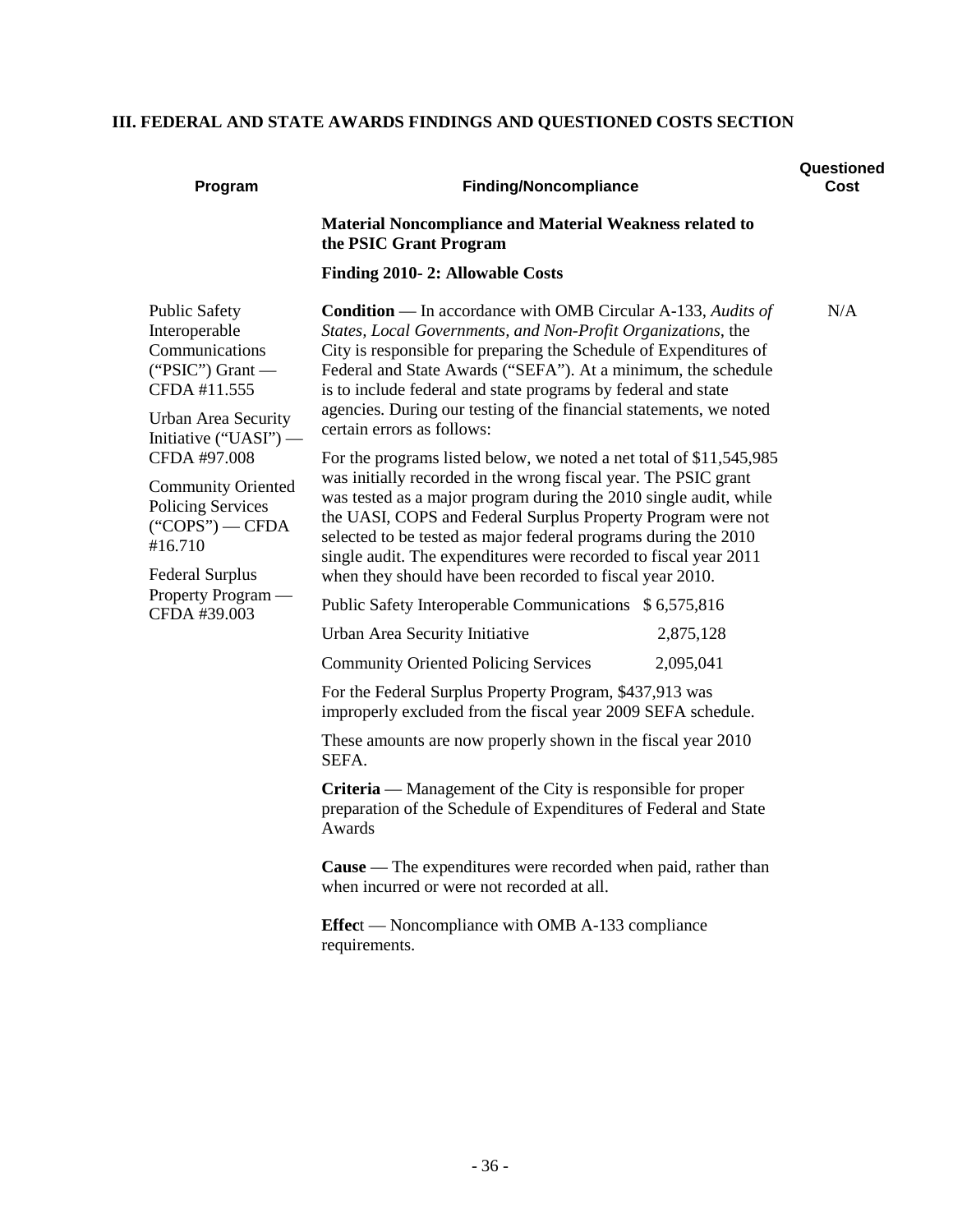# **III. FEDERAL AND STATE AWARDS FINDINGS AND QUESTIONED COSTS SECTION**

| Program                                                                                                                                                    | <b>Finding/Noncompliance</b>                                                                                                                                                                                                                                                                                                                                                                                                                                                   | Questioned<br>Cost |
|------------------------------------------------------------------------------------------------------------------------------------------------------------|--------------------------------------------------------------------------------------------------------------------------------------------------------------------------------------------------------------------------------------------------------------------------------------------------------------------------------------------------------------------------------------------------------------------------------------------------------------------------------|--------------------|
|                                                                                                                                                            | <b>Material Noncompliance and Material Weakness related to</b><br>the PSIC Grant Program                                                                                                                                                                                                                                                                                                                                                                                       |                    |
|                                                                                                                                                            | Finding 2010-2: Allowable Costs                                                                                                                                                                                                                                                                                                                                                                                                                                                |                    |
| <b>Public Safety</b><br>Interoperable<br>Communications<br>("PSIC") Grant $-$<br>CFDA #11.555<br><b>Urban Area Security</b>                                | <b>Condition</b> — In accordance with OMB Circular A-133, Audits of<br>States, Local Governments, and Non-Profit Organizations, the<br>City is responsible for preparing the Schedule of Expenditures of<br>Federal and State Awards ("SEFA"). At a minimum, the schedule<br>is to include federal and state programs by federal and state<br>agencies. During our testing of the financial statements, we noted<br>certain errors as follows:                                 | N/A                |
| Initiative $("UAST")$ —<br>CFDA #97.008<br><b>Community Oriented</b><br><b>Policing Services</b><br>$("COPS")$ - CFDA<br>#16.710<br><b>Federal Surplus</b> | For the programs listed below, we noted a net total of \$11,545,985<br>was initially recorded in the wrong fiscal year. The PSIC grant<br>was tested as a major program during the 2010 single audit, while<br>the UASI, COPS and Federal Surplus Property Program were not<br>selected to be tested as major federal programs during the 2010<br>single audit. The expenditures were recorded to fiscal year 2011<br>when they should have been recorded to fiscal year 2010. |                    |
| Property Program —<br>CFDA #39.003                                                                                                                         | Public Safety Interoperable Communications \$6,575,816                                                                                                                                                                                                                                                                                                                                                                                                                         |                    |
|                                                                                                                                                            | Urban Area Security Initiative<br>2,875,128                                                                                                                                                                                                                                                                                                                                                                                                                                    |                    |
|                                                                                                                                                            | <b>Community Oriented Policing Services</b><br>2,095,041                                                                                                                                                                                                                                                                                                                                                                                                                       |                    |
|                                                                                                                                                            | For the Federal Surplus Property Program, \$437,913 was<br>improperly excluded from the fiscal year 2009 SEFA schedule.                                                                                                                                                                                                                                                                                                                                                        |                    |
|                                                                                                                                                            | These amounts are now properly shown in the fiscal year 2010<br>SEFA.                                                                                                                                                                                                                                                                                                                                                                                                          |                    |
|                                                                                                                                                            | <b>Criteria</b> — Management of the City is responsible for proper<br>preparation of the Schedule of Expenditures of Federal and State<br>Awards                                                                                                                                                                                                                                                                                                                               |                    |
|                                                                                                                                                            | Cause - The expenditures were recorded when paid, rather than<br>when incurred or were not recorded at all.                                                                                                                                                                                                                                                                                                                                                                    |                    |
|                                                                                                                                                            | <b>Effect</b> — Noncompliance with OMB A-133 compliance<br>requirements.                                                                                                                                                                                                                                                                                                                                                                                                       |                    |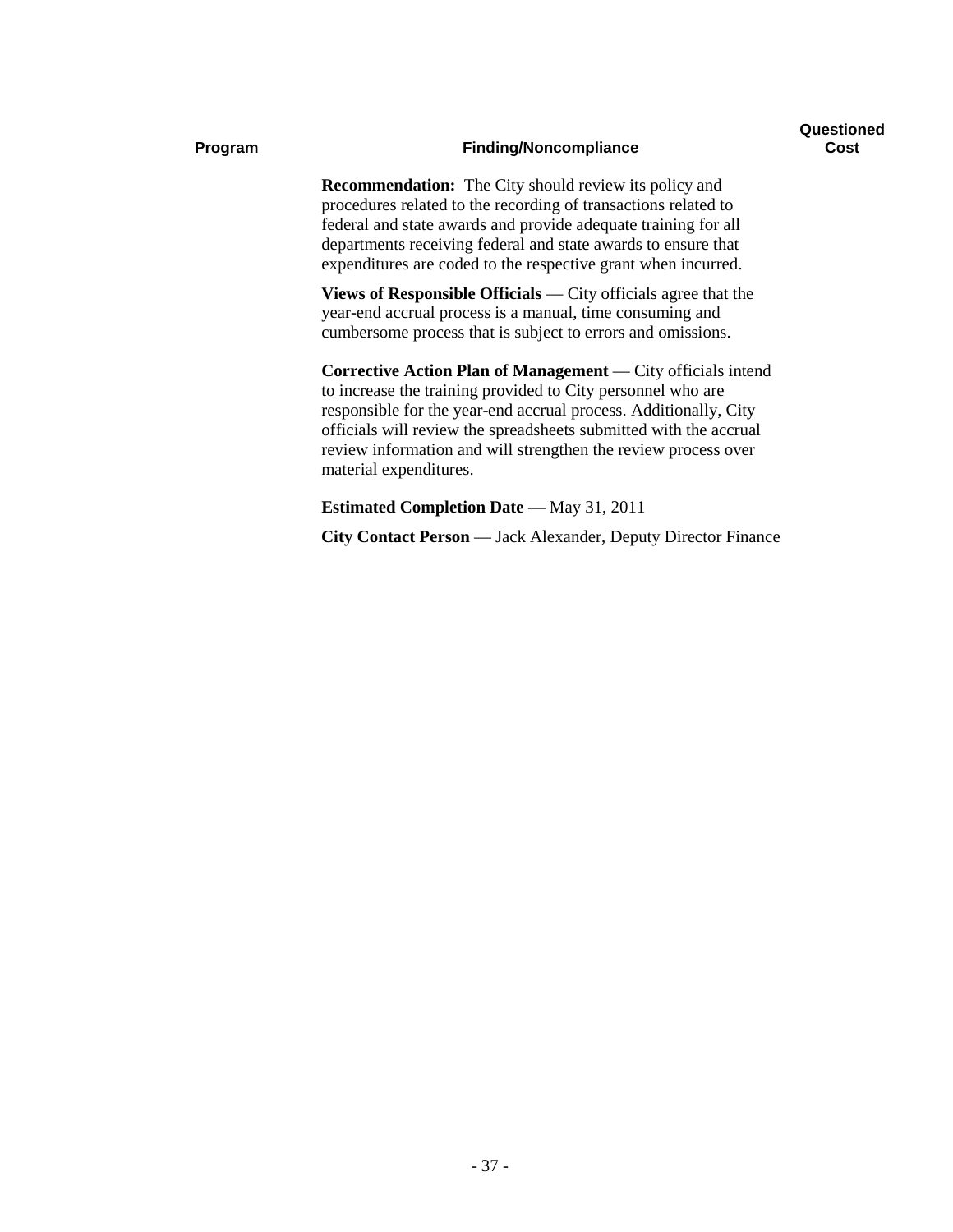#### **Program Finding/Noncompliance**

**Recommendation:** The City should review its policy and procedures related to the recording of transactions related to federal and state awards and provide adequate training for all departments receiving federal and state awards to ensure that expenditures are coded to the respective grant when incurred.

**Views of Responsible Officials** — City officials agree that the year-end accrual process is a manual, time consuming and cumbersome process that is subject to errors and omissions.

**Corrective Action Plan of Management** — City officials intend to increase the training provided to City personnel who are responsible for the year-end accrual process. Additionally, City officials will review the spreadsheets submitted with the accrual review information and will strengthen the review process over material expenditures.

**Estimated Completion Date** — May 31, 2011

**City Contact Person** — Jack Alexander, Deputy Director Finance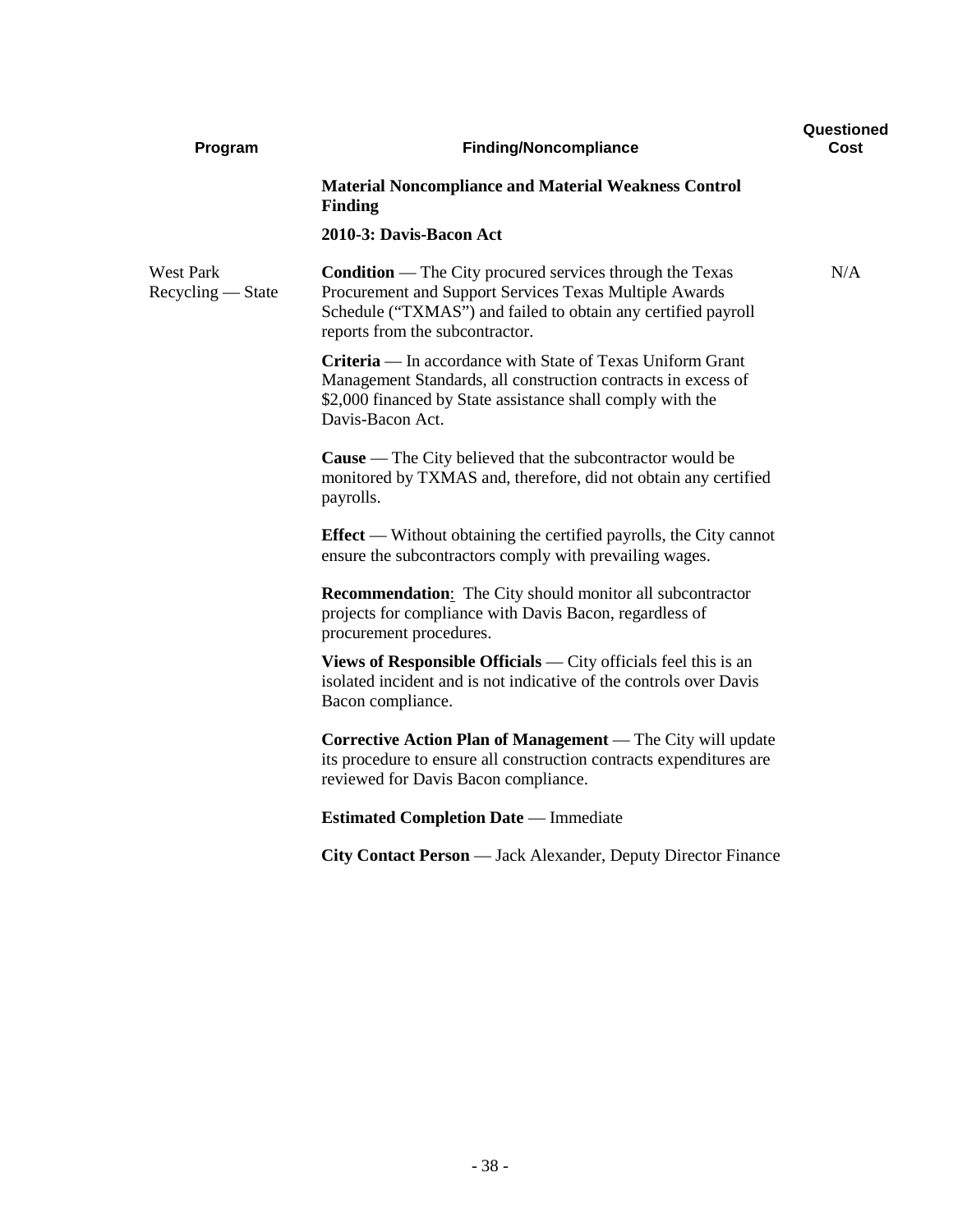| Program                               | <b>Finding/Noncompliance</b>                                                                                                                                                                                                  | Questioned<br>Cost |
|---------------------------------------|-------------------------------------------------------------------------------------------------------------------------------------------------------------------------------------------------------------------------------|--------------------|
|                                       | <b>Material Noncompliance and Material Weakness Control</b><br><b>Finding</b>                                                                                                                                                 |                    |
|                                       | 2010-3: Davis-Bacon Act                                                                                                                                                                                                       |                    |
| <b>West Park</b><br>Recycling — State | <b>Condition</b> — The City procured services through the Texas<br>Procurement and Support Services Texas Multiple Awards<br>Schedule ("TXMAS") and failed to obtain any certified payroll<br>reports from the subcontractor. | N/A                |
|                                       | <b>Criteria</b> — In accordance with State of Texas Uniform Grant<br>Management Standards, all construction contracts in excess of<br>\$2,000 financed by State assistance shall comply with the<br>Davis-Bacon Act.          |                    |
|                                       | <b>Cause</b> — The City believed that the subcontractor would be<br>monitored by TXMAS and, therefore, did not obtain any certified<br>payrolls.                                                                              |                    |
|                                       | <b>Effect</b> — Without obtaining the certified payrolls, the City cannot<br>ensure the subcontractors comply with prevailing wages.                                                                                          |                    |
|                                       | <b>Recommendation:</b> The City should monitor all subcontractor<br>projects for compliance with Davis Bacon, regardless of<br>procurement procedures.                                                                        |                    |
|                                       | <b>Views of Responsible Officials</b> — City officials feel this is an<br>isolated incident and is not indicative of the controls over Davis<br>Bacon compliance.                                                             |                    |
|                                       | Corrective Action Plan of Management — The City will update<br>its procedure to ensure all construction contracts expenditures are<br>reviewed for Davis Bacon compliance.                                                    |                    |
|                                       | <b>Estimated Completion Date</b> — Immediate                                                                                                                                                                                  |                    |
|                                       | City Contact Person — Jack Alexander, Deputy Director Finance                                                                                                                                                                 |                    |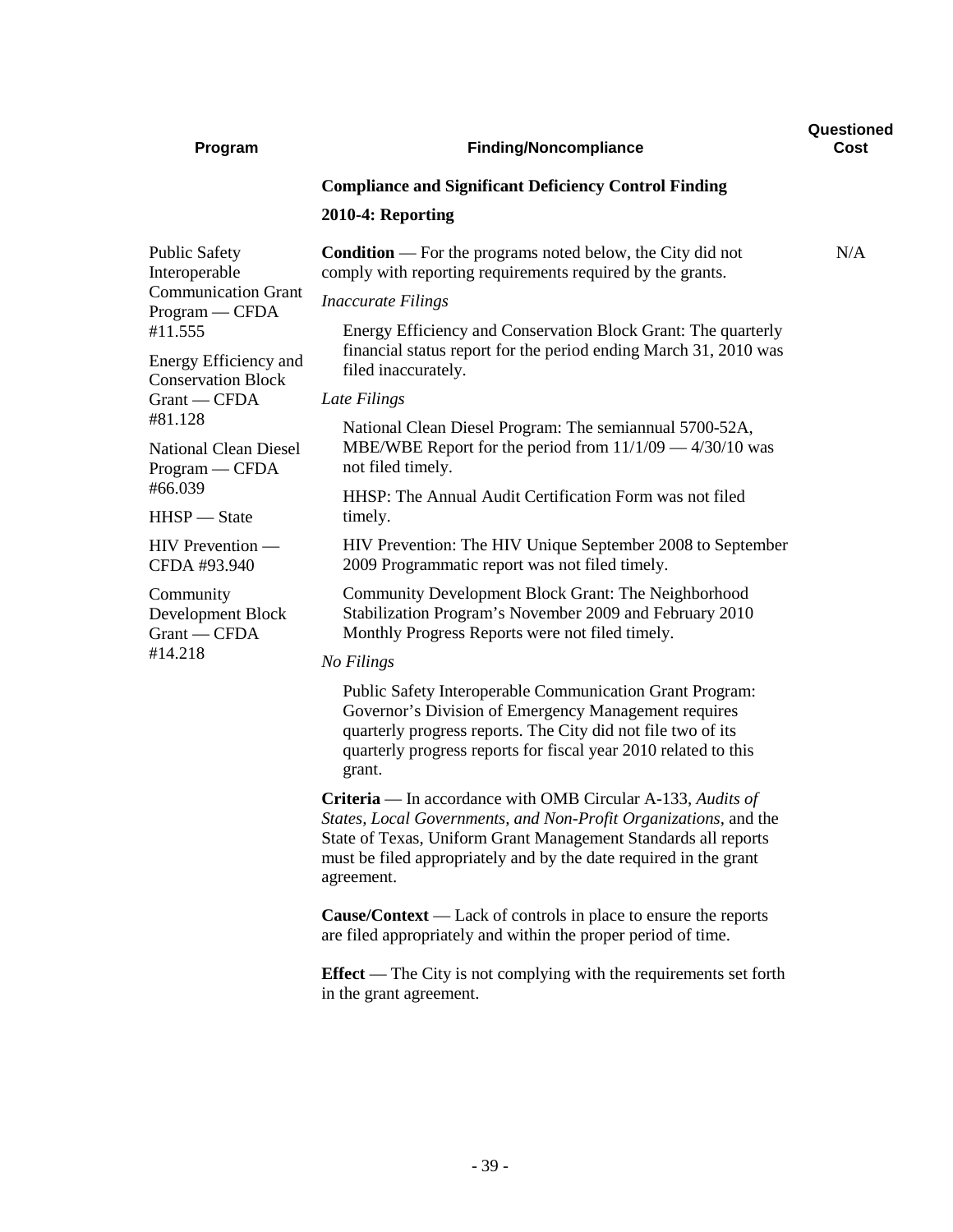| Program                                          | <b>Finding/Noncompliance</b>                                                                                                                                                                                                                                                                | Questioned<br>Cost |
|--------------------------------------------------|---------------------------------------------------------------------------------------------------------------------------------------------------------------------------------------------------------------------------------------------------------------------------------------------|--------------------|
|                                                  | <b>Compliance and Significant Deficiency Control Finding</b>                                                                                                                                                                                                                                |                    |
|                                                  | 2010-4: Reporting                                                                                                                                                                                                                                                                           |                    |
| <b>Public Safety</b><br>Interoperable            | <b>Condition</b> — For the programs noted below, the City did not<br>comply with reporting requirements required by the grants.                                                                                                                                                             | N/A                |
| <b>Communication Grant</b><br>Program — CFDA     | <i>Inaccurate Filings</i>                                                                                                                                                                                                                                                                   |                    |
| #11.555<br>Energy Efficiency and                 | Energy Efficiency and Conservation Block Grant: The quarterly<br>financial status report for the period ending March 31, 2010 was                                                                                                                                                           |                    |
| <b>Conservation Block</b>                        | filed inaccurately.                                                                                                                                                                                                                                                                         |                    |
| Grant — CFDA<br>#81.128                          | Late Filings                                                                                                                                                                                                                                                                                |                    |
| <b>National Clean Diesel</b><br>$Program - CFDA$ | National Clean Diesel Program: The semiannual 5700-52A,<br>MBE/WBE Report for the period from $11/1/09 - 4/30/10$ was<br>not filed timely.                                                                                                                                                  |                    |
| #66.039                                          | HHSP: The Annual Audit Certification Form was not filed                                                                                                                                                                                                                                     |                    |
| HHSP - State                                     | timely.                                                                                                                                                                                                                                                                                     |                    |
| HIV Prevention —<br>CFDA #93.940                 | HIV Prevention: The HIV Unique September 2008 to September<br>2009 Programmatic report was not filed timely.                                                                                                                                                                                |                    |
| Community<br>Development Block<br>Grant - CFDA   | Community Development Block Grant: The Neighborhood<br>Stabilization Program's November 2009 and February 2010<br>Monthly Progress Reports were not filed timely.                                                                                                                           |                    |
| #14.218                                          | No Filings                                                                                                                                                                                                                                                                                  |                    |
|                                                  | Public Safety Interoperable Communication Grant Program:<br>Governor's Division of Emergency Management requires<br>quarterly progress reports. The City did not file two of its<br>quarterly progress reports for fiscal year 2010 related to this<br>grant.                               |                    |
|                                                  | <b>Criteria</b> — In accordance with OMB Circular A-133, Audits of<br>States, Local Governments, and Non-Profit Organizations, and the<br>State of Texas, Uniform Grant Management Standards all reports<br>must be filed appropriately and by the date required in the grant<br>agreement. |                    |
|                                                  | <b>Cause/Context</b> — Lack of controls in place to ensure the reports<br>are filed appropriately and within the proper period of time.                                                                                                                                                     |                    |
|                                                  | <b>Effect</b> — The City is not complying with the requirements set forth<br>in the grant agreement.                                                                                                                                                                                        |                    |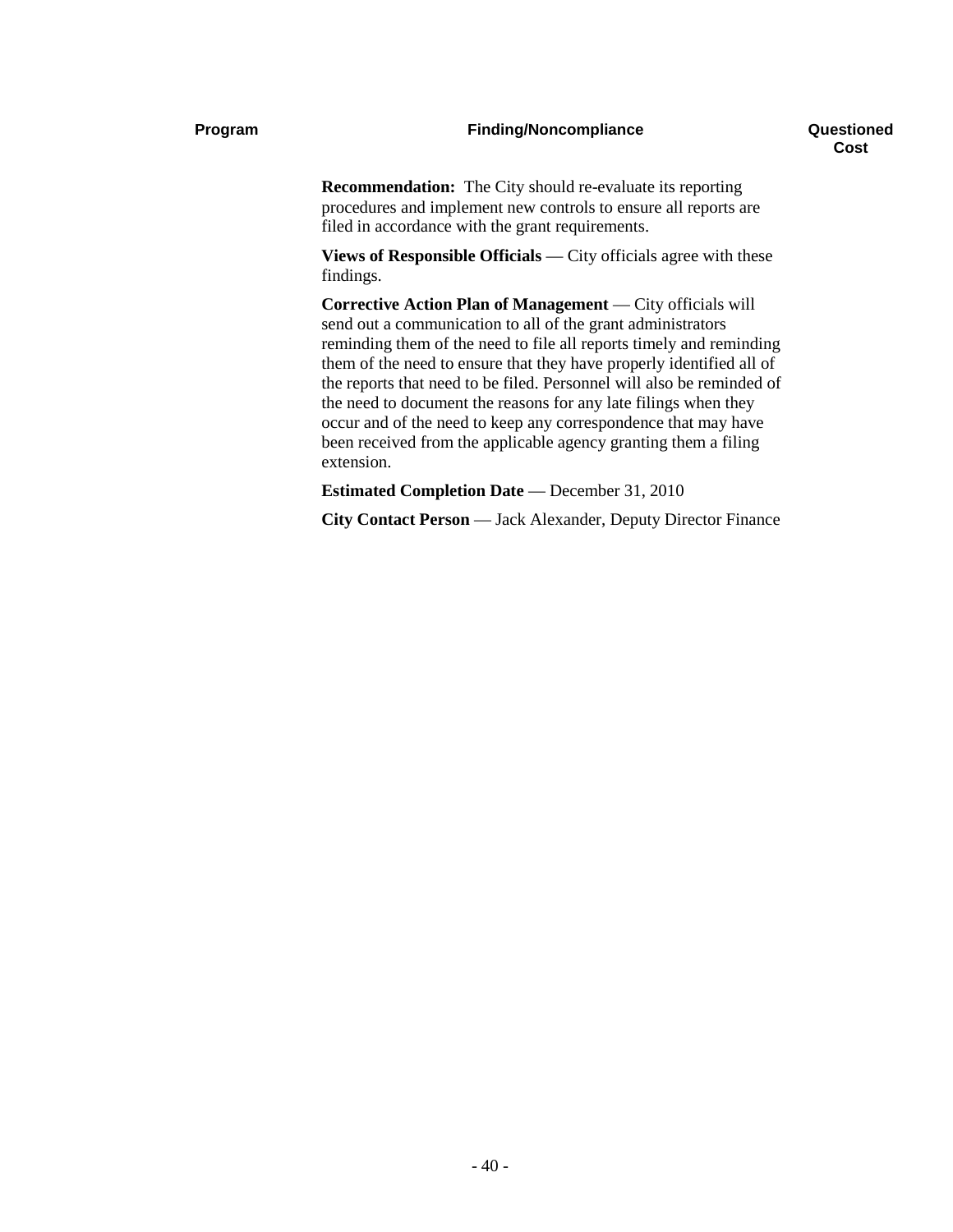#### **Program Finding/Noncompliance**

**Recommendation:** The City should re-evaluate its reporting procedures and implement new controls to ensure all reports are filed in accordance with the grant requirements.

**Views of Responsible Officials** — City officials agree with these findings.

**Corrective Action Plan of Management** — City officials will send out a communication to all of the grant administrators reminding them of the need to file all reports timely and reminding them of the need to ensure that they have properly identified all of the reports that need to be filed. Personnel will also be reminded of the need to document the reasons for any late filings when they occur and of the need to keep any correspondence that may have been received from the applicable agency granting them a filing extension.

**Estimated Completion Date** — December 31, 2010

**City Contact Person** — Jack Alexander, Deputy Director Finance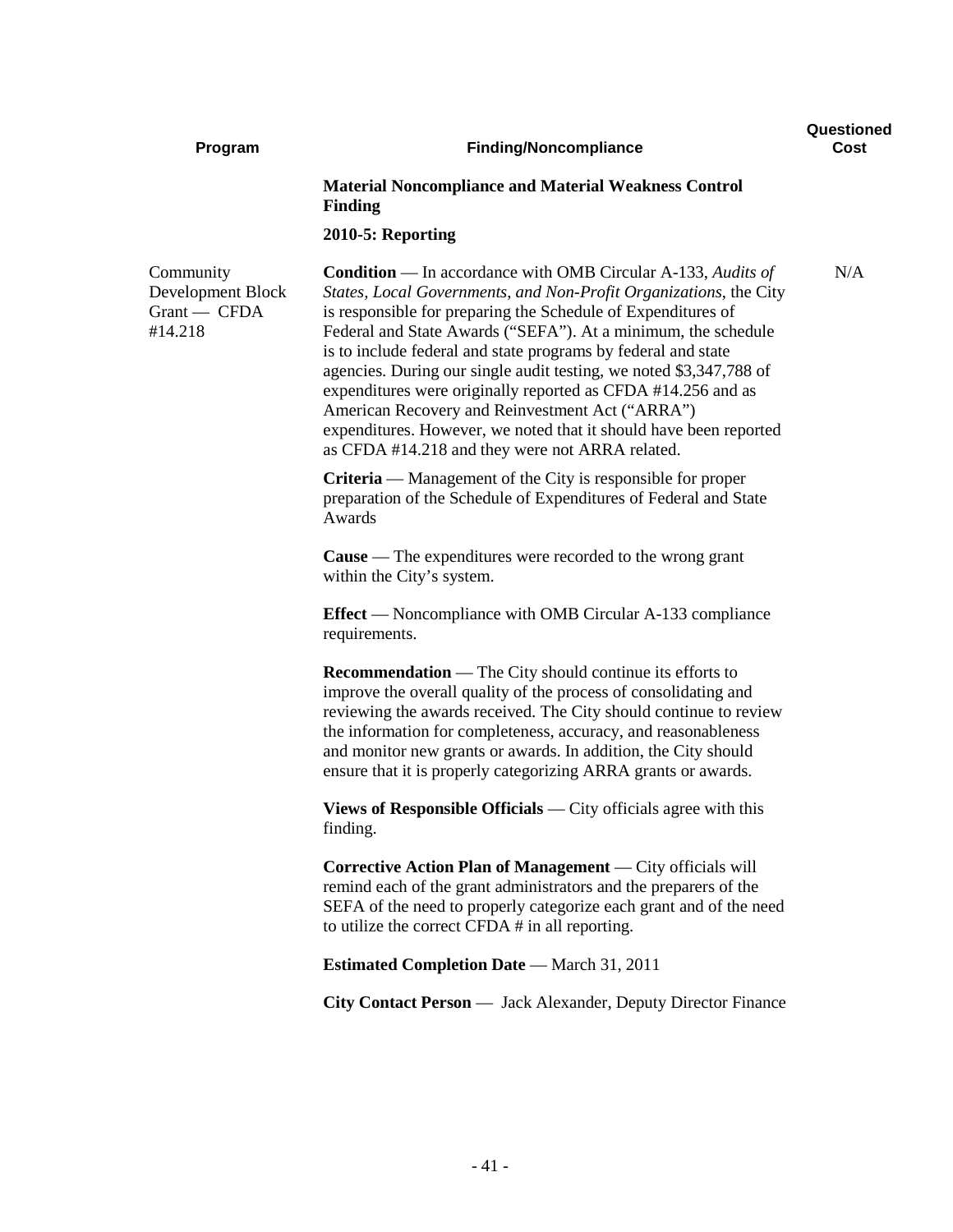| Program                                                   | <b>Finding/Noncompliance</b>                                                                                                                                                                                                                                                                                                                                                                                                                                                                                                                                                                                                                                | Questioned<br>Cost |
|-----------------------------------------------------------|-------------------------------------------------------------------------------------------------------------------------------------------------------------------------------------------------------------------------------------------------------------------------------------------------------------------------------------------------------------------------------------------------------------------------------------------------------------------------------------------------------------------------------------------------------------------------------------------------------------------------------------------------------------|--------------------|
|                                                           | <b>Material Noncompliance and Material Weakness Control</b><br><b>Finding</b>                                                                                                                                                                                                                                                                                                                                                                                                                                                                                                                                                                               |                    |
|                                                           | 2010-5: Reporting                                                                                                                                                                                                                                                                                                                                                                                                                                                                                                                                                                                                                                           |                    |
| Community<br>Development Block<br>Grant - CFDA<br>#14.218 | <b>Condition</b> — In accordance with OMB Circular A-133, Audits of<br>States, Local Governments, and Non-Profit Organizations, the City<br>is responsible for preparing the Schedule of Expenditures of<br>Federal and State Awards ("SEFA"). At a minimum, the schedule<br>is to include federal and state programs by federal and state<br>agencies. During our single audit testing, we noted \$3,347,788 of<br>expenditures were originally reported as CFDA #14.256 and as<br>American Recovery and Reinvestment Act ("ARRA")<br>expenditures. However, we noted that it should have been reported<br>as CFDA #14.218 and they were not ARRA related. | N/A                |
|                                                           | <b>Criteria</b> — Management of the City is responsible for proper<br>preparation of the Schedule of Expenditures of Federal and State<br>Awards                                                                                                                                                                                                                                                                                                                                                                                                                                                                                                            |                    |
|                                                           | <b>Cause</b> — The expenditures were recorded to the wrong grant<br>within the City's system.                                                                                                                                                                                                                                                                                                                                                                                                                                                                                                                                                               |                    |
|                                                           | <b>Effect</b> — Noncompliance with OMB Circular A-133 compliance<br>requirements.                                                                                                                                                                                                                                                                                                                                                                                                                                                                                                                                                                           |                    |
|                                                           | <b>Recommendation</b> — The City should continue its efforts to<br>improve the overall quality of the process of consolidating and<br>reviewing the awards received. The City should continue to review<br>the information for completeness, accuracy, and reasonableness<br>and monitor new grants or awards. In addition, the City should<br>ensure that it is properly categorizing ARRA grants or awards.                                                                                                                                                                                                                                               |                    |
|                                                           | <b>Views of Responsible Officials</b> — City officials agree with this<br>finding.                                                                                                                                                                                                                                                                                                                                                                                                                                                                                                                                                                          |                    |
|                                                           | <b>Corrective Action Plan of Management</b> — City officials will<br>remind each of the grant administrators and the preparers of the<br>SEFA of the need to properly categorize each grant and of the need<br>to utilize the correct CFDA # in all reporting.                                                                                                                                                                                                                                                                                                                                                                                              |                    |
|                                                           | <b>Estimated Completion Date</b> - March 31, 2011                                                                                                                                                                                                                                                                                                                                                                                                                                                                                                                                                                                                           |                    |
|                                                           | City Contact Person — Jack Alexander, Deputy Director Finance                                                                                                                                                                                                                                                                                                                                                                                                                                                                                                                                                                                               |                    |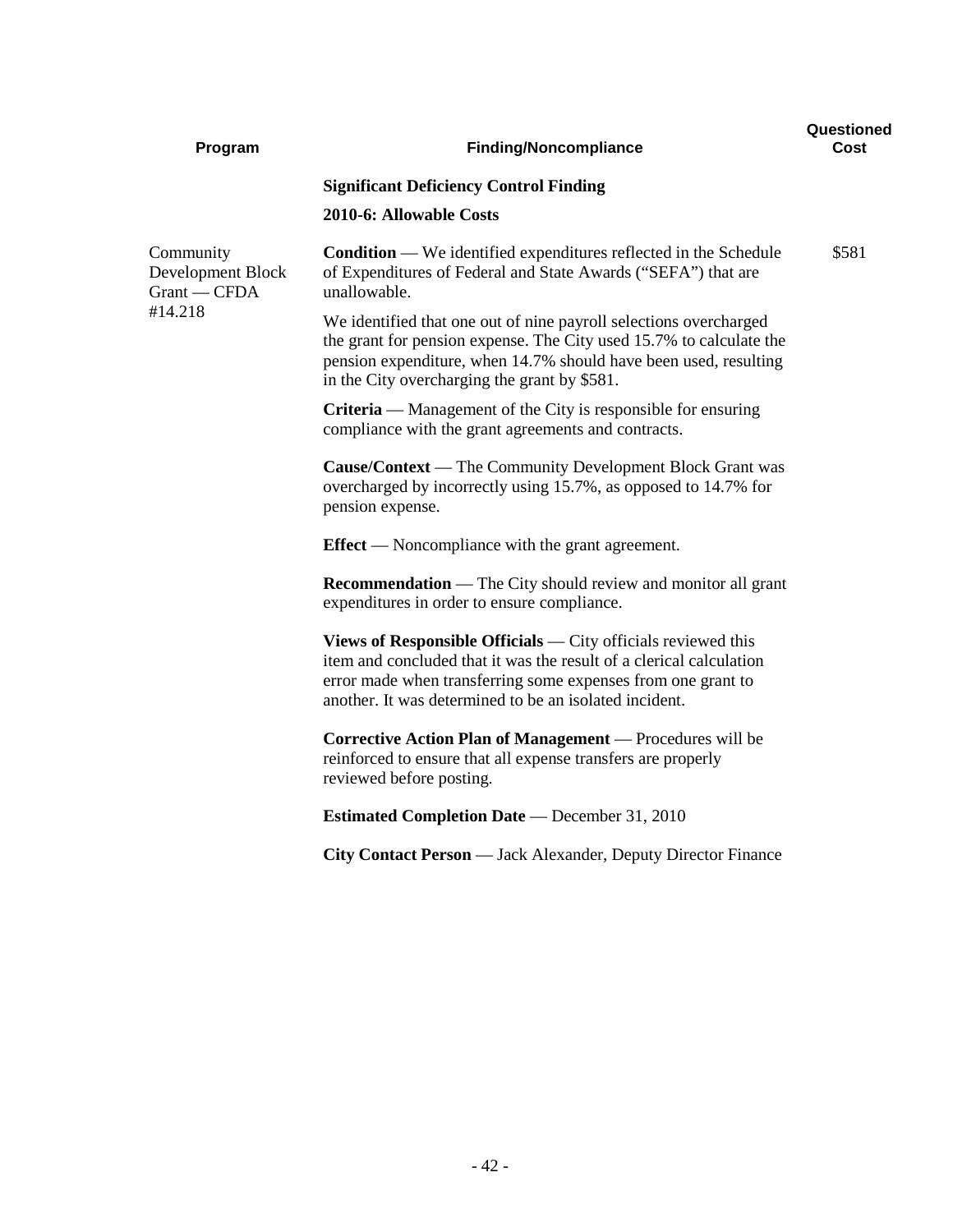| Program                                                   | <b>Finding/Noncompliance</b>                                                                                                                                                                                                                                   | Questioned<br>Cost |
|-----------------------------------------------------------|----------------------------------------------------------------------------------------------------------------------------------------------------------------------------------------------------------------------------------------------------------------|--------------------|
|                                                           | <b>Significant Deficiency Control Finding</b>                                                                                                                                                                                                                  |                    |
|                                                           | 2010-6: Allowable Costs                                                                                                                                                                                                                                        |                    |
| Community<br>Development Block<br>Grant - CFDA<br>#14.218 | <b>Condition</b> — We identified expenditures reflected in the Schedule<br>of Expenditures of Federal and State Awards ("SEFA") that are<br>unallowable.                                                                                                       | \$581              |
|                                                           | We identified that one out of nine payroll selections overcharged<br>the grant for pension expense. The City used 15.7% to calculate the<br>pension expenditure, when 14.7% should have been used, resulting<br>in the City overcharging the grant by \$581.   |                    |
|                                                           | <b>Criteria</b> — Management of the City is responsible for ensuring<br>compliance with the grant agreements and contracts.                                                                                                                                    |                    |
|                                                           | <b>Cause/Context</b> — The Community Development Block Grant was<br>overcharged by incorrectly using 15.7%, as opposed to 14.7% for<br>pension expense.                                                                                                        |                    |
|                                                           | <b>Effect</b> — Noncompliance with the grant agreement.                                                                                                                                                                                                        |                    |
|                                                           | <b>Recommendation</b> — The City should review and monitor all grant<br>expenditures in order to ensure compliance.                                                                                                                                            |                    |
|                                                           | Views of Responsible Officials — City officials reviewed this<br>item and concluded that it was the result of a clerical calculation<br>error made when transferring some expenses from one grant to<br>another. It was determined to be an isolated incident. |                    |
|                                                           | Corrective Action Plan of Management — Procedures will be<br>reinforced to ensure that all expense transfers are properly<br>reviewed before posting.                                                                                                          |                    |
|                                                           | <b>Estimated Completion Date</b> — December 31, 2010                                                                                                                                                                                                           |                    |
|                                                           | City Contact Person — Jack Alexander, Deputy Director Finance                                                                                                                                                                                                  |                    |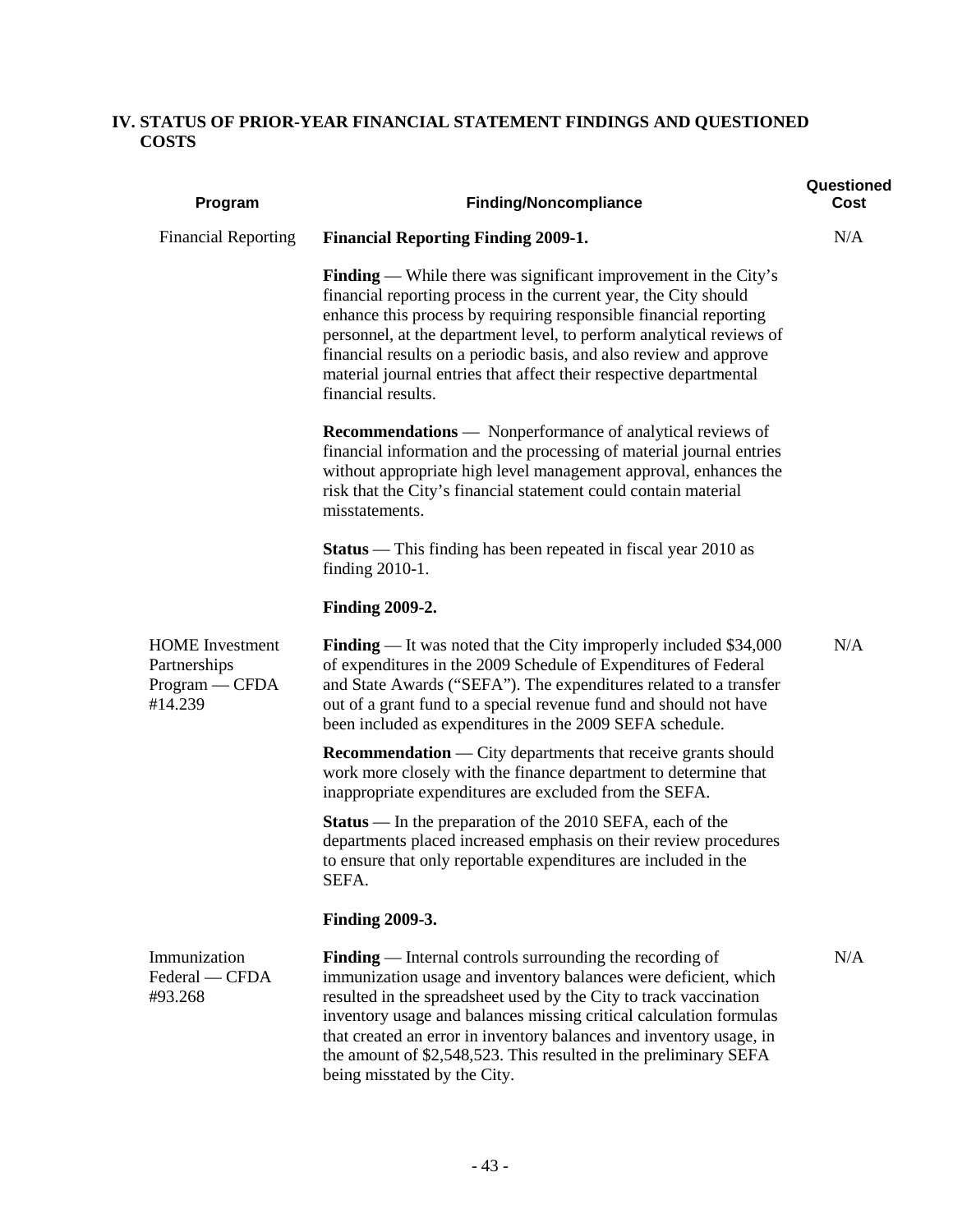# **IV. STATUS OF PRIOR-YEAR FINANCIAL STATEMENT FINDINGS AND QUESTIONED COSTS**

| Program                                                             | <b>Finding/Noncompliance</b>                                                                                                                                                                                                                                                                                                                                                                                                                              | Questioned<br>Cost |
|---------------------------------------------------------------------|-----------------------------------------------------------------------------------------------------------------------------------------------------------------------------------------------------------------------------------------------------------------------------------------------------------------------------------------------------------------------------------------------------------------------------------------------------------|--------------------|
| <b>Financial Reporting</b>                                          | <b>Financial Reporting Finding 2009-1.</b>                                                                                                                                                                                                                                                                                                                                                                                                                | N/A                |
|                                                                     | <b>Finding</b> — While there was significant improvement in the City's<br>financial reporting process in the current year, the City should<br>enhance this process by requiring responsible financial reporting<br>personnel, at the department level, to perform analytical reviews of<br>financial results on a periodic basis, and also review and approve<br>material journal entries that affect their respective departmental<br>financial results. |                    |
|                                                                     | <b>Recommendations</b> — Nonperformance of analytical reviews of<br>financial information and the processing of material journal entries<br>without appropriate high level management approval, enhances the<br>risk that the City's financial statement could contain material<br>misstatements.                                                                                                                                                         |                    |
|                                                                     | <b>Status</b> — This finding has been repeated in fiscal year 2010 as<br>finding 2010-1.                                                                                                                                                                                                                                                                                                                                                                  |                    |
|                                                                     | <b>Finding 2009-2.</b>                                                                                                                                                                                                                                                                                                                                                                                                                                    |                    |
| <b>HOME</b> Investment<br>Partnerships<br>Program - CFDA<br>#14.239 | <b>Finding</b> — It was noted that the City improperly included \$34,000<br>of expenditures in the 2009 Schedule of Expenditures of Federal<br>and State Awards ("SEFA"). The expenditures related to a transfer<br>out of a grant fund to a special revenue fund and should not have<br>been included as expenditures in the 2009 SEFA schedule.                                                                                                         | N/A                |
|                                                                     | <b>Recommendation</b> — City departments that receive grants should<br>work more closely with the finance department to determine that<br>inappropriate expenditures are excluded from the SEFA.                                                                                                                                                                                                                                                          |                    |
|                                                                     | <b>Status</b> — In the preparation of the 2010 SEFA, each of the<br>departments placed increased emphasis on their review procedures<br>to ensure that only reportable expenditures are included in the<br>SEFA.                                                                                                                                                                                                                                          |                    |
|                                                                     | <b>Finding 2009-3.</b>                                                                                                                                                                                                                                                                                                                                                                                                                                    |                    |
| Immunization<br>Federal - CFDA<br>#93.268                           | Finding — Internal controls surrounding the recording of<br>immunization usage and inventory balances were deficient, which<br>resulted in the spreadsheet used by the City to track vaccination<br>inventory usage and balances missing critical calculation formulas<br>that created an error in inventory balances and inventory usage, in<br>the amount of \$2,548,523. This resulted in the preliminary SEFA<br>being misstated by the City.         | N/A                |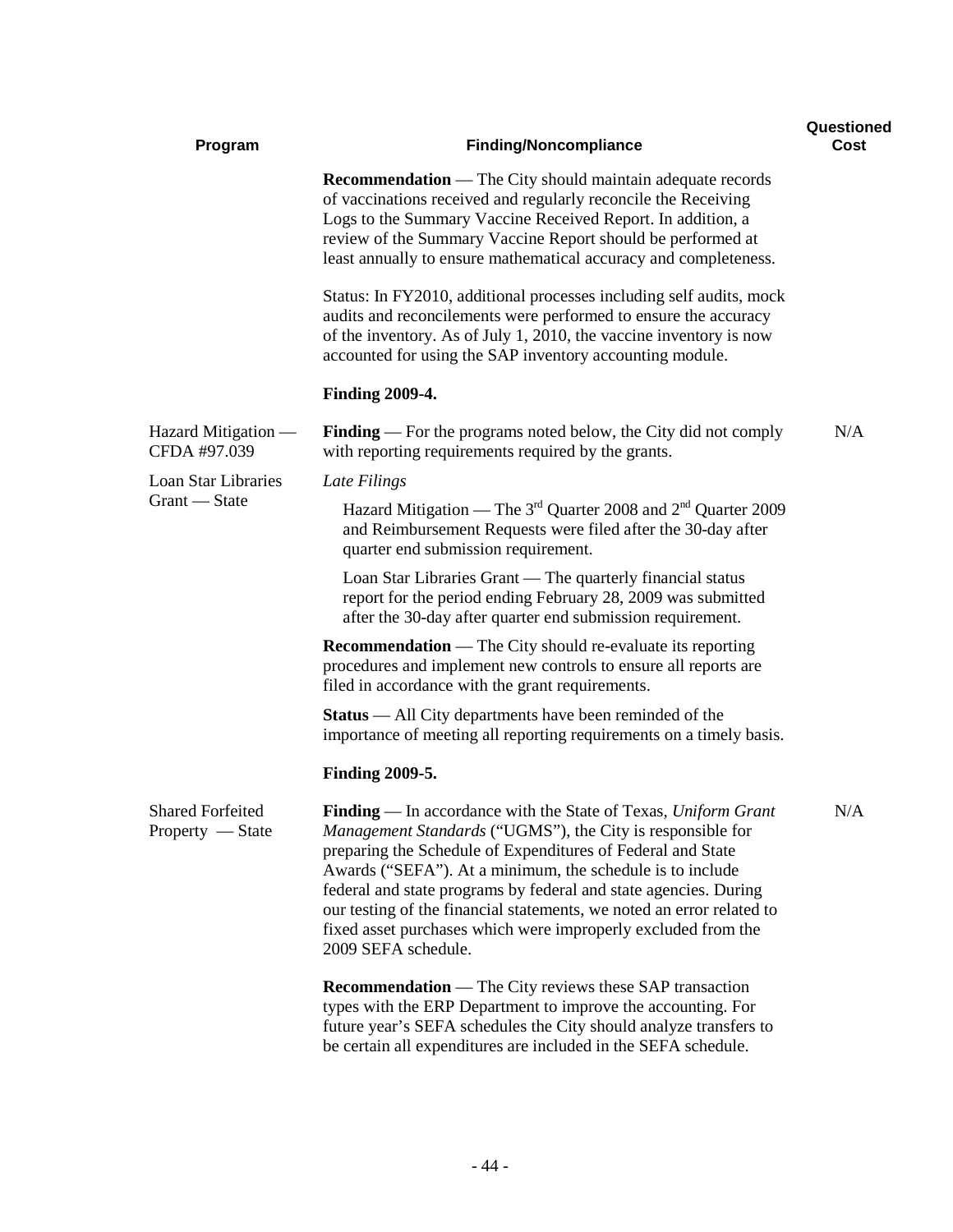| Program                                       | <b>Finding/Noncompliance</b>                                                                                                                                                                                                                                                                                                                                                                                                                                                                  | Questioned<br>Cost |
|-----------------------------------------------|-----------------------------------------------------------------------------------------------------------------------------------------------------------------------------------------------------------------------------------------------------------------------------------------------------------------------------------------------------------------------------------------------------------------------------------------------------------------------------------------------|--------------------|
|                                               | <b>Recommendation</b> — The City should maintain adequate records<br>of vaccinations received and regularly reconcile the Receiving<br>Logs to the Summary Vaccine Received Report. In addition, a<br>review of the Summary Vaccine Report should be performed at<br>least annually to ensure mathematical accuracy and completeness.                                                                                                                                                         |                    |
|                                               | Status: In FY2010, additional processes including self audits, mock<br>audits and reconcilements were performed to ensure the accuracy<br>of the inventory. As of July 1, 2010, the vaccine inventory is now<br>accounted for using the SAP inventory accounting module.                                                                                                                                                                                                                      |                    |
|                                               | <b>Finding 2009-4.</b>                                                                                                                                                                                                                                                                                                                                                                                                                                                                        |                    |
| Hazard Mitigation —<br>CFDA #97.039           | <b>Finding</b> — For the programs noted below, the City did not comply<br>with reporting requirements required by the grants.                                                                                                                                                                                                                                                                                                                                                                 | N/A                |
| Loan Star Libraries                           | Late Filings                                                                                                                                                                                                                                                                                                                                                                                                                                                                                  |                    |
| Grant - State                                 | Hazard Mitigation — The $3^{rd}$ Quarter 2008 and $2^{nd}$ Quarter 2009<br>and Reimbursement Requests were filed after the 30-day after<br>quarter end submission requirement.                                                                                                                                                                                                                                                                                                                |                    |
|                                               | Loan Star Libraries Grant — The quarterly financial status<br>report for the period ending February 28, 2009 was submitted<br>after the 30-day after quarter end submission requirement.                                                                                                                                                                                                                                                                                                      |                    |
|                                               | <b>Recommendation</b> — The City should re-evaluate its reporting<br>procedures and implement new controls to ensure all reports are<br>filed in accordance with the grant requirements.                                                                                                                                                                                                                                                                                                      |                    |
|                                               | <b>Status</b> — All City departments have been reminded of the<br>importance of meeting all reporting requirements on a timely basis.                                                                                                                                                                                                                                                                                                                                                         |                    |
|                                               | <b>Finding 2009-5.</b>                                                                                                                                                                                                                                                                                                                                                                                                                                                                        |                    |
| <b>Shared Forfeited</b><br>$Property - State$ | Finding — In accordance with the State of Texas, Uniform Grant<br>Management Standards ("UGMS"), the City is responsible for<br>preparing the Schedule of Expenditures of Federal and State<br>Awards ("SEFA"). At a minimum, the schedule is to include<br>federal and state programs by federal and state agencies. During<br>our testing of the financial statements, we noted an error related to<br>fixed asset purchases which were improperly excluded from the<br>2009 SEFA schedule. | N/A                |
|                                               | <b>Recommendation</b> — The City reviews these SAP transaction<br>types with the ERP Department to improve the accounting. For<br>future year's SEFA schedules the City should analyze transfers to<br>be certain all expenditures are included in the SEFA schedule.                                                                                                                                                                                                                         |                    |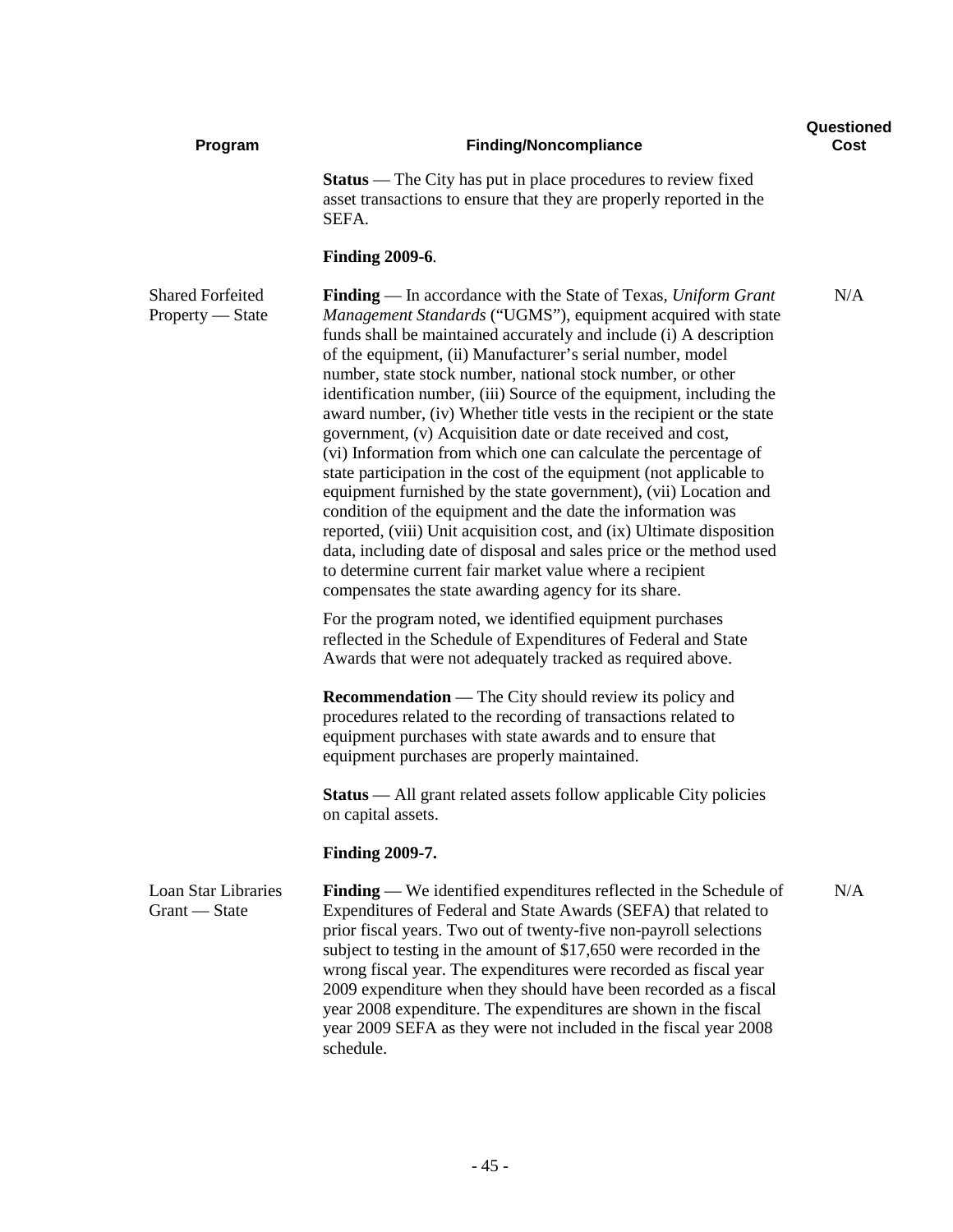| Program                                       | <b>Finding/Noncompliance</b>                                                                                                                                                                                                                                                                                                                                                                                                                                                                                                                                                                                                                                                                                                                                                                                                                                                                                                                                                                                                                                                                            | Questioned<br>Cost |
|-----------------------------------------------|---------------------------------------------------------------------------------------------------------------------------------------------------------------------------------------------------------------------------------------------------------------------------------------------------------------------------------------------------------------------------------------------------------------------------------------------------------------------------------------------------------------------------------------------------------------------------------------------------------------------------------------------------------------------------------------------------------------------------------------------------------------------------------------------------------------------------------------------------------------------------------------------------------------------------------------------------------------------------------------------------------------------------------------------------------------------------------------------------------|--------------------|
|                                               | <b>Status</b> — The City has put in place procedures to review fixed<br>asset transactions to ensure that they are properly reported in the<br>SEFA.                                                                                                                                                                                                                                                                                                                                                                                                                                                                                                                                                                                                                                                                                                                                                                                                                                                                                                                                                    |                    |
|                                               | <b>Finding 2009-6.</b>                                                                                                                                                                                                                                                                                                                                                                                                                                                                                                                                                                                                                                                                                                                                                                                                                                                                                                                                                                                                                                                                                  |                    |
| <b>Shared Forfeited</b><br>$Property - State$ | <b>Finding</b> — In accordance with the State of Texas, Uniform Grant<br>Management Standards ("UGMS"), equipment acquired with state<br>funds shall be maintained accurately and include (i) A description<br>of the equipment, (ii) Manufacturer's serial number, model<br>number, state stock number, national stock number, or other<br>identification number, (iii) Source of the equipment, including the<br>award number, (iv) Whether title vests in the recipient or the state<br>government, (v) Acquisition date or date received and cost,<br>(vi) Information from which one can calculate the percentage of<br>state participation in the cost of the equipment (not applicable to<br>equipment furnished by the state government), (vii) Location and<br>condition of the equipment and the date the information was<br>reported, (viii) Unit acquisition cost, and (ix) Ultimate disposition<br>data, including date of disposal and sales price or the method used<br>to determine current fair market value where a recipient<br>compensates the state awarding agency for its share. | N/A                |
|                                               | For the program noted, we identified equipment purchases<br>reflected in the Schedule of Expenditures of Federal and State<br>Awards that were not adequately tracked as required above.                                                                                                                                                                                                                                                                                                                                                                                                                                                                                                                                                                                                                                                                                                                                                                                                                                                                                                                |                    |
|                                               | <b>Recommendation</b> — The City should review its policy and<br>procedures related to the recording of transactions related to<br>equipment purchases with state awards and to ensure that<br>equipment purchases are properly maintained.                                                                                                                                                                                                                                                                                                                                                                                                                                                                                                                                                                                                                                                                                                                                                                                                                                                             |                    |
|                                               | <b>Status</b> — All grant related assets follow applicable City policies<br>on capital assets.                                                                                                                                                                                                                                                                                                                                                                                                                                                                                                                                                                                                                                                                                                                                                                                                                                                                                                                                                                                                          |                    |
|                                               | <b>Finding 2009-7.</b>                                                                                                                                                                                                                                                                                                                                                                                                                                                                                                                                                                                                                                                                                                                                                                                                                                                                                                                                                                                                                                                                                  |                    |
| <b>Loan Star Libraries</b><br>Grant — State   | <b>Finding</b> — We identified expenditures reflected in the Schedule of<br>Expenditures of Federal and State Awards (SEFA) that related to<br>prior fiscal years. Two out of twenty-five non-payroll selections<br>subject to testing in the amount of \$17,650 were recorded in the<br>wrong fiscal year. The expenditures were recorded as fiscal year<br>2009 expenditure when they should have been recorded as a fiscal<br>year 2008 expenditure. The expenditures are shown in the fiscal<br>year 2009 SEFA as they were not included in the fiscal year 2008<br>schedule.                                                                                                                                                                                                                                                                                                                                                                                                                                                                                                                       | N/A                |